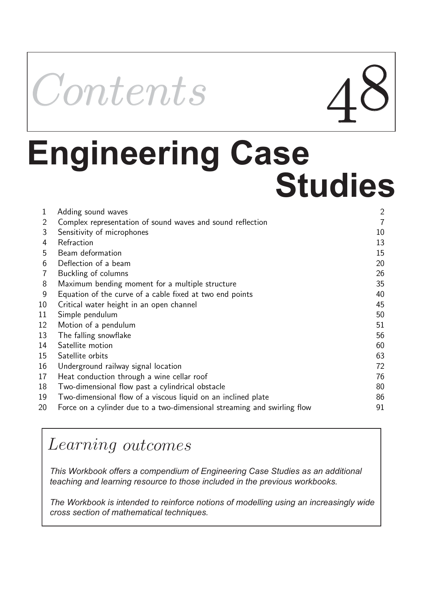

# **Engineering Case Studies**

|    | Adding sound waves                                                       | $\overline{2}$ |
|----|--------------------------------------------------------------------------|----------------|
| 2  | Complex representation of sound waves and sound reflection               | 7              |
| 3  | Sensitivity of microphones                                               | 10             |
| 4  | Refraction                                                               | 13             |
| 5  | Beam deformation                                                         | 15             |
| 6  | Deflection of a beam                                                     | 20             |
| 7  | Buckling of columns                                                      | 26             |
| 8  | Maximum bending moment for a multiple structure                          | 35             |
| 9  | Equation of the curve of a cable fixed at two end points                 | 40             |
| 10 | Critical water height in an open channel                                 | 45             |
| 11 | Simple pendulum                                                          | 50             |
| 12 | Motion of a pendulum                                                     | 51             |
| 13 | The falling snowflake                                                    | 56             |
| 14 | Satellite motion                                                         | 60             |
| 15 | Satellite orbits                                                         | 63             |
| 16 | Underground railway signal location                                      | 72             |
| 17 | Heat conduction through a wine cellar roof                               | 76             |
| 18 | Two-dimensional flow past a cylindrical obstacle                         | 80             |
| 19 | Two-dimensional flow of a viscous liquid on an inclined plate            | 86             |
| 20 | Force on a cylinder due to a two-dimensional streaming and swirling flow | 91             |

# Learning outcomes

*This Workbook offers a compendium of Engineering Case Studies as an additional teaching and learning resource to those included in the previous workbooks.* 

*The Workbook is intended to reinforce notions of modelling using an increasingly wide cross section of mathematical techniques.*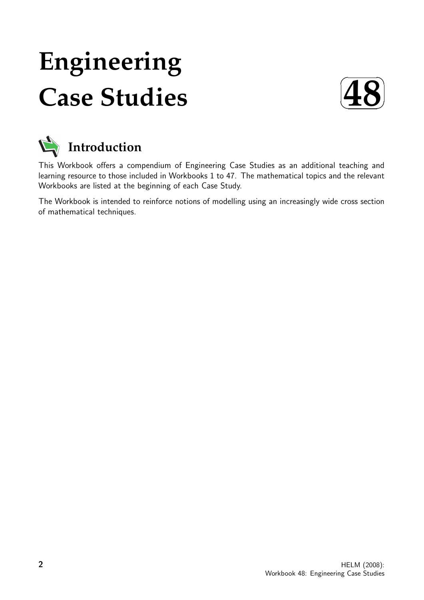# **Engineering Case Studies**





This Workbook offers a compendium of Engineering Case Studies as an additional teaching and learning resource to those included in Workbooks 1 to 47. The mathematical topics and the relevant Workbooks are listed at the beginning of each Case Study.

The Workbook is intended to reinforce notions of modelling using an increasingly wide cross section of mathematical techniques.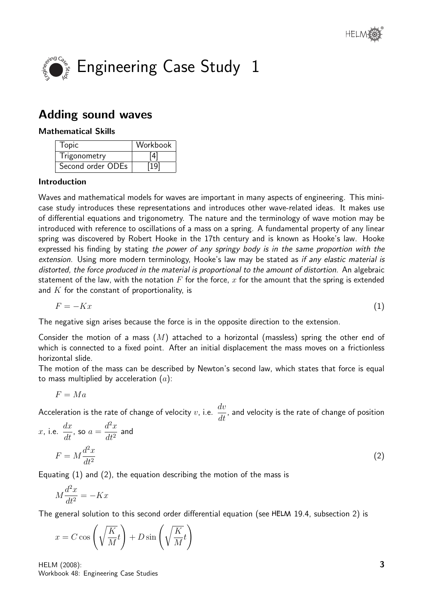

# Adding sound waves

# Mathematical Skills

| Topic             | Workbook |
|-------------------|----------|
| Trigonometry      | [4]      |
| Second order ODEs | 19       |

# Introduction

Waves and mathematical models for waves are important in many aspects of engineering. This minicase study introduces these representations and introduces other wave-related ideas. It makes use of differential equations and trigonometry. The nature and the terminology of wave motion may be introduced with reference to oscillations of a mass on a spring. A fundamental property of any linear spring was discovered by Robert Hooke in the 17th century and is known as Hooke's law. Hooke expressed his finding by stating the power of any springy body is in the same proportion with the extension. Using more modern terminology, Hooke's law may be stated as if any elastic material is distorted, the force produced in the material is proportional to the amount of distortion. An algebraic statement of the law, with the notation  $F$  for the force, x for the amount that the spring is extended and  $K$  for the constant of proportionality, is

$$
F = -Kx \tag{1}
$$

The negative sign arises because the force is in the opposite direction to the extension.

Consider the motion of a mass  $(M)$  attached to a horizontal (massless) spring the other end of which is connected to a fixed point. After an initial displacement the mass moves on a frictionless horizontal slide.

The motion of the mass can be described by Newton's second law, which states that force is equal to mass multiplied by acceleration  $(a)$ :

$$
F=Ma
$$

Acceleration is the rate of change of velocity  $v$ , i.e.  $\frac{dv}{dt}$  $\frac{dS}{dt}$ , and velocity is the rate of change of position

x, i.e. 
$$
\frac{dx}{dt}
$$
, so  $a = \frac{d^2x}{dt^2}$  and  

$$
F = M \frac{d^2x}{dt^2}
$$
 (2)

Equating (1) and (2), the equation describing the motion of the mass is

$$
M\frac{d^2x}{dt^2} = -Kx
$$

The general solution to this second order differential equation (see  $HELM$  19.4, subsection 2) is

$$
x = C \cos\left(\sqrt{\frac{K}{M}}t\right) + D \sin\left(\sqrt{\frac{K}{M}}t\right)
$$

HELM (2008): Workbook 48: Engineering Case Studies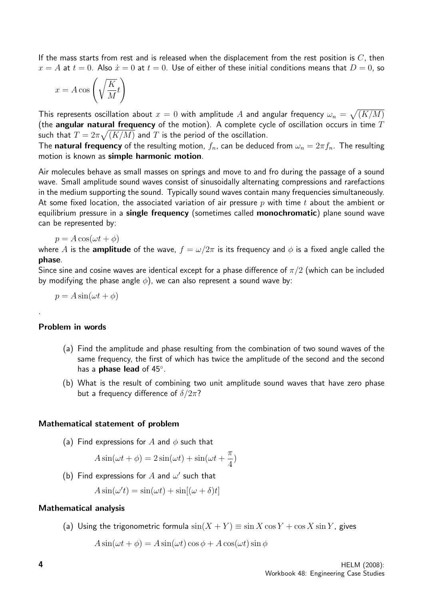If the mass starts from rest and is released when the displacement from the rest position is  $C$ , then  $x = A$  at  $t = 0$ . Also  $\dot{x} = 0$  at  $t = 0$ . Use of either of these initial conditions means that  $D = 0$ , so

$$
x = A\cos\left(\sqrt{\frac{K}{M}}t\right)
$$

This represents oscillation about  $x=0$  with amplitude  $A$  and angular frequency  $\omega_n=\sqrt{(K/M)}$ (the angular natural frequency of the motion). A complete cycle of oscillation occurs in time  $T$ such that  $T=2\pi\sqrt{(K/M)}$  and  $T$  is the period of the oscillation.

The **natural frequency** of the resulting motion,  $f_n$ , can be deduced from  $\omega_n = 2\pi f_n$ . The resulting motion is known as simple harmonic motion.

Air molecules behave as small masses on springs and move to and fro during the passage of a sound wave. Small amplitude sound waves consist of sinusoidally alternating compressions and rarefactions in the medium supporting the sound. Typically sound waves contain many frequencies simultaneously. At some fixed location, the associated variation of air pressure  $p$  with time  $t$  about the ambient or equilibrium pressure in a **single frequency** (sometimes called **monochromatic**) plane sound wave can be represented by:

 $p = A \cos(\omega t + \phi)$ 

where A is the **amplitude** of the wave,  $f = \omega/2\pi$  is its frequency and  $\phi$  is a fixed angle called the phase.

Since sine and cosine waves are identical except for a phase difference of  $\pi/2$  (which can be included by modifying the phase angle  $\phi$ ), we can also represent a sound wave by:

$$
p = A\sin(\omega t + \phi)
$$

#### Problem in words

.

- (a) Find the amplitude and phase resulting from the combination of two sound waves of the same frequency, the first of which has twice the amplitude of the second and the second has a **phase lead** of 45°.
- (b) What is the result of combining two unit amplitude sound waves that have zero phase but a frequency difference of  $\delta/2\pi$ ?

#### Mathematical statement of problem

(a) Find expressions for A and  $\phi$  such that

$$
A\sin(\omega t + \phi) = 2\sin(\omega t) + \sin(\omega t + \frac{\pi}{4})
$$

(b) Find expressions for  $A$  and  $\omega'$  such that

$$
A\sin(\omega' t) = \sin(\omega t) + \sin[(\omega + \delta)t]
$$

#### Mathematical analysis

(a) Using the trigonometric formula  $\sin(X + Y) \equiv \sin X \cos Y + \cos X \sin Y$ , gives

$$
A\sin(\omega t + \phi) = A\sin(\omega t)\cos\phi + A\cos(\omega t)\sin\phi
$$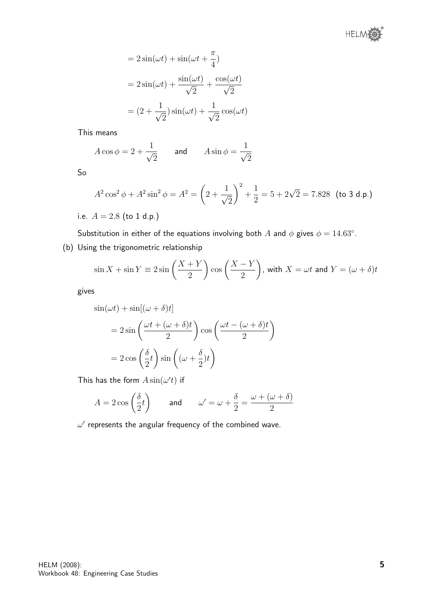

$$
= 2\sin(\omega t) + \sin(\omega t + \frac{\pi}{4})
$$

$$
= 2\sin(\omega t) + \frac{\sin(\omega t)}{\sqrt{2}} + \frac{\cos(\omega t)}{\sqrt{2}}
$$

$$
= (2 + \frac{1}{\sqrt{2}})\sin(\omega t) + \frac{1}{\sqrt{2}}\cos(\omega t)
$$

This means

$$
A\cos\phi = 2 + \frac{1}{\sqrt{2}} \qquad \text{and} \qquad A\sin\phi = \frac{1}{\sqrt{2}}
$$

So

$$
A^{2} \cos^{2} \phi + A^{2} \sin^{2} \phi = A^{2} = \left(2 + \frac{1}{\sqrt{2}}\right)^{2} + \frac{1}{2} = 5 + 2\sqrt{2} = 7.828 \text{ (to 3 d.p.)}
$$

i.e.  $A = 2.8$  (to 1 d.p.)

Substitution in either of the equations involving both  $A$  and  $\phi$  gives  $\phi = 14.63^{\circ}$ .

(b) Using the trigonometric relationship

$$
\sin X + \sin Y \equiv 2\sin\left(\frac{X+Y}{2}\right)\cos\left(\frac{X-Y}{2}\right), \text{ with } X = \omega t \text{ and } Y = (\omega + \delta)t
$$

gives

$$
\sin(\omega t) + \sin[(\omega + \delta)t]
$$
  
=  $2 \sin\left(\frac{\omega t + (\omega + \delta)t}{2}\right) \cos\left(\frac{\omega t - (\omega + \delta)t}{2}\right)$   
=  $2 \cos\left(\frac{\delta}{2}t\right) \sin\left((\omega + \frac{\delta}{2})t\right)$ 

This has the form  $A\sin(\omega' t)$  if

$$
A = 2\cos\left(\frac{\delta}{2}t\right) \qquad \text{and} \qquad \omega' = \omega + \frac{\delta}{2} = \frac{\omega + (\omega + \delta)}{2}
$$

 $\omega'$  represents the angular frequency of the combined wave.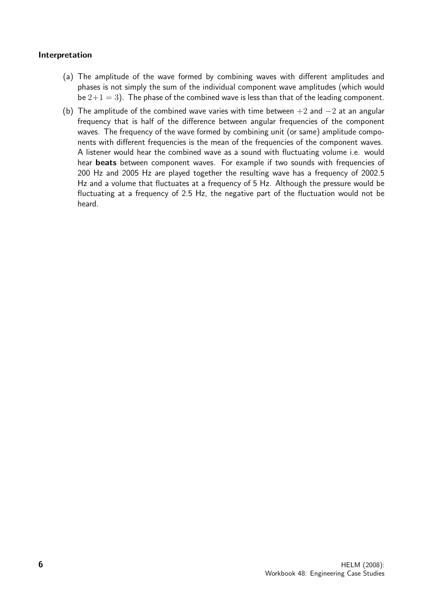# Interpretation

- (a) The amplitude of the wave formed by combining waves with different amplitudes and phases is not simply the sum of the individual component wave amplitudes (which would be  $2+1=3$ ). The phase of the combined wave is less than that of the leading component.
- (b) The amplitude of the combined wave varies with time between  $+2$  and  $-2$  at an angular frequency that is half of the difference between angular frequencies of the component waves. The frequency of the wave formed by combining unit (or same) amplitude components with different frequencies is the mean of the frequencies of the component waves. A listener would hear the combined wave as a sound with fluctuating volume i.e. would hear beats between component waves. For example if two sounds with frequencies of 200 Hz and 2005 Hz are played together the resulting wave has a frequency of 2002.5 Hz and a volume that fluctuates at a frequency of 5 Hz. Although the pressure would be fluctuating at a frequency of 2.5 Hz, the negative part of the fluctuation would not be heard.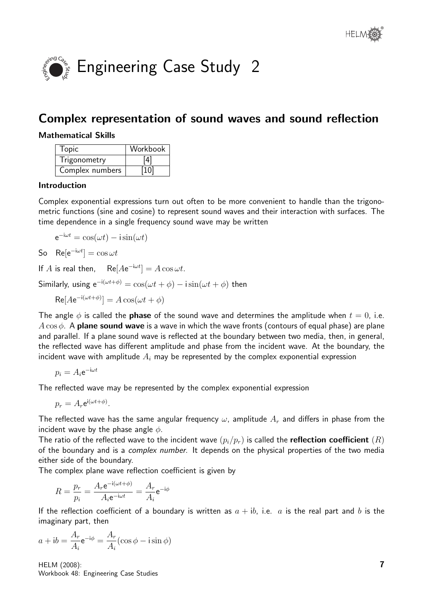

# Complex representation of sound waves and sound reflection

# Mathematical Skills

| <b>Topic</b>    | Workbook |
|-----------------|----------|
| Trigonometry    | [4]      |
| Complex numbers | [10]     |

# Introduction

Complex exponential expressions turn out often to be more convenient to handle than the trigonometric functions (sine and cosine) to represent sound waves and their interaction with surfaces. The time dependence in a single frequency sound wave may be written

$$
e^{-i\omega t} = \cos(\omega t) - i\sin(\omega t)
$$

So  $\text{Re}[e^{-i\omega t}] = \cos \omega t$ 

If A is real then,  $Re[Ae^{-i\omega t}] = A \cos \omega t$ .

Similarly, using  $e^{-i(\omega t + \phi)} = \cos(\omega t + \phi) - i\sin(\omega t + \phi)$  then

 $\text{Re}[Ae^{-i(\omega t + \phi)}] = A \cos(\omega t + \phi)$ 

The angle  $\phi$  is called the **phase** of the sound wave and determines the amplitude when  $t = 0$ , i.e.  $A\cos\phi$ . A **plane sound wave** is a wave in which the wave fronts (contours of equal phase) are plane and parallel. If a plane sound wave is reflected at the boundary between two media, then, in general, the reflected wave has different amplitude and phase from the incident wave. At the boundary, the incident wave with amplitude  $A_i$  may be represented by the complex exponential expression

$$
p_i = A_i e^{-\mathrm{i}\omega t}
$$

The reflected wave may be represented by the complex exponential expression

$$
p_r = A_r e^{i(\omega t + \phi)}.
$$

The reflected wave has the same angular frequency  $\omega$ , amplitude  $A_r$  and differs in phase from the incident wave by the phase angle  $\phi$ .

The ratio of the reflected wave to the incident wave  $(p_i/p_r)$  is called the **reflection coefficient**  $(R)$ of the boundary and is a complex number. It depends on the physical properties of the two media either side of the boundary.

The complex plane wave reflection coefficient is given by

$$
R = \frac{p_r}{p_i} = \frac{A_r e^{-i(\omega t + \phi)}}{A_i e^{-i\omega t}} = \frac{A_r}{A_i} e^{-i\phi}
$$

If the reflection coefficient of a boundary is written as  $a + ib$ , i.e. a is the real part and b is the imaginary part, then

$$
a + ib = \frac{A_r}{A_i} e^{-i\phi} = \frac{A_r}{A_i} (\cos \phi - i \sin \phi)
$$

HELM (2008): Workbook 48: Engineering Case Studies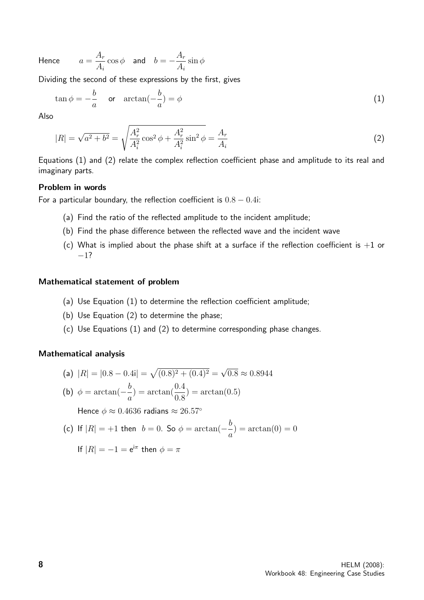Hence

$$
a=\frac{A_r}{A_i}\cos\phi\quad\text{and}\quad b=-\frac{A_r}{A_i}\sin\phi
$$

Dividing the second of these expressions by the first, gives

$$
\tan \phi = -\frac{b}{a} \quad \text{or} \quad \arctan(-\frac{b}{a}) = \phi \tag{1}
$$

Also

$$
|R| = \sqrt{a^2 + b^2} = \sqrt{\frac{A_r^2}{A_i^2} \cos^2 \phi + \frac{A_r^2}{A_i^2} \sin^2 \phi} = \frac{A_r}{A_i}
$$
 (2)

Equations (1) and (2) relate the complex reflection coefficient phase and amplitude to its real and imaginary parts.

# Problem in words

For a particular boundary, the reflection coefficient is  $0.8 - 0.4$ i:

- (a) Find the ratio of the reflected amplitude to the incident amplitude;
- (b) Find the phase difference between the reflected wave and the incident wave
- (c) What is implied about the phase shift at a surface if the reflection coefficient is  $+1$  or −1?

#### Mathematical statement of problem

- (a) Use Equation (1) to determine the reflection coefficient amplitude;
- (b) Use Equation (2) to determine the phase;
- (c) Use Equations (1) and (2) to determine corresponding phase changes.

#### Mathematical analysis

(a) 
$$
|R| = |0.8 - 0.4i| = \sqrt{(0.8)^2 + (0.4)^2} = \sqrt{0.8} \approx 0.8944
$$

(b) 
$$
\phi = \arctan(-\frac{b}{a}) = \arctan(\frac{0.4}{0.8}) = \arctan(0.5)
$$

Hence  $\phi \approx 0.4636$  radians  $\approx 26.57^{\circ}$ 

(c) If 
$$
|R| = +1
$$
 then  $b = 0$ . So  $\phi = \arctan(-\frac{b}{a}) = \arctan(0) = 0$ 

If 
$$
|R| = -1 = e^{i\pi}
$$
 then  $\phi = \pi$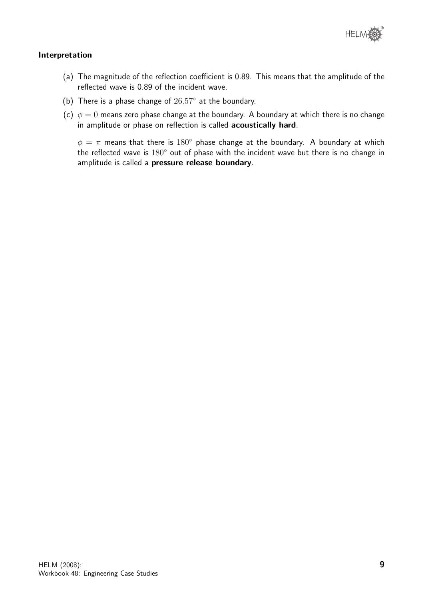

# Interpretation

- (a) The magnitude of the reflection coefficient is 0.89. This means that the amplitude of the reflected wave is 0.89 of the incident wave.
- (b) There is a phase change of  $26.57°$  at the boundary.
- (c)  $\phi = 0$  means zero phase change at the boundary. A boundary at which there is no change in amplitude or phase on reflection is called acoustically hard.

 $\phi = \pi$  means that there is 180° phase change at the boundary. A boundary at which the reflected wave is  $180^\circ$  out of phase with the incident wave but there is no change in amplitude is called a pressure release boundary.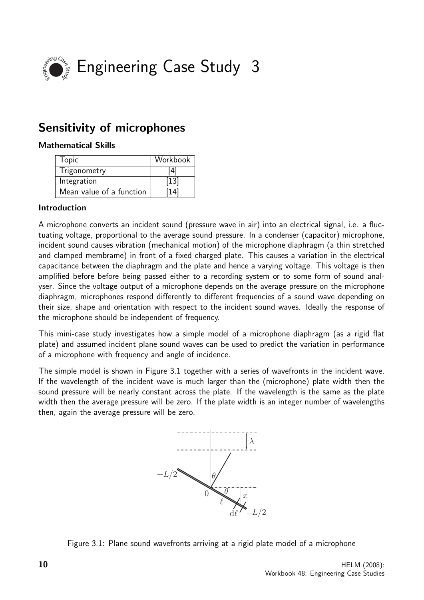

# Sensitivity of microphones

# Mathematical Skills

| <b>Topic</b>             | Workbook |
|--------------------------|----------|
| Trigonometry             | [4]      |
| Integration              | $[13]$   |
| Mean value of a function | 14       |

# Introduction

A microphone converts an incident sound (pressure wave in air) into an electrical signal, i.e. a fluctuating voltage, proportional to the average sound pressure. In a condenser (capacitor) microphone, incident sound causes vibration (mechanical motion) of the microphone diaphragm (a thin stretched and clamped membrame) in front of a fixed charged plate. This causes a variation in the electrical capacitance between the diaphragm and the plate and hence a varying voltage. This voltage is then amplified before before being passed either to a recording system or to some form of sound analyser. Since the voltage output of a microphone depends on the average pressure on the microphone diaphragm, microphones respond differently to different frequencies of a sound wave depending on their size, shape and orientation with respect to the incident sound waves. Ideally the response of the microphone should be independent of frequency.

This mini-case study investigates how a simple model of a microphone diaphragm (as a rigid flat plate) and assumed incident plane sound waves can be used to predict the variation in performance of a microphone with frequency and angle of incidence.

The simple model is shown in Figure 3.1 together with a series of wavefronts in the incident wave. If the wavelength of the incident wave is much larger than the (microphone) plate width then the sound pressure will be nearly constant across the plate. If the wavelength is the same as the plate width then the average pressure will be zero. If the plate width is an integer number of wavelengths then, again the average pressure will be zero.



Figure 3.1: Plane sound wavefronts arriving at a rigid plate model of a microphone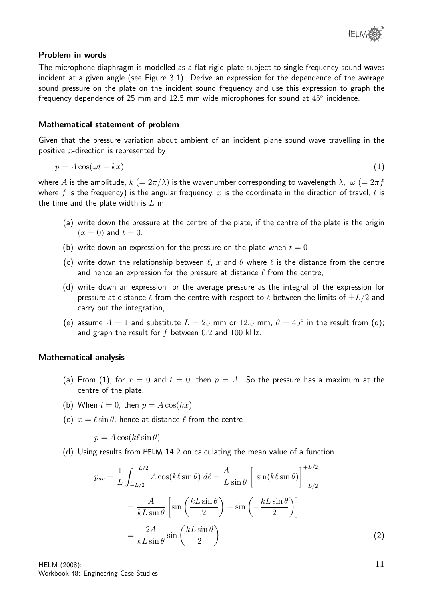## Problem in words

The microphone diaphragm is modelled as a flat rigid plate subject to single frequency sound waves incident at a given angle (see Figure 3.1). Derive an expression for the dependence of the average sound pressure on the plate on the incident sound frequency and use this expression to graph the frequency dependence of 25 mm and 12.5 mm wide microphones for sound at  $45^{\circ}$  incidence.

#### Mathematical statement of problem

Given that the pressure variation about ambient of an incident plane sound wave travelling in the positive  $x$ -direction is represented by

$$
p = A\cos(\omega t - kx) \tag{1}
$$

where A is the amplitude,  $k (= 2\pi/\lambda)$  is the wavenumber corresponding to wavelength  $\lambda$ ,  $\omega (= 2\pi f)$ where f is the frequency) is the angular frequency, x is the coordinate in the direction of travel, t is the time and the plate width is  $L$  m,

- (a) write down the pressure at the centre of the plate, if the centre of the plate is the origin  $(x = 0)$  and  $t = 0$ .
- (b) write down an expression for the pressure on the plate when  $t = 0$
- (c) write down the relationship between  $\ell$ , x and  $\theta$  where  $\ell$  is the distance from the centre and hence an expression for the pressure at distance  $\ell$  from the centre,
- (d) write down an expression for the average pressure as the integral of the expression for pressure at distance  $\ell$  from the centre with respect to  $\ell$  between the limits of  $\pm L/2$  and carry out the integration,
- (e) assume  $A = 1$  and substitute  $L = 25$  mm or  $12.5$  mm,  $\theta = 45^{\circ}$  in the result from (d); and graph the result for  $f$  between 0.2 and 100 kHz.

#### Mathematical analysis

- (a) From (1), for  $x = 0$  and  $t = 0$ , then  $p = A$ . So the pressure has a maximum at the centre of the plate.
- (b) When  $t = 0$ , then  $p = A \cos(kx)$
- (c)  $x = \ell \sin \theta$ , hence at distance  $\ell$  from the centre

 $p = A \cos(k\ell \sin \theta)$ 

(d) Using results from 14.2 on calculating the mean value of a function

$$
p_{av} = \frac{1}{L} \int_{-L/2}^{+L/2} A \cos(k\ell \sin \theta) \, d\ell = \frac{A}{L} \frac{1}{\sin \theta} \left[ \sin(k\ell \sin \theta) \right]_{-L/2}^{+L/2}
$$

$$
= \frac{A}{kL \sin \theta} \left[ \sin\left(\frac{kL \sin \theta}{2}\right) - \sin\left(-\frac{kL \sin \theta}{2}\right) \right]
$$

$$
= \frac{2A}{kL \sin \theta} \sin\left(\frac{kL \sin \theta}{2}\right) \tag{2}
$$

HELM (2008): Workbook 48: Engineering Case Studies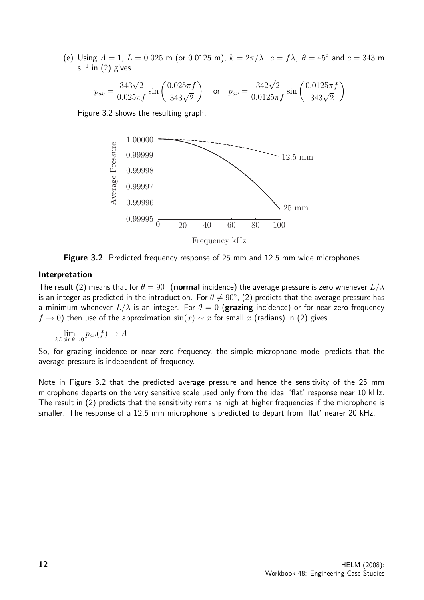(e) Using  $A = 1$ ,  $L = 0.025$  m (or 0.0125 m),  $k = 2\pi/\lambda$ ,  $c = f\lambda$ ,  $\theta = 45^{\circ}$  and  $c = 343$  m s $^{-1}$  in (2) gives

$$
p_{av} = \frac{343\sqrt{2}}{0.025\pi f} \sin\left(\frac{0.025\pi f}{343\sqrt{2}}\right) \quad \text{or} \quad p_{av} = \frac{342\sqrt{2}}{0.0125\pi f} \sin\left(\frac{0.0125\pi f}{343\sqrt{2}}\right)
$$

Figure 3.2 shows the resulting graph.



Figure 3.2: Predicted frequency response of 25 mm and 12.5 mm wide microphones

#### Interpretation

The result (2) means that for  $\theta = 90^{\circ}$  (normal incidence) the average pressure is zero whenever  $L/\lambda$ is an integer as predicted in the introduction. For  $\theta\neq 90^\circ$ , (2) predicts that the average pressure has a minimum whenever  $L/\lambda$  is an integer. For  $\theta = 0$  (grazing incidence) or for near zero frequency  $f \to 0$ ) then use of the approximation  $sin(x) \sim x$  for small x (radians) in (2) gives

 $\lim_{k\to\infty}$   $p_{av}(f) \to A$ 

So, for grazing incidence or near zero frequency, the simple microphone model predicts that the average pressure is independent of frequency.

Note in Figure 3.2 that the predicted average pressure and hence the sensitivity of the 25 mm microphone departs on the very sensitive scale used only from the ideal 'flat' response near 10 kHz. The result in (2) predicts that the sensitivity remains high at higher frequencies if the microphone is smaller. The response of a 12.5 mm microphone is predicted to depart from 'flat' nearer 20 kHz.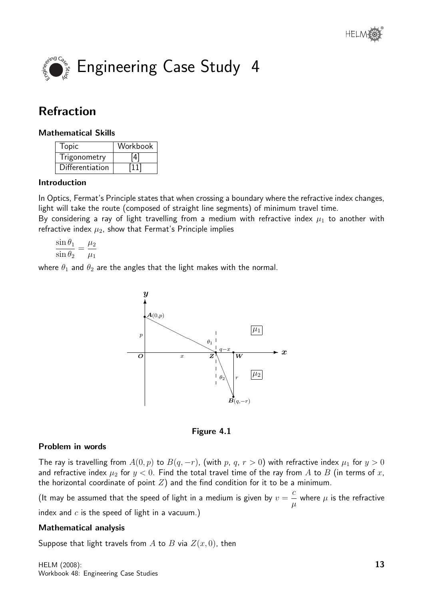



# Refraction

# Mathematical Skills

| Topic           | Workbook |
|-----------------|----------|
| Trigonometry    | 4        |
| Differentiation | 111'     |

# Introduction

In Optics, Fermat's Principle states that when crossing a boundary where the refractive index changes, light will take the route (composed of straight line segments) of minimum travel time.

By considering a ray of light travelling from a medium with refractive index  $\mu_1$  to another with refractive index  $\mu_2$ , show that Fermat's Principle implies

$$
\frac{\sin \theta_1}{\sin \theta_2} = \frac{\mu_2}{\mu_1}
$$

where  $\theta_1$  and  $\theta_2$  are the angles that the light makes with the normal.



Figure 4.1

# Problem in words

The ray is travelling from  $A(0, p)$  to  $B(q, -r)$ , (with p, q,  $r > 0$ ) with refractive index  $\mu_1$  for  $y > 0$ and refractive index  $\mu_2$  for  $y < 0$ . Find the total travel time of the ray from A to B (in terms of x, the horizontal coordinate of point  $Z$ ) and the find condition for it to be a minimum.

(It may be assumed that the speed of light in a medium is given by  $v=\,$ c  $\mu$ where  $\mu$  is the refractive index and  $c$  is the speed of light in a vacuum.)

# Mathematical analysis

Suppose that light travels from A to B via  $Z(x, 0)$ , then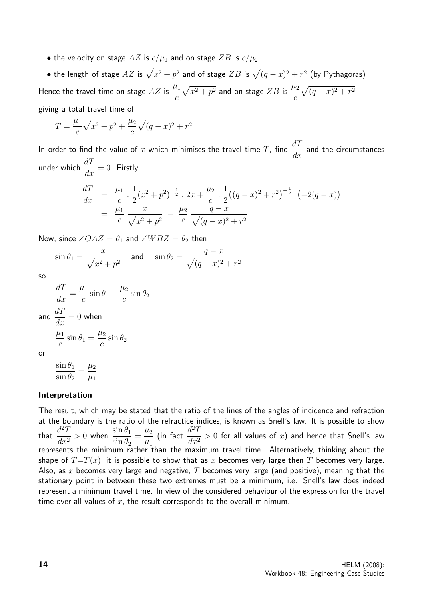• the velocity on stage  $AZ$  is  $c/\mu_1$  and on stage  $ZB$  is  $c/\mu_2$ 

 $\bullet$  the length of stage  $AZ$  is  $\sqrt{x^2 + p^2}$  and of stage  $ZB$  is  $\sqrt{(q - x)^2 + r^2}$  (by Pythagoras) Hence the travel time on stage  $AZ$  is  $\frac{\mu_1}{\sigma_1}$  $\mathcal{C}_{0}^{(n)}$  $\sqrt{x^2 + p^2}$  and on stage  $ZB$  is  $\frac{\mu_2}{2}$ c  $\sqrt{(q-x)^2 + r^2}$ giving a total travel time of

$$
T = \frac{\mu_1}{c} \sqrt{x^2 + p^2} + \frac{\mu_2}{c} \sqrt{(q - x)^2 + r^2}
$$

In order to find the value of x which minimises the travel time T, find  $\frac{dT}{dt}$  $\frac{d}{dx}$  and the circumstances under which  $\frac{dT}{dt}$  $\frac{d\mathbf{x}}{dx} = 0$ . Firstly

$$
\frac{dT}{dx} = \frac{\mu_1}{c} \cdot \frac{1}{2} (x^2 + p^2)^{-\frac{1}{2}} \cdot 2x + \frac{\mu_2}{c} \cdot \frac{1}{2} ((q - x)^2 + r^2)^{-\frac{1}{2}} (-2(q - x))
$$
\n
$$
= \frac{\mu_1}{c} \frac{x}{\sqrt{x^2 + p^2}} - \frac{\mu_2}{c} \frac{q - x}{\sqrt{(q - x)^2 + r^2}}
$$

Now, since  $\angle OAZ = \theta_1$  and  $\angle WBZ = \theta_2$  then

$$
\sin \theta_1 = \frac{x}{\sqrt{x^2 + p^2}}
$$
 and  $\sin \theta_2 = \frac{q - x}{\sqrt{(q - x)^2 + r^2}}$ 

so

or

$$
\frac{dT}{dx} = \frac{\mu_1}{c} \sin \theta_1 - \frac{\mu_2}{c} \sin \theta_2
$$
  
and 
$$
\frac{dT}{dx} = 0 \text{ when}
$$

$$
\frac{\mu_1}{c} \sin \theta_1 = \frac{\mu_2}{c} \sin \theta_2
$$
  
or

$$
\frac{\sin \theta_1}{\sin \theta_2} = \frac{\mu_2}{\mu_1}
$$

# Interpretation

The result, which may be stated that the ratio of the lines of the angles of incidence and refraction at the boundary is the ratio of the refractice indices, is known as Snell's law. It is possible to show that  $\frac{d^2T}{dt^2}$  $dx^2$  $> 0$  when  $\frac{\sin \theta_1}{\sin \theta_2}$  $\sin \theta_2$  $=\frac{\mu_2}{\mu_1}$  $\mu_1$ (in fact  $\frac{d^2T}{dt^2}$  $\frac{d^{2}-d}{dx^{2}}>0$  for all values of  $x$ ) and hence that Snell's law represents the minimum rather than the maximum travel time. Alternatively, thinking about the shape of  $T=T(x)$ , it is possible to show that as x becomes very large then T becomes very large. Also, as x becomes very large and negative, T becomes very large (and positive), meaning that the stationary point in between these two extremes must be a minimum, i.e. Snell's law does indeed represent a minimum travel time. In view of the considered behaviour of the expression for the travel time over all values of  $x$ , the result corresponds to the overall minimum.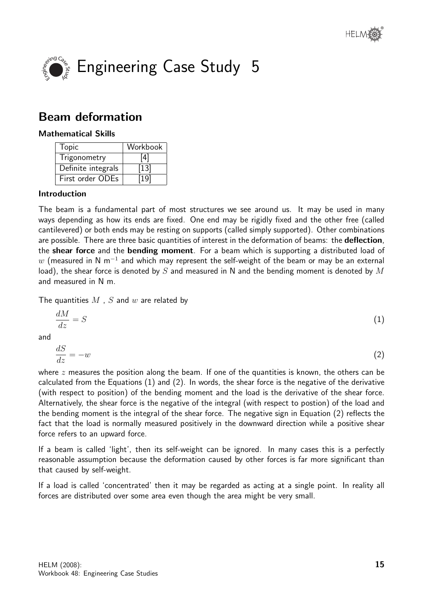



# Beam deformation

# Mathematical Skills

| <b>Topic</b>       | Workbook           |
|--------------------|--------------------|
| Trigonometry       | [4]                |
| Definite integrals | $\vert$ 13 $\vert$ |
| First order ODEs   | 19'                |

# Introduction

The beam is a fundamental part of most structures we see around us. It may be used in many ways depending as how its ends are fixed. One end may be rigidly fixed and the other free (called cantilevered) or both ends may be resting on supports (called simply supported). Other combinations are possible. There are three basic quantities of interest in the deformation of beams: the deflection, the **shear force** and the **bending moment**. For a beam which is supporting a distributed load of  $w$  (measured in N m $^{-1}$  and which may represent the self-weight of the beam or may be an external load), the shear force is denoted by S and measured in N and the bending moment is denoted by M and measured in N m.

The quantities  $M$ ,  $S$  and  $w$  are related by

$$
\frac{dM}{dz} = S \tag{1}
$$

and

$$
\frac{dS}{dz} = -w\tag{2}
$$

where  $z$  measures the position along the beam. If one of the quantities is known, the others can be calculated from the Equations (1) and (2). In words, the shear force is the negative of the derivative (with respect to position) of the bending moment and the load is the derivative of the shear force. Alternatively, the shear force is the negative of the integral (with respect to postion) of the load and the bending moment is the integral of the shear force. The negative sign in Equation (2) reflects the fact that the load is normally measured positively in the downward direction while a positive shear force refers to an upward force.

If a beam is called 'light', then its self-weight can be ignored. In many cases this is a perfectly reasonable assumption because the deformation caused by other forces is far more significant than that caused by self-weight.

If a load is called 'concentrated' then it may be regarded as acting at a single point. In reality all forces are distributed over some area even though the area might be very small.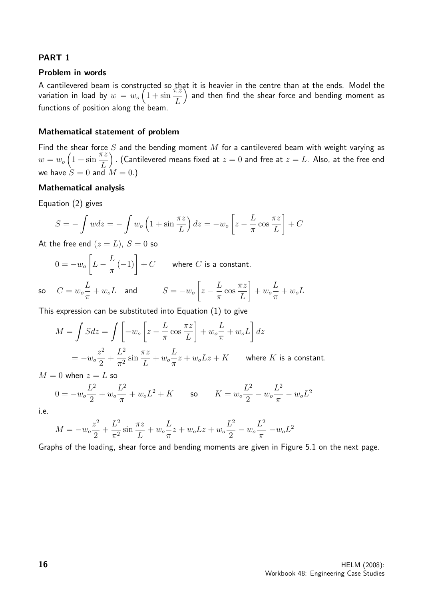# PART 1

#### Problem in words

A cantilevered beam is constructed so that it is heavier in the centre than at the ends. Model the variation in load by  $w=w_o\left(1+\sin\theta\right)$  $\pi z$ L ) and then find the shear force and bending moment as functions of position along the beam.

#### Mathematical statement of problem

Find the shear force  $S$  and the bending moment  $M$  for a cantilevered beam with weight varying as  $w = w_o \left( 1 + \sin \alpha \right)$  $\bar{\pi}z$ L ) . (Cantilevered means fixed at  $z=0$  and free at  $z=L$ . Also, at the free end we have  $S = 0$  and  $M = 0$ .)

#### Mathematical analysis

Equation (2) gives

$$
S = -\int wdz = -\int w_o \left(1 + \sin\frac{\pi z}{L}\right) dz = -w_o \left[z - \frac{L}{\pi}\cos\frac{\pi z}{L}\right] + C
$$

At the free end  $(z = L)$ ,  $S = 0$  so

$$
0 = -w_o \left[ L - \frac{L}{\pi} (-1) \right] + C \quad \text{where } C \text{ is a constant.}
$$

so 
$$
C = w_o \frac{L}{\pi} + w_o L
$$
 and  $S = -w_o \left[ z - \frac{L}{\pi} \cos \frac{\pi z}{L} \right] + w_o \frac{L}{\pi} + w_o L$ 

This expression can be substituted into Equation (1) to give

$$
M = \int S dz = \int \left[ -w_o \left[ z - \frac{L}{\pi} \cos \frac{\pi z}{L} \right] + w_o \frac{L}{\pi} + w_o L \right] dz
$$
  
= 
$$
-w_o \frac{z^2}{2} + \frac{L^2}{\pi^2} \sin \frac{\pi z}{L} + w_o \frac{L}{\pi} z + w_o L z + K \quad \text{where } K \text{ is a constant.}
$$

 $M = 0$  when  $z = L$  so

$$
0 = -w_o \frac{L^2}{2} + w_o \frac{L^2}{\pi} + w_o L^2 + K \qquad \text{so} \qquad K = w_o \frac{L^2}{2} - w_o \frac{L^2}{\pi} - w_o L^2
$$

i.e.

$$
M = -w_o \frac{z^2}{2} + \frac{L^2}{\pi^2} \sin \frac{\pi z}{L} + w_o \frac{L}{\pi} z + w_o L z + w_o \frac{L^2}{2} - w_o \frac{L^2}{\pi} - w_o L^2
$$

Graphs of the loading, shear force and bending moments are given in Figure 5.1 on the next page.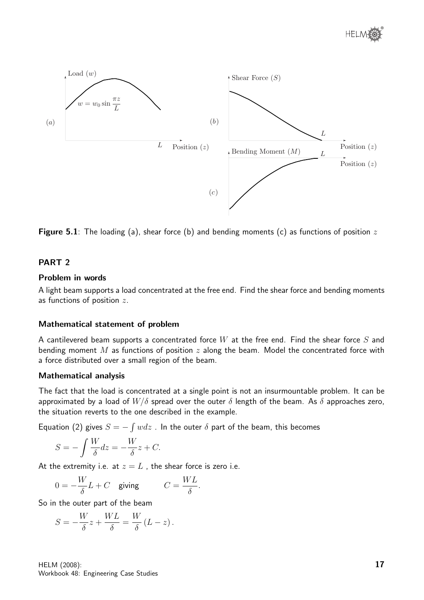

**Figure 5.1**: The loading (a), shear force (b) and bending moments (c) as functions of position z

# PART<sub>2</sub>

# Problem in words

A light beam supports a load concentrated at the free end. Find the shear force and bending moments as functions of position z.

# Mathematical statement of problem

A cantilevered beam supports a concentrated force W at the free end. Find the shear force S and bending moment M as functions of position  $z$  along the beam. Model the concentrated force with a force distributed over a small region of the beam.

# Mathematical analysis

The fact that the load is concentrated at a single point is not an insurmountable problem. It can be approximated by a load of  $W/\delta$  spread over the outer  $\delta$  length of the beam. As  $\delta$  approaches zero, the situation reverts to the one described in the example.

Equation (2) gives  $S = -\int w dz$ . In the outer  $\delta$  part of the beam, this becomes

$$
S = -\int \frac{W}{\delta} dz = -\frac{W}{\delta}z + C.
$$

At the extremity i.e. at  $z = L$ , the shear force is zero i.e.

$$
0 = -\frac{W}{\delta}L + C \quad \text{giving} \qquad \quad C = \frac{WL}{\delta}.
$$

So in the outer part of the beam

$$
S = -\frac{W}{\delta}z + \frac{WL}{\delta} = \frac{W}{\delta}(L - z).
$$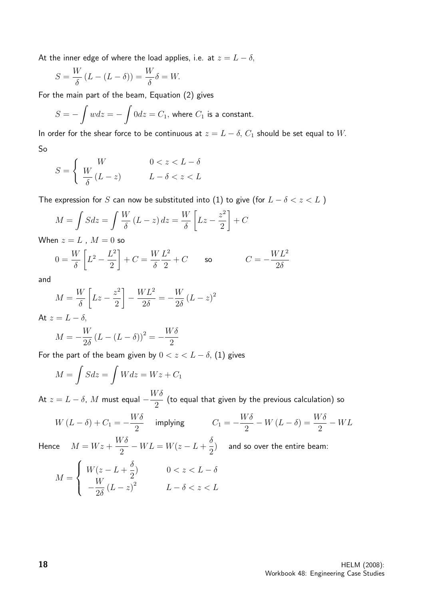At the inner edge of where the load applies, i.e. at  $z = L - \delta$ ,

$$
S = \frac{W}{\delta} (L - (L - \delta)) = \frac{W}{\delta} \delta = W.
$$

For the main part of the beam, Equation (2) gives

$$
S = -\int wdz = -\int 0dz = C_1
$$
, where  $C_1$  is a constant.

In order for the shear force to be continuous at  $z = L - \delta$ ,  $C_1$  should be set equal to W. So

$$
S = \begin{cases} W & 0 < z < L - \delta \\ \frac{W}{\delta} (L - z) & L - \delta < z < L \end{cases}
$$

The expression for S can now be substituted into (1) to give (for  $L - \delta < z < L$ )

$$
M = \int S dz = \int \frac{W}{\delta} (L - z) dz = \frac{W}{\delta} \left[ Lz - \frac{z^2}{2} \right] + C
$$

When  $z = L$ ,  $M = 0$  so

$$
0 = \frac{W}{\delta} \left[ L^2 - \frac{L^2}{2} \right] + C = \frac{W L^2}{\delta 2} + C \qquad \text{so} \qquad C = -\frac{W L^2}{2\delta}
$$

and

$$
M = \frac{W}{\delta} \left[ Lz - \frac{z^2}{2} \right] - \frac{WL^2}{2\delta} = -\frac{W}{2\delta} (L - z)^2
$$

At  $z = L - \delta$ ,

$$
M = -\frac{W}{2\delta} (L - (L - \delta))^2 = -\frac{W\delta}{2}
$$

For the part of the beam given by  $0 < z < L - \delta$ , (1) gives

$$
M = \int Sdz = \int Wdz = Wz + C_1
$$

At  $z = L - \delta$ ,  $M$  must equal  $-\frac{W\delta}{2}$ 2 (to equal that given by the previous calculation) so

$$
W(L - \delta) + C_1 = -\frac{W\delta}{2} \quad \text{implying} \qquad \quad C_1 = -\frac{W\delta}{2} - W(L - \delta) = \frac{W\delta}{2} - WL
$$

Hence  $M = Wz +$  $W\delta$ 2  $-V = W(z - L + \frac{\delta}{2})$ 2 ) and so over the entire beam:

$$
M = \begin{cases} W(z - L + \frac{\delta}{2}) & 0 < z < L - \delta \\ -\frac{W}{2\delta} (L - z)^2 & L - \delta < z < L \end{cases}
$$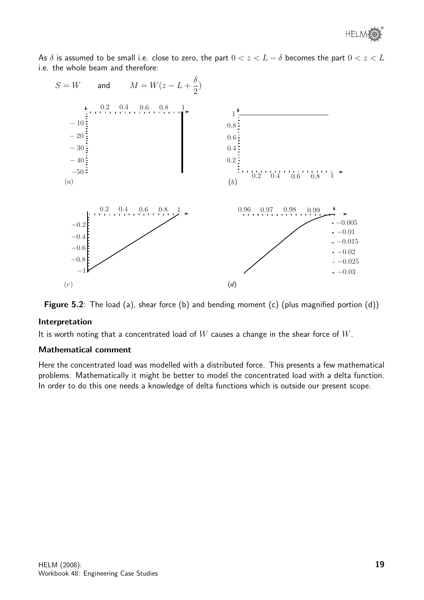As  $\delta$  is assumed to be small i.e. close to zero, the part  $0 < z < L - \delta$  becomes the part  $0 < z < L$ i.e. the whole beam and therefore:





# Interpretation

It is worth noting that a concentrated load of  $W$  causes a change in the shear force of  $W$ .

#### Mathematical comment

Here the concentrated load was modelled with a distributed force. This presents a few mathematical problems. Mathematically it might be better to model the concentrated load with a delta function. In order to do this one needs a knowledge of delta functions which is outside our present scope.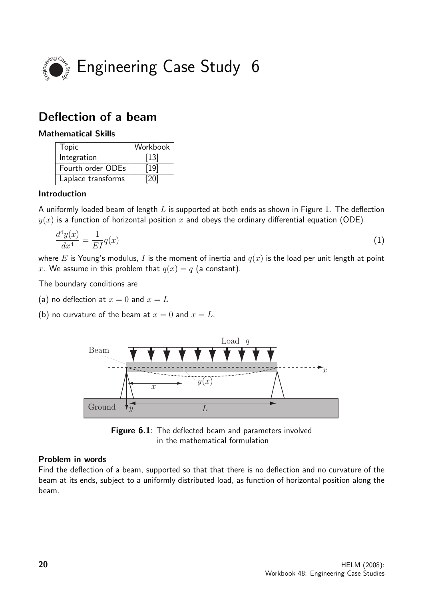

# Deflection of a beam

# Mathematical Skills

| <b>Topic</b>       | Workbook |
|--------------------|----------|
| Integration        | $[13]$   |
| Fourth order ODEs  | [19]     |
| Laplace transforms | [20]     |

# Introduction

A uniformly loaded beam of length  $L$  is supported at both ends as shown in Figure 1. The deflection  $y(x)$  is a function of horizontal position x and obeys the ordinary differential equation (ODE)

$$
\frac{d^4y(x)}{dx^4} = \frac{1}{EI}q(x) \tag{1}
$$

where E is Young's modulus, I is the moment of inertia and  $q(x)$  is the load per unit length at point x. We assume in this problem that  $q(x) = q$  (a constant).

The boundary conditions are

(a) no deflection at  $x = 0$  and  $x = L$ 

(b) no curvature of the beam at  $x = 0$  and  $x = L$ .





# Problem in words

Find the deflection of a beam, supported so that that there is no deflection and no curvature of the beam at its ends, subject to a uniformly distributed load, as function of horizontal position along the beam.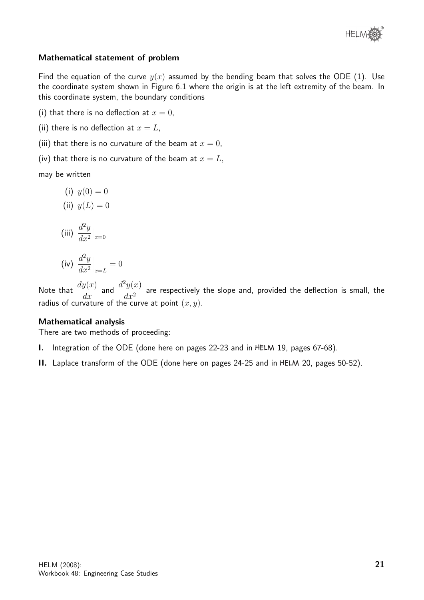

# Mathematical statement of problem

Find the equation of the curve  $y(x)$  assumed by the bending beam that solves the ODE (1). Use the coordinate system shown in Figure 6.1 where the origin is at the left extremity of the beam. In this coordinate system, the boundary conditions

- (i) that there is no deflection at  $x = 0$ ,
- (ii) there is no deflection at  $x = L$ ,
- (iii) that there is no curvature of the beam at  $x = 0$ ,
- (iv) that there is no curvature of the beam at  $x = L$ ,

may be written

- (i)  $y(0) = 0$
- (ii)  $y(L) = 0$

(iii) 
$$
\frac{d^2y}{dx^2}\big|_{x=0}
$$

$$
\text{(iv)} \left. \frac{d^2y}{dx^2} \right|_{x=L} = 0
$$

Note that  $\frac{dy(x)}{dx}$  and  $\frac{d^2y(x)}{dx^2}$  $\frac{\partial u}{\partial x^2}$  are respectively the slope and, provided the deflection is small, the radius of curvature of the curve at point  $(x, y)$ .

#### Mathematical analysis

There are two methods of proceeding:

I. Integration of the ODE (done here on pages 22-23 and in HELM 19, pages 67-68).

II. Laplace transform of the ODE (done here on pages 24-25 and in HELM 20, pages 50-52).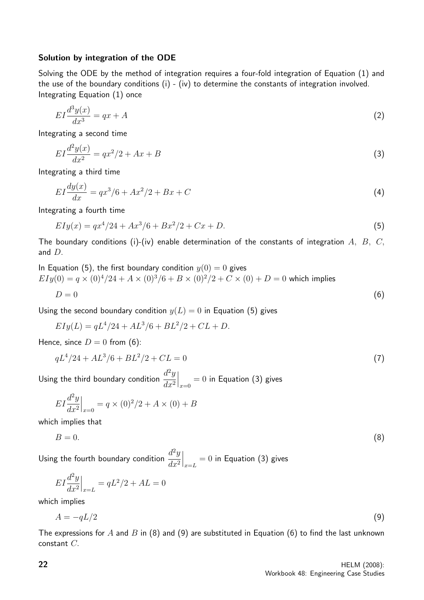#### Solution by integration of the ODE

Solving the ODE by the method of integration requires a four-fold integration of Equation (1) and the use of the boundary conditions  $(i)$  -  $(iv)$  to determine the constants of integration involved. Integrating Equation (1) once

$$
EI\frac{d^3y(x)}{dx^3} = qx + A\tag{2}
$$

Integrating a second time

$$
EI\frac{d^2y(x)}{dx^2} = qx^2/2 + Ax + B
$$
\n(3)

Integrating a third time

$$
EI\frac{dy(x)}{dx} = qx^3/6 + Ax^2/2 + Bx + C
$$
\n(4)

Integrating a fourth time

$$
EIy(x) = qx^4/24 + Ax^3/6 + Bx^2/2 + Cx + D.
$$
\n(5)

The boundary conditions (i)-(iv) enable determination of the constants of integration  $A, B, C,$ and  $D$ .

In Equation (5), the first boundary condition 
$$
y(0) = 0
$$
 gives  
\n
$$
EIy(0) = q \times (0)^{4}/24 + A \times (0)^{3}/6 + B \times (0)^{2}/2 + C \times (0) + D = 0
$$
 which implies  
\n
$$
D = 0
$$
\n(6)

Using the second boundary condition  $y(L) = 0$  in Equation (5) gives

$$
EIy(L) = qL^4/24 + AL^3/6 + BL^2/2 + CL + D.
$$

Hence, since  $D = 0$  from (6):

$$
qL^4/24 + AL^3/6 + BL^2/2 + CL = 0
$$
\n(7)

Using the third boundary condition  $\frac{d^2y}{dx^2}$  $dx^2$  $\Big|_{x=0}=0$  in Equation (3) gives

$$
EI\frac{d^2y}{dx^2}\Big|_{x=0} = q \times (0)^2/2 + A \times (0) + B
$$

which implies that

$$
B = 0.\t\t(8)
$$

Using the fourth boundary condition  $\frac{d^2y}{dx^2}$  $dx^2$  $\Big\vert_{x=L}=0$  in Equation (3) gives

$$
EI\frac{d^2y}{dx^2}\Big|_{x=L} = qL^2/2 + AL = 0
$$

which implies

$$
A = -qL/2 \tag{9}
$$

The expressions for A and B in (8) and (9) are substituted in Equation (6) to find the last unknown constant C.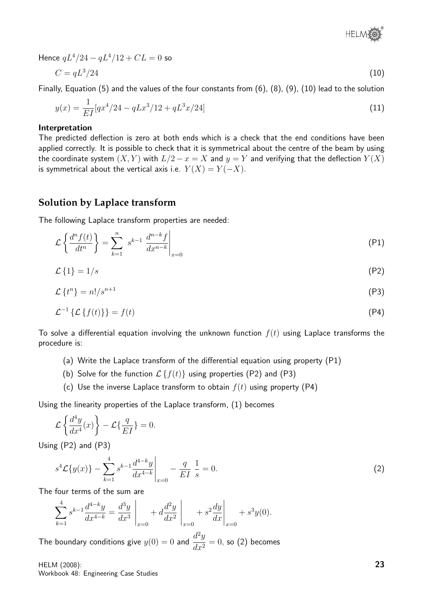

Hence  $qL^4/24 - qL^4/12 + CL = 0$  so

$$
C = qL^3/24\tag{10}
$$

Finally, Equation (5) and the values of the four constants from (6), (8), (9), (10) lead to the solution

$$
y(x) = \frac{1}{EI}[qx^4/24 - qLx^3/12 + qL^3x/24]
$$
\n(11)

#### Interpretation

The predicted deflection is zero at both ends which is a check that the end conditions have been applied correctly. It is possible to check that it is symmetrical about the centre of the beam by using the coordinate system  $(X, Y)$  with  $L/2 - x = X$  and  $y = Y$  and verifying that the deflection  $Y(X)$ is symmetrical about the vertical axis i.e.  $Y(X) = Y(-X)$ .

# **Solution by Laplace transform**

The following Laplace transform properties are needed:

$$
\mathcal{L}\left\{\frac{d^n f(t)}{dt^n}\right\} = \sum_{k=1}^n s^{k-1} \left. \frac{d^{n-k} f}{dx^{n-k}} \right|_{x=0} \tag{P1}
$$

$$
\mathcal{L}\left\{1\right\} = 1/s\tag{P2}
$$

$$
\mathcal{L}\left\{t^{n}\right\}=n!/s^{n+1}\tag{P3}
$$

$$
\mathcal{L}^{-1}\left\{\mathcal{L}\left\{f(t)\right\}\right\} = f(t) \tag{P4}
$$

To solve a differential equation involving the unknown function  $f(t)$  using Laplace transforms the procedure is:

- (a) Write the Laplace transform of the differential equation using property (P1)
- (b) Solve for the function  $\mathcal{L}\{f(t)\}\$  using properties (P2) and (P3)
- (c) Use the inverse Laplace transform to obtain  $f(t)$  using property (P4)

Using the linearity properties of the Laplace transform, (1) becomes

$$
\mathcal{L}\left\{\frac{d^4y}{dx^4}(x)\right\}-\mathcal{L}\{\frac{q}{EI}\}=0.
$$

Using (P2) and (P3)

$$
s^{4}\mathcal{L}\{y(x)\} - \sum_{k=1}^{4} s^{k-1} \frac{d^{4-k}y}{dx^{4-k}} \bigg|_{x=0} - \frac{q}{EI} \frac{1}{s} = 0.
$$
 (2)

The four terms of the sum are

$$
\sum_{k=1}^{4} s^{k-1} \frac{d^{4-k}y}{dx^{4-k}} = \frac{d^3y}{dx^3} \bigg|_{x=0} + d \frac{d^2y}{dx^2} \bigg|_{x=0} + s^2 \frac{dy}{dx} \bigg|_{x=0} + s^3y(0).
$$

The boundary conditions give  $y(0) = 0$  and  $\frac{d^2y}{dx^2}$  $\frac{d^2y}{dx^2} = 0$ , so (2) becomes

HELM (2008): Workbook 48: Engineering Case Studies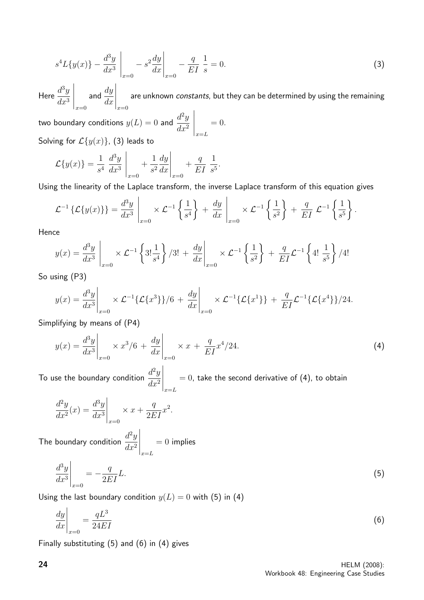$$
s^{4}L\{y(x)\} - \frac{d^{3}y}{dx^{3}}\bigg|_{x=0} - s^{2}\frac{dy}{dx}\bigg|_{x=0} - \frac{q}{EI}\frac{1}{s} = 0.
$$
 (3)

Here  $\frac{d^3y}{dx^3}$  $dx^3$  $\begin{array}{c} \begin{array}{c} \begin{array}{c} \begin{array}{c} \end{array} \\ \begin{array}{c} \end{array} \end{array} \end{array} \end{array}$  $|x=0$   $x=0$ and  $\frac{dy}{dx}$  $dx$  $\begin{array}{c} \begin{array}{c} \begin{array}{c} \begin{array}{c} \end{array} \\ \begin{array}{c} \end{array} \end{array} \end{array} \end{array}$ are unknown constants, but they can be determined by using the remaining

two boundary conditions  $y(L) = 0$  and  $\frac{d^2y}{dt^2}$  $dx^2$  $\bigg|_{x=L}$  $= 0.$ Solving for  $\mathcal{L}\lbrace y(x)\rbrace$ , (3) leads to

$$
\mathcal{L}{y(x)} = \frac{1}{s^4} \left. \frac{d^3y}{dx^3} \right|_{x=0} + \frac{1}{s^2} \frac{dy}{dx} \bigg|_{x=0} + \frac{q}{EI} \left. \frac{1}{s^5} \right.
$$

Using the linearity of the Laplace transform, the inverse Laplace transform of this equation gives

$$
\mathcal{L}^{-1}\left\{\mathcal{L}\left\{y(x)\right\}\right\} = \frac{d^3y}{dx^3}\Big|_{x=0} \times \mathcal{L}^{-1}\left\{\frac{1}{s^4}\right\} + \frac{dy}{dx}\Big|_{x=0} \times \mathcal{L}^{-1}\left\{\frac{1}{s^2}\right\} + \frac{q}{EI}\mathcal{L}^{-1}\left\{\frac{1}{s^5}\right\}
$$

Hence

$$
y(x) = \frac{d^3y}{dx^3} \bigg|_{x=0} \times \mathcal{L}^{-1} \left\{ 3! \frac{1}{s^4} \right\} / 3! + \frac{dy}{dx} \bigg|_{x=0} \times \mathcal{L}^{-1} \left\{ \frac{1}{s^2} \right\} + \frac{q}{EI} \mathcal{L}^{-1} \left\{ 4! \frac{1}{s^5} \right\} / 4!
$$

So using (P3)

$$
y(x) = \frac{d^3y}{dx^3}\bigg|_{x=0} \times \mathcal{L}^{-1}\{\mathcal{L}\{x^3\}\}/6 + \frac{dy}{dx}\bigg|_{x=0} \times \mathcal{L}^{-1}\{\mathcal{L}\{x^1\}\} + \frac{q}{EI}\mathcal{L}^{-1}\{\mathcal{L}\{x^4\}\}/24.
$$

Simplifying by means of (P4)

$$
y(x) = \frac{d^3y}{dx^3}\bigg|_{x=0} \times x^3/6 + \frac{dy}{dx}\bigg|_{x=0} \times x + \frac{q}{EI}x^4/24.
$$
 (4)

To use the boundary condition  $\frac{d^2y}{dx^2}$  $dx^2$  $\bigg|_{x=L}$  $= 0$ , take the second derivative of (4), to obtain

$$
\left. \frac{d^2y}{dx^2}(x) = \frac{d^3y}{dx^3} \right|_{x=0} \times x + \frac{q}{2EI}x^2.
$$

The boundary condition  $\frac{d^2y}{dx^2}$  $dx^2$  $\bigg|_{x=L}$  $= 0$  implies

$$
\left. \frac{d^3 y}{dx^3} \right|_{x=0} = -\frac{q}{2EI}L. \tag{5}
$$

Using the last boundary condition  $y(L) = 0$  with (5) in (4)

$$
\left. \frac{dy}{dx} \right|_{x=0} = \frac{qL^3}{24EI} \tag{6}
$$

Finally substituting (5) and (6) in (4) gives

.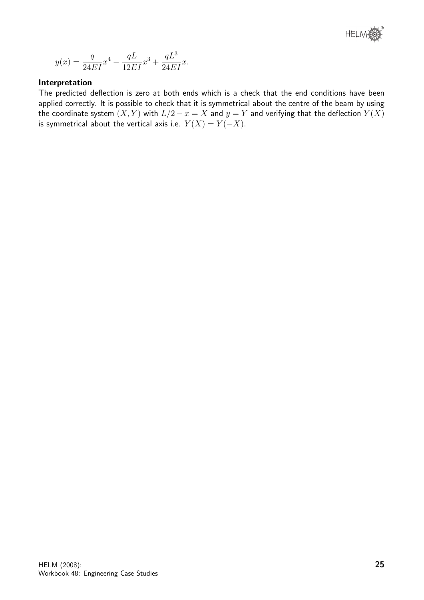

$$
y(x) = \frac{q}{24EI}x^4 - \frac{qL}{12EI}x^3 + \frac{qL^3}{24EI}x.
$$

# Interpretation

The predicted deflection is zero at both ends which is a check that the end conditions have been applied correctly. It is possible to check that it is symmetrical about the centre of the beam by using the coordinate system  $(X, Y)$  with  $L/2 - x = X$  and  $y = Y$  and verifying that the deflection  $Y(X)$ is symmetrical about the vertical axis i.e.  $Y(X) = Y(-X)$ .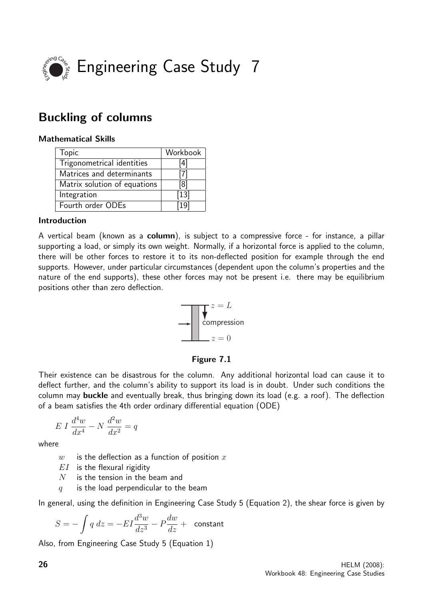

# Buckling of columns

# Mathematical Skills

| <b>Topic</b>                 | Workbook |
|------------------------------|----------|
| Trigonometrical identities   | [4]      |
| Matrices and determinants    | [7]      |
| Matrix solution of equations | [8]      |
| Integration                  | $[13]$   |
| Fourth order ODEs            | [19]     |

# Introduction

A vertical beam (known as a column), is subject to a compressive force - for instance, a pillar supporting a load, or simply its own weight. Normally, if a horizontal force is applied to the column, there will be other forces to restore it to its non-deflected position for example through the end supports. However, under particular circumstances (dependent upon the column's properties and the nature of the end supports), these other forces may not be present i.e. there may be equilibrium positions other than zero deflection.



# Figure 7.1

Their existence can be disastrous for the column. Any additional horizontal load can cause it to deflect further, and the column's ability to support its load is in doubt. Under such conditions the column may buckle and eventually break, thus bringing down its load (e.g. a roof). The deflection of a beam satisfies the 4th order ordinary differential equation (ODE)

$$
E I \frac{d^4 w}{dx^4} - N \frac{d^2 w}{dx^2} = q
$$

where

 $w$  is the deflection as a function of position  $x$ 

- $EI$  is the flexural rigidity
- $N$  is the tension in the beam and
- $q$  is the load perpendicular to the beam

In general, using the definition in Engineering Case Study 5 (Equation 2), the shear force is given by

$$
S = -\int q \ dz = -EI\frac{d^3w}{dz^3} - P\frac{dw}{dz} + \text{ constant}
$$

Also, from Engineering Case Study 5 (Equation 1)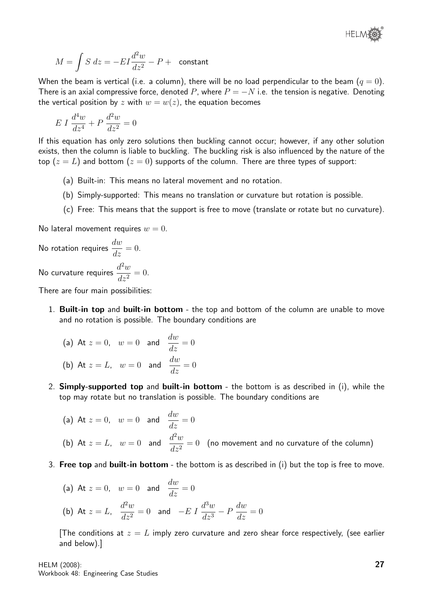

$$
M = \int S \ dz = -EI\frac{d^2w}{dz^2} - P + \text{ constant}
$$

When the beam is vertical (i.e. a column), there will be no load perpendicular to the beam  $(q = 0)$ . There is an axial compressive force, denoted P, where  $P = -N$  i.e. the tension is negative. Denoting the vertical position by z with  $w = w(z)$ , the equation becomes

$$
E I \frac{d^4 w}{dz^4} + P \frac{d^2 w}{dz^2} = 0
$$

If this equation has only zero solutions then buckling cannot occur; however, if any other solution exists, then the column is liable to buckling. The buckling risk is also influenced by the nature of the top  $(z = L)$  and bottom  $(z = 0)$  supports of the column. There are three types of support:

- (a) Built-in: This means no lateral movement and no rotation.
- (b) Simply-supported: This means no translation or curvature but rotation is possible.
- (c) Free: This means that the support is free to move (translate or rotate but no curvature).

No lateral movement requires  $w = 0$ .

No rotation requires  $\frac{dw}{dt}$  $\frac{d\omega}{dz} = 0.$ No curvature requires  $\frac{d^2w}{dx^2}$  $\frac{d^2}{dz^2} = 0.$ 

There are four main possibilities:

1. Built-in top and built-in bottom - the top and bottom of the column are unable to move and no rotation is possible. The boundary conditions are

(a) At 
$$
z = 0
$$
,  $w = 0$  and  $\frac{dw}{dz} = 0$   
(b) At  $z = L$ ,  $w = 0$  and  $\frac{dw}{dz} = 0$ 

2. Simply-supported top and built-in bottom - the bottom is as described in (i), while the top may rotate but no translation is possible. The boundary conditions are

(a) At 
$$
z = 0
$$
,  $w = 0$  and  $\frac{dw}{dz} = 0$   
\n(b) At  $z = L$ ,  $w = 0$  and  $\frac{d^2w}{dz^2} = 0$  (no movement and no curvature of the column)

3. Free top and built-in bottom - the bottom is as described in (i) but the top is free to move.

(a) At 
$$
z = 0
$$
,  $w = 0$  and  $\frac{dw}{dz} = 0$   
\n(b) At  $z = L$ ,  $\frac{d^2w}{dz^2} = 0$  and  $-E I \frac{d^3w}{dz^3} - P \frac{dw}{dz} = 0$ 

[The conditions at  $z = L$  imply zero curvature and zero shear force respectively, (see earlier and below).]

HELM (2008): Workbook 48: Engineering Case Studies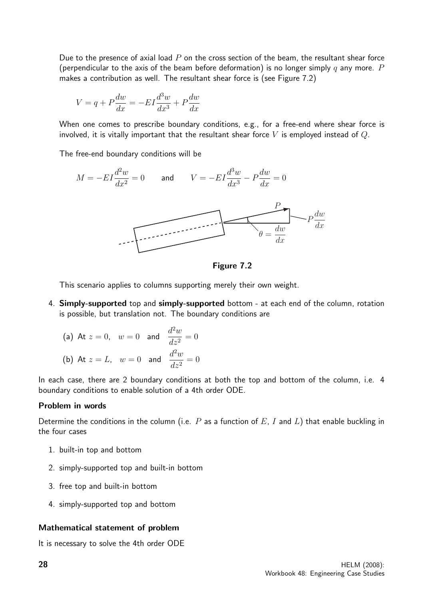Due to the presence of axial load  $P$  on the cross section of the beam, the resultant shear force (perpendicular to the axis of the beam before deformation) is no longer simply q any more. P makes a contribution as well. The resultant shear force is (see Figure 7.2)

$$
V = q + P\frac{dw}{dx} = -EI\frac{d^3w}{dx^3} + P\frac{dw}{dx}
$$

When one comes to prescribe boundary conditions, e.g., for a free-end where shear force is involved, it is vitally important that the resultant shear force  $V$  is employed instead of  $Q$ .

The free-end boundary conditions will be



Figure 7.2

This scenario applies to columns supporting merely their own weight.

4. Simply-supported top and simply-supported bottom - at each end of the column, rotation is possible, but translation not. The boundary conditions are

(a) At 
$$
z = 0
$$
,  $w = 0$  and  $\frac{d^2 w}{dz^2} = 0$   
\n(b) At  $z = L$ ,  $w = 0$  and  $\frac{d^2 w}{dz^2} = 0$ 

In each case, there are 2 boundary conditions at both the top and bottom of the column, i.e. 4 boundary conditions to enable solution of a 4th order ODE.

# Problem in words

Determine the conditions in the column (i.e.  $P$  as a function of  $E$ ,  $I$  and  $L$ ) that enable buckling in the four cases

- 1. built-in top and bottom
- 2. simply-supported top and built-in bottom
- 3. free top and built-in bottom
- 4. simply-supported top and bottom

# Mathematical statement of problem

It is necessary to solve the 4th order ODE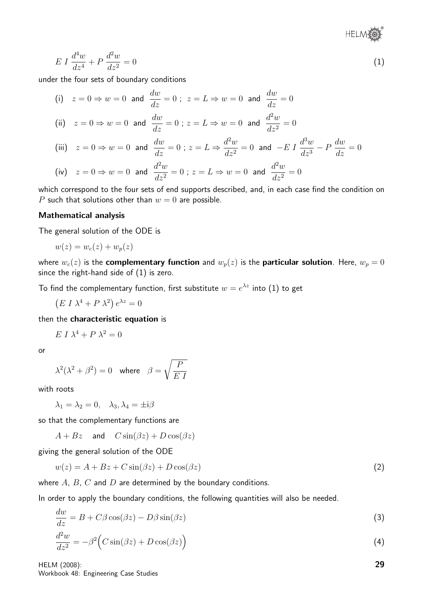®

$$
E I \frac{d^4 w}{dz^4} + P \frac{d^2 w}{dz^2} = 0 \tag{1}
$$

under the four sets of boundary conditions

(i) 
$$
z = 0 \Rightarrow w = 0
$$
 and  $\frac{dw}{dz} = 0$ ;  $z = L \Rightarrow w = 0$  and  $\frac{dw}{dz} = 0$   
\n(ii)  $z = 0 \Rightarrow w = 0$  and  $\frac{dw}{dz} = 0$ ;  $z = L \Rightarrow w = 0$  and  $\frac{d^2w}{dz^2} = 0$ 

(iii) 
$$
z = 0 \Rightarrow w = 0
$$
 and  $\frac{dw}{dz} = 0$ ;  $z = L \Rightarrow \frac{d^2w}{dz^2} = 0$  and  $-E I \frac{d^3w}{dz^3} - P \frac{dw}{dz} = 0$   
\n(iv)  $z = 0 \Rightarrow w = 0$  and  $\frac{d^2w}{dz^2} = 0$ ;  $z = L \Rightarrow w = 0$  and  $\frac{d^2w}{dz^2} = 0$ 

which correspond to the four sets of end supports described, and, in each case find the condition on P such that solutions other than  $w = 0$  are possible.

#### Mathematical analysis

The general solution of the ODE is

$$
w(z) = w_c(z) + w_p(z)
$$

where  $w_c(z)$  is the complementary function and  $w_p(z)$  is the particular solution. Here,  $w_p = 0$ since the right-hand side of (1) is zero.

To find the complementary function, first substitute  $w = e^{\lambda z}$  into (1) to get

 $(E I \lambda^4 + P \lambda^2) e^{\lambda z} = 0$ 

then the characteristic equation is

$$
E I \lambda^4 + P \lambda^2 = 0
$$

or

$$
\lambda^2(\lambda^2 + \beta^2) = 0 \quad \text{where} \quad \beta = \sqrt{\frac{P}{E I}}
$$

with roots

 $\lambda_1 = \lambda_2 = 0, \quad \lambda_3, \lambda_4 = \pm i\beta$ 

so that the complementary functions are

 $A + Bz$  and  $C \sin(\beta z) + D \cos(\beta z)$ 

giving the general solution of the ODE

$$
w(z) = A + Bz + C\sin(\beta z) + D\cos(\beta z)
$$
\n<sup>(2)</sup>

where  $A$ ,  $B$ ,  $C$  and  $D$  are determined by the boundary conditions.

In order to apply the boundary conditions, the following quantities will also be needed.

$$
\frac{dw}{dz} = B + C\beta \cos(\beta z) - D\beta \sin(\beta z)
$$
\n(3)

$$
\frac{d^2w}{dz^2} = -\beta^2 \Big( C \sin(\beta z) + D \cos(\beta z) \Big)
$$
\n(4)

HELM (2008): Workbook 48: Engineering Case Studies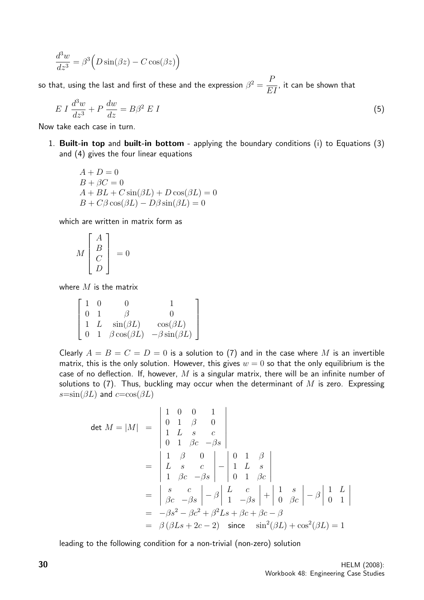$$
\frac{d^3w}{dz^3} = \beta^3 \left( D\sin(\beta z) - C\cos(\beta z) \right)
$$

so that, using the last and first of these and the expression  $\beta^2 = \frac{P}{P}$ EI , it can be shown that

$$
E I \frac{d^3 w}{dz^3} + P \frac{dw}{dz} = B\beta^2 E I \tag{5}
$$

Now take each case in turn.

1. Built-in top and built-in bottom - applying the boundary conditions (i) to Equations (3) and (4) gives the four linear equations

$$
A + D = 0
$$
  
\n
$$
B + \beta C = 0
$$
  
\n
$$
A + BL + C \sin(\beta L) + D \cos(\beta L) = 0
$$
  
\n
$$
B + C\beta \cos(\beta L) - D\beta \sin(\beta L) = 0
$$

which are written in matrix form as

$$
M\left[\begin{array}{c}A\\B\\C\\D\end{array}\right]=0
$$

where  $M$  is the matrix

$$
\begin{bmatrix} 1 & 0 & 0 & 1 \ 0 & 1 & \beta & 0 \ 1 & L & \sin(\beta L) & \cos(\beta L) \ 0 & 1 & \beta \cos(\beta L) & -\beta \sin(\beta L) \end{bmatrix}
$$

Clearly  $A = B = C = D = 0$  is a solution to (7) and in the case where M is an invertible matrix, this is the only solution. However, this gives  $w = 0$  so that the only equilibrium is the case of no deflection. If, however, M is a singular matrix, there will be an infinite number of solutions to (7). Thus, buckling may occur when the determinant of  $M$  is zero. Expressing  $s=\sin(\beta L)$  and  $c=\cos(\beta L)$ 

$$
\det M = |M| = \begin{vmatrix} 1 & 0 & 0 & 1 \\ 0 & 1 & \beta & 0 \\ 1 & L & s & c \\ 0 & 1 & \beta c & -\beta s \end{vmatrix}
$$
  
= 
$$
\begin{vmatrix} 1 & \beta & 0 \\ L & s & c \\ 1 & \beta c & -\beta s \end{vmatrix} - \begin{vmatrix} 0 & 1 & \beta \\ 1 & L & s \\ 0 & 1 & \beta c \end{vmatrix}
$$
  
= 
$$
\begin{vmatrix} s & c \\ \beta c & -\beta s \end{vmatrix} - \beta \begin{vmatrix} L & c \\ 1 & -\beta s \end{vmatrix} + \begin{vmatrix} 1 & s \\ 0 & \beta c \end{vmatrix} - \beta \begin{vmatrix} 1 & L \\ 0 & 1 \end{vmatrix}
$$
  
= 
$$
-\beta s^2 - \beta c^2 + \beta^2 Ls + \beta c + \beta c - \beta
$$
  
= 
$$
\beta (\beta Ls + 2c - 2) \text{ since } \sin^2(\beta L) + \cos^2(\beta L) = 1
$$

leading to the following condition for a non-trivial (non-zero) solution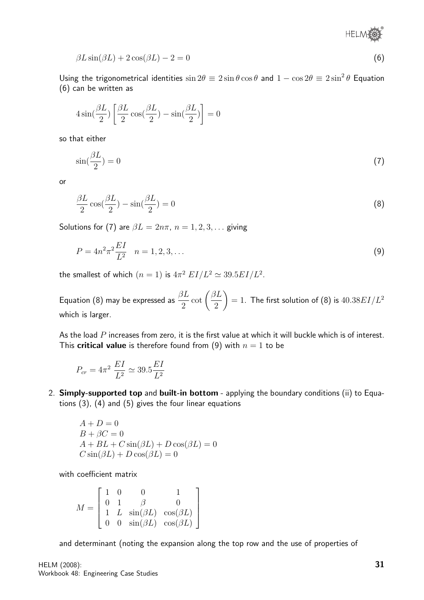® **HELMA** 

$$
\beta L \sin(\beta L) + 2 \cos(\beta L) - 2 = 0 \tag{6}
$$

Using the trigonometrical identities  $\sin 2\theta \equiv 2 \sin \theta \cos \theta$  and  $1 - \cos 2\theta \equiv 2 \sin^2 \theta$  Equation (6) can be written as

$$
4\sin(\frac{\beta L}{2})\left[\frac{\beta L}{2}\cos(\frac{\beta L}{2})-\sin(\frac{\beta L}{2})\right]=0
$$

so that either

$$
\sin(\frac{\beta L}{2}) = 0\tag{7}
$$

or

$$
\frac{\beta L}{2}\cos(\frac{\beta L}{2}) - \sin(\frac{\beta L}{2}) = 0\tag{8}
$$

Solutions for (7) are  $\beta L = 2n\pi$ ,  $n = 1, 2, 3, \dots$  giving

$$
P = 4n^2 \pi^2 \frac{EI}{L^2} \quad n = 1, 2, 3, \dots \tag{9}
$$

the smallest of which  $(n=1)$  is  $4\pi^2$   $EI/L^2 \simeq 39.5 EI/L^2$ .

Equation (8) may be expressed as  $\frac{\beta L}{\gamma}$ 2  $\cot\left(\frac{\beta L}{\alpha}\right)$ 2  $\bigg( = 1$ . The first solution of (8) is  $40.38EI/L^2$ which is larger.

As the load  $P$  increases from zero, it is the first value at which it will buckle which is of interest. This **critical value** is therefore found from (9) with  $n = 1$  to be

$$
P_{cr} = 4\pi^2 \frac{EI}{L^2} \simeq 39.5 \frac{EI}{L^2}
$$

2. Simply-supported top and built-in bottom - applying the boundary conditions (ii) to Equations (3), (4) and (5) gives the four linear equations

$$
A + D = 0
$$
  
\n
$$
B + \beta C = 0
$$
  
\n
$$
A + BL + C \sin(\beta L) + D \cos(\beta L) = 0
$$
  
\n
$$
C \sin(\beta L) + D \cos(\beta L) = 0
$$

with coefficient matrix

$$
M = \begin{bmatrix} 1 & 0 & 0 & 1 \\ 0 & 1 & \beta & 0 \\ 1 & L & \sin(\beta L) & \cos(\beta L) \\ 0 & 0 & \sin(\beta L) & \cos(\beta L) \end{bmatrix}
$$

and determinant (noting the expansion along the top row and the use of properties of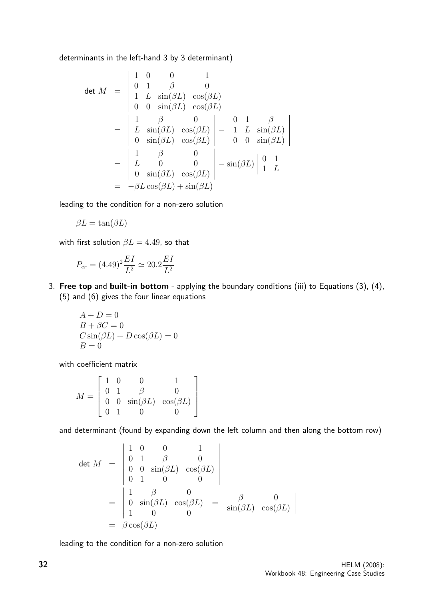determinants in the left-hand 3 by 3 determinant)

$$
\det M = \begin{vmatrix} 1 & 0 & 0 & 1 \\ 0 & 1 & \beta & 0 \\ 1 & L & \sin(\beta L) & \cos(\beta L) \\ 0 & 0 & \sin(\beta L) & \cos(\beta L) \end{vmatrix}
$$
  
= 
$$
\begin{vmatrix} 1 & \beta & 0 \\ L & \sin(\beta L) & \cos(\beta L) \\ 0 & \sin(\beta L) & \cos(\beta L) \end{vmatrix} - \begin{vmatrix} 0 & 1 & \beta \\ 1 & L & \sin(\beta L) \\ 0 & 0 & \sin(\beta L) \end{vmatrix}
$$
  
= 
$$
\begin{vmatrix} 1 & \beta & 0 \\ L & 0 & 0 \\ 0 & \sin(\beta L) & \cos(\beta L) \end{vmatrix} - \sin(\beta L) \begin{vmatrix} 0 & 1 \\ 1 & L \end{vmatrix}
$$
  
= 
$$
-\beta L \cos(\beta L) + \sin(\beta L)
$$

leading to the condition for a non-zero solution

$$
\beta L = \tan(\beta L)
$$

with first solution  $\beta L = 4.49$ , so that

$$
P_{cr} = (4.49)^2 \frac{EI}{L^2} \simeq 20.2 \frac{EI}{L^2}
$$

3. Free top and built-in bottom - applying the boundary conditions (iii) to Equations (3), (4), (5) and (6) gives the four linear equations

$$
A + D = 0
$$
  
\n
$$
B + \beta C = 0
$$
  
\n
$$
C \sin(\beta L) + D \cos(\beta L) = 0
$$
  
\n
$$
B = 0
$$

with coefficient matrix

$$
M = \left[ \begin{array}{cccc} 1 & 0 & 0 & 1 \\ 0 & 1 & \beta & 0 \\ 0 & 0 & \sin(\beta L) & \cos(\beta L) \\ 0 & 1 & 0 & 0 \end{array} \right]
$$

and determinant (found by expanding down the left column and then along the bottom row)

$$
\det M = \begin{vmatrix} 1 & 0 & 0 & 1 \\ 0 & 1 & \beta & 0 \\ 0 & 0 & \sin(\beta L) & \cos(\beta L) \\ 0 & 1 & 0 & 0 \end{vmatrix}
$$
  
= 
$$
\begin{vmatrix} 1 & \beta & 0 \\ 0 & \sin(\beta L) & \cos(\beta L) \\ 1 & 0 & 0 \end{vmatrix} = \begin{vmatrix} \beta & 0 \\ \sin(\beta L) & \cos(\beta L) \end{vmatrix}
$$
  
= 
$$
\beta \cos(\beta L)
$$

leading to the condition for a non-zero solution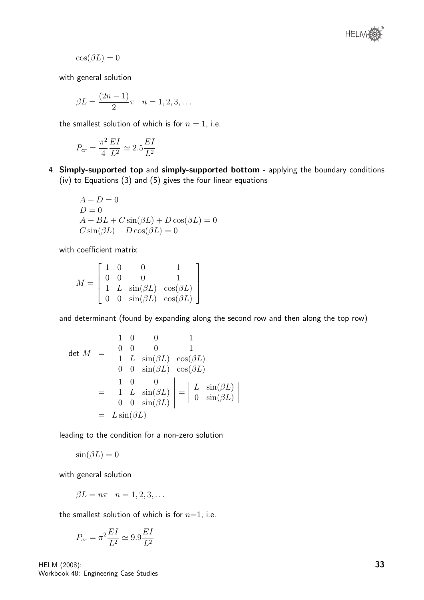

 $\cos(\beta L) = 0$ 

with general solution

$$
\beta L = \frac{(2n-1)}{2}\pi \quad n = 1, 2, 3, \dots
$$

the smallest solution of which is for  $n = 1$ , i.e.

$$
P_{cr}=\frac{\pi^2}{4}\frac{EI}{L^2}\simeq 2.5\frac{EI}{L^2}
$$

4. Simply-supported top and simply-supported bottom - applying the boundary conditions (iv) to Equations (3) and (5) gives the four linear equations

$$
A + D = 0
$$
  
\n
$$
D = 0
$$
  
\n
$$
A + BL + C \sin(\beta L) + D \cos(\beta L) = 0
$$
  
\n
$$
C \sin(\beta L) + D \cos(\beta L) = 0
$$

with coefficient matrix

$$
M = \begin{bmatrix} 1 & 0 & 0 & 1 \\ 0 & 0 & 0 & 1 \\ 1 & L & \sin(\beta L) & \cos(\beta L) \\ 0 & 0 & \sin(\beta L) & \cos(\beta L) \end{bmatrix}
$$

and determinant (found by expanding along the second row and then along the top row)

$$
\det M = \begin{vmatrix} 1 & 0 & 0 & 1 \\ 0 & 0 & 0 & 1 \\ 1 & L \sin(\beta L) & \cos(\beta L) \\ 0 & 0 & \sin(\beta L) & \cos(\beta L) \end{vmatrix}
$$

$$
= \begin{vmatrix} 1 & 0 & 0 \\ 1 & L \sin(\beta L) \\ 0 & 0 & \sin(\beta L) \end{vmatrix} = \begin{vmatrix} L \sin(\beta L) \\ 0 & \sin(\beta L) \end{vmatrix}
$$

$$
= L \sin(\beta L)
$$

leading to the condition for a non-zero solution

$$
\sin(\beta L) = 0
$$

with general solution

$$
\beta L = n\pi \quad n = 1, 2, 3, \dots
$$

the smallest solution of which is for  $n=1$ , i.e.

$$
P_{cr} = \pi^2 \frac{EI}{L^2} \simeq 9.9 \frac{EI}{L^2}
$$

HELM (2008): Workbook 48: Engineering Case Studies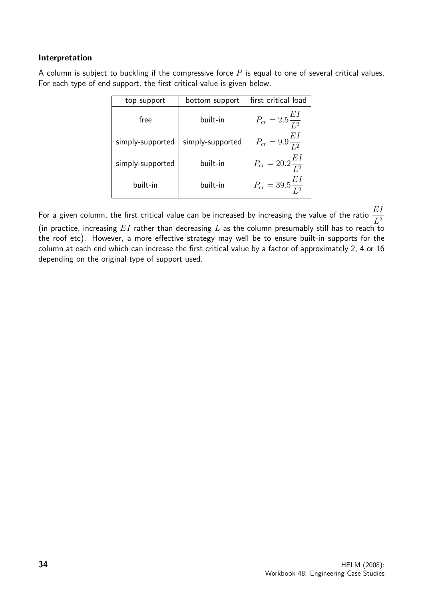# Interpretation

A column is subject to buckling if the compressive force  $P$  is equal to one of several critical values. For each type of end support, the first critical value is given below.

| top support      | bottom support   | first critical load            |
|------------------|------------------|--------------------------------|
| free             | built-in         | $P_{cr} = 2.5 \frac{EI}{I^2}$  |
| simply-supported | simply-supported | $P_{cr} = 9.9 \frac{EI}{I^2}$  |
| simply-supported | built-in         | $P_{cr} = 20.2 \frac{EI}{L^2}$ |
| built-in         | built-in         | $P_{cr} = 39.5 \frac{EI}{I^2}$ |

For a given column, the first critical value can be increased by increasing the value of the ratio  $\frac{EI}{\epsilon_2}$  $L^2$ (in practice, increasing  $EI$  rather than decreasing  $L$  as the column presumably still has to reach to the roof etc). However, a more effective strategy may well be to ensure built-in supports for the column at each end which can increase the first critical value by a factor of approximately 2, 4 or 16 depending on the original type of support used.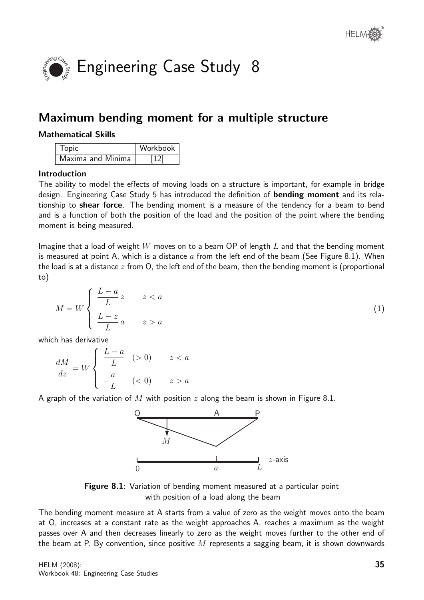

# Maximum bending moment for a multiple structure

# Mathematical Skills

| Topic             | Workbook |
|-------------------|----------|
| Maxima and Minima | [12]     |

# Introduction

The ability to model the effects of moving loads on a structure is important, for example in bridge design. Engineering Case Study 5 has introduced the definition of **bending moment** and its relationship to **shear force**. The bending moment is a measure of the tendency for a beam to bend and is a function of both the position of the load and the position of the point where the bending moment is being measured.

Imagine that a load of weight  $W$  moves on to a beam OP of length  $L$  and that the bending moment is measured at point A, which is a distance  $a$  from the left end of the beam (See Figure 8.1). When the load is at a distance  $z$  from O, the left end of the beam, then the bending moment is (proportional to)

$$
M = W \begin{cases} \frac{L-a}{L} z & z < a \\ \frac{L-z}{L} a & z > a \end{cases} \tag{1}
$$

which has derivative

$$
\frac{dM}{dz} = W \begin{cases} \frac{L-a}{L} & ( > 0) & z < a \\ -\frac{a}{L} & ( < 0) & z > a \end{cases}
$$

A graph of the variation of M with position z along the beam is shown in Figure 8.1.



Figure 8.1: Variation of bending moment measured at a particular point with position of a load along the beam

The bending moment measure at A starts from a value of zero as the weight moves onto the beam at O, increases at a constant rate as the weight approaches A, reaches a maximum as the weight passes over A and then decreases linearly to zero as the weight moves further to the other end of the beam at P. By convention, since positive  $M$  represents a sagging beam, it is shown downwards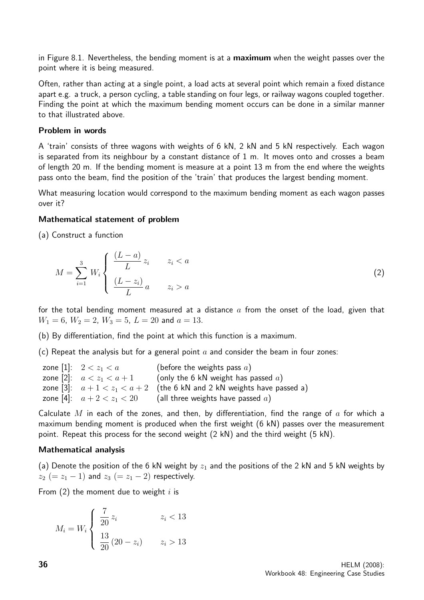in Figure 8.1. Nevertheless, the bending moment is at a **maximum** when the weight passes over the point where it is being measured.

Often, rather than acting at a single point, a load acts at several point which remain a fixed distance apart e.g. a truck, a person cycling, a table standing on four legs, or railway wagons coupled together. Finding the point at which the maximum bending moment occurs can be done in a similar manner to that illustrated above.

#### Problem in words

A 'train' consists of three wagons with weights of 6 kN, 2 kN and 5 kN respectively. Each wagon is separated from its neighbour by a constant distance of 1 m. It moves onto and crosses a beam of length 20 m. If the bending moment is measure at a point 13 m from the end where the weights pass onto the beam, find the position of the 'train' that produces the largest bending moment.

What measuring location would correspond to the maximum bending moment as each wagon passes over it?

#### Mathematical statement of problem

(a) Construct a function

$$
M = \sum_{i=1}^{3} W_i \begin{cases} \frac{(L-a)}{L} z_i & z_i < a \\ \frac{(L-z_i)}{L} a & z_i > a \end{cases}
$$
 (2)

for the total bending moment measured at a distance  $a$  from the onset of the load, given that  $W_1 = 6$ ,  $W_2 = 2$ ,  $W_3 = 5$ ,  $L = 20$  and  $a = 13$ .

(b) By differentiation, find the point at which this function is a maximum.

(c) Repeat the analysis but for a general point  $a$  and consider the beam in four zones:

| zone [1]: $2 < z_1 < a$      | (before the weights pass $a$ )                                        |
|------------------------------|-----------------------------------------------------------------------|
| zone [2]: $a < z_1 < a + 1$  | (only the 6 kN weight has passed $a$ )                                |
|                              | zone [3]: $a+1 < z_1 < a+2$ (the 6 kN and 2 kN weights have passed a) |
| zone [4]: $a + 2 < z_1 < 20$ | (all three weights have passed $a$ )                                  |

Calculate M in each of the zones, and then, by differentiation, find the range of a for which a maximum bending moment is produced when the first weight (6 kN) passes over the measurement point. Repeat this process for the second weight (2 kN) and the third weight (5 kN).

#### Mathematical analysis

(a) Denote the position of the 6 kN weight by  $z_1$  and the positions of the 2 kN and 5 kN weights by  $z_2 (= z_1 - 1)$  and  $z_3 (= z_1 - 2)$  respectively.

From  $(2)$  the moment due to weight i is

$$
M_i = W_i \begin{cases} \frac{7}{20} z_i & z_i < 13 \\ \frac{13}{20} (20 - z_i) & z_i > 13 \end{cases}
$$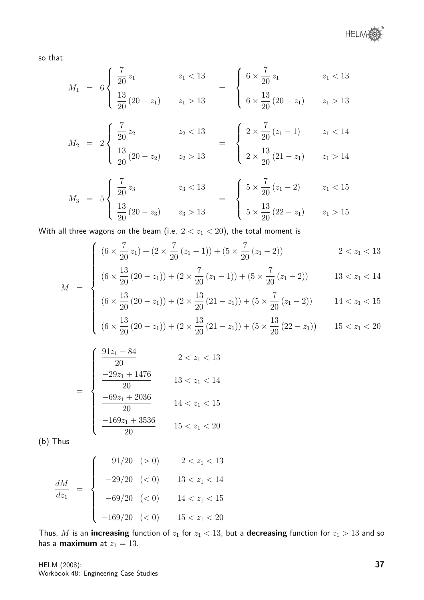so that

$$
M_1 = 6 \begin{cases} \frac{7}{20} z_1 & z_1 < 13 \\ \frac{13}{20} (20 - z_1) & z_1 > 13 \end{cases} = \begin{cases} 6 \times \frac{7}{20} z_1 & z_1 < 13 \\ 6 \times \frac{13}{20} (20 - z_1) & z_1 > 13 \end{cases}
$$

$$
M_2 = 2 \begin{cases} \frac{7}{20} z_2 & z_2 < 13 \\ \frac{13}{20} (20 - z_2) & z_2 > 13 \end{cases} = \begin{cases} 2 \times \frac{7}{20} (z_1 - 1) & z_1 < 14 \\ 2 \times \frac{13}{20} (21 - z_1) & z_1 > 14 \end{cases}
$$

$$
M_3 = 5 \begin{cases} \frac{7}{20} z_3 & z_3 < 13 \\ \frac{13}{20} (20 - z_3) & z_3 > 13 \end{cases} = \begin{cases} 5 \times \frac{7}{20} (z_1 - 2) & z_1 < 15 \\ 5 \times \frac{13}{20} (22 - z_1) & z_1 > 15 \end{cases}
$$

With all three wagons on the beam (i.e.  $2 < z<sub>1</sub> < 20$ ), the total moment is

$$
\left( (6 \times \frac{7}{20} z_1) + (2 \times \frac{7}{20} (z_1 - 1)) + (5 \times \frac{7}{20} (z_1 - 2)) \right) \qquad 2 < z_1 < 13
$$

$$
(6 \times \frac{13}{20} z_1) + (2 \times \frac{7}{20} (z_1 - 1)) + (5 \times \frac{7}{20} (z_1 - 2)) \qquad \qquad 2 < z_1 < 13
$$
  

$$
(6 \times \frac{13}{20} (20 - z_1)) + (2 \times \frac{7}{20} (z_1 - 1)) + (5 \times \frac{7}{20} (z_1 - 2)) \qquad \qquad 13 < z_1 < 14
$$

$$
(6 \times \frac{13}{20} (20 - z_1)) + (2 \times \frac{13}{20} (21 - z_1)) + (5 \times \frac{7}{20} (z_1 - 2)) \qquad 14 < z_1 < 15
$$

$$
\begin{cases}\n(6 \times \frac{15}{20} (20 - z_1)) + (2 \times \frac{15}{20} (21 - z_1)) + (5 \times \frac{1}{20} (z_1 - 2)) & 14 < z_1 < 15 \\
(6 \times \frac{13}{20} (20 - z_1)) + (2 \times \frac{13}{20} (21 - z_1)) + (5 \times \frac{13}{20} (22 - z_1)) & 15 < z_1 < 20\n\end{cases}
$$

$$
= \begin{cases} \frac{91z_1 - 84}{20} & 2 < z_1 < 13 \\ \frac{-29z_1 + 1476}{20} & 13 < z_1 < 14 \\ \frac{-69z_1 + 2036}{20} & 14 < z_1 < 15 \\ \frac{-169z_1 + 3536}{20} & 15 < z_1 < 20 \end{cases}
$$

(b) Thus

 $\cal M$ 

$$
\frac{dM}{dz_1} = \begin{cases}\n91/20 & (> 0) \\
-29/20 & (< 0) \\
-69/20 & (< 0) \\
-169/20 & (< 0) \\
15 < z_1 < 20\n\end{cases}
$$

Thus, M is an increasing function of  $z_1$  for  $z_1 < 13$ , but a decreasing function for  $z_1 > 13$  and so has a **maximum** at  $z_1 = 13$ .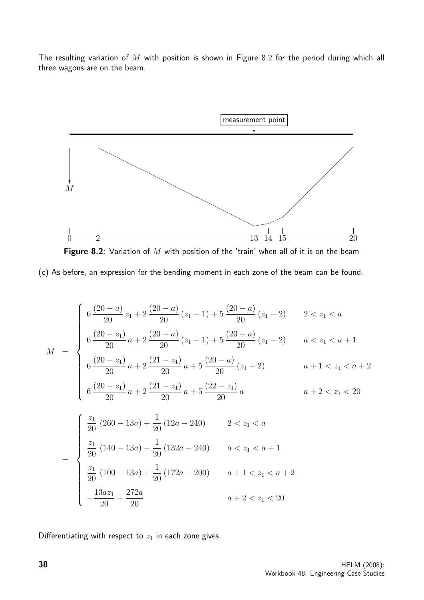The resulting variation of  $M$  with position is shown in Figure 8.2 for the period during which all three wagons are on the beam.



Figure 8.2: Variation of  $M$  with position of the 'train' when all of it is on the beam (c) As before, an expression for the bending moment in each zone of the beam can be found.

$$
M = \begin{cases} 6 \frac{(20-a)}{20} z_1 + 2 \frac{(20-a)}{20} (z_1 - 1) + 5 \frac{(20-a)}{20} (z_1 - 2) & 2 < z_1 < a \\ 6 \frac{(20-z_1)}{20} a + 2 \frac{(20-a)}{20} (z_1 - 1) + 5 \frac{(20-a)}{20} (z_1 - 2) & a < z_1 < a + 1 \\ 6 \frac{(20-z_1)}{20} a + 2 \frac{(21-z_1)}{20} a + 5 \frac{(20-a)}{20} (z_1 - 2) & a + 1 < z_1 < a + 2 \\ 6 \frac{(20-z_1)}{20} a + 2 \frac{(21-z_1)}{20} a + 5 \frac{(22-z_1)}{20} a & a + 2 < z_1 < 20 \end{cases}
$$
  

$$
\left( \frac{z_1}{20} (260 - 13a) + \frac{1}{20} (12a - 240) \right) 2 < z_1 < a
$$

$$
= \begin{cases} \frac{1}{20} (260 - 13a) + \frac{1}{20} (12a - 240) & 2 < z_1 < a \\ \frac{z_1}{20} (140 - 13a) + \frac{1}{20} (132a - 240) & a < z_1 < a + 1 \\ \frac{z_1}{20} (100 - 13a) + \frac{1}{20} (172a - 200) & a + 1 < z_1 < a + 2 \\ -\frac{13az_1}{20} + \frac{272a}{20} & a + 2 < z_1 < 20 \end{cases}
$$

Differentiating with respect to  $z_1$  in each zone gives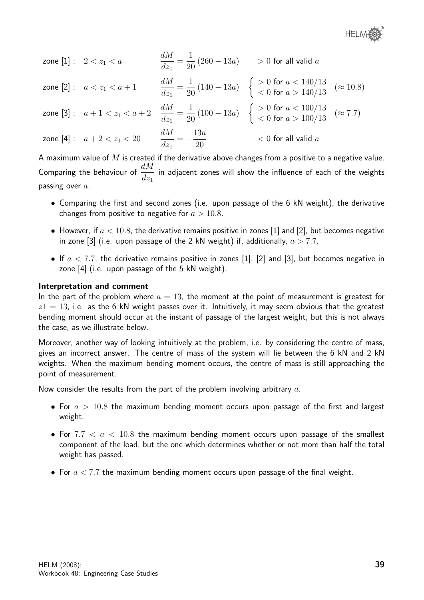

| zone $[1]: 2 < z_1 < a$                                           | $\frac{dM}{dz_1} = \frac{1}{20} (260 - 13a)$ > 0 for all valid a                                                                                                                   |                         |  |
|-------------------------------------------------------------------|------------------------------------------------------------------------------------------------------------------------------------------------------------------------------------|-------------------------|--|
|                                                                   | zone [2]: $a < z_1 < a + 1$ $\frac{dM}{dz_1} = \frac{1}{20} (140 - 13a)$ $\begin{cases} > 0 \text{ for } a < 140/13 \\ < 0 \text{ for } a > 140/13 \end{cases}$ ( $\approx 10.8$ ) |                         |  |
|                                                                   | zone [3]: $a+1 < z_1 < a+2$ $\frac{dM}{dz_1} = \frac{1}{20} (100 - 13a)$ $\begin{cases} > 0 \text{ for } a < 100/13 \\ < 0 \text{ for } a > 100/13 \end{cases}$ ( $\approx 7.7$ )  |                         |  |
| zone [4] : $a + 2 < z_1 < 20$ $\frac{dM}{dz_1} = -\frac{13a}{20}$ |                                                                                                                                                                                    | $< 0$ for all valid $a$ |  |

A maximum value of  $M$  is created if the derivative above changes from a positive to a negative value. Comparing the behaviour of  $\frac{dM}{dt}$  $dz_1$ in adjacent zones will show the influence of each of the weights passing over  $a$ .

- Comparing the first and second zones (i.e. upon passage of the 6 kN weight), the derivative changes from positive to negative for  $a > 10.8$ .
- However, if  $a < 10.8$ , the derivative remains positive in zones [1] and [2], but becomes negative in zone [3] (i.e. upon passage of the 2 kN weight) if, additionally,  $a > 7.7$ .
- If  $a < 7.7$ , the derivative remains positive in zones [1], [2] and [3], but becomes negative in zone [4] (i.e. upon passage of the 5 kN weight).

#### Interpretation and comment

In the part of the problem where  $a = 13$ , the moment at the point of measurement is greatest for  $z1 = 13$ , i.e. as the 6 kN weight passes over it. Intuitively, it may seem obvious that the greatest bending moment should occur at the instant of passage of the largest weight, but this is not always the case, as we illustrate below.

Moreover, another way of looking intuitively at the problem, i.e. by considering the centre of mass, gives an incorrect answer. The centre of mass of the system will lie between the 6 kN and 2 kN weights. When the maximum bending moment occurs, the centre of mass is still approaching the point of measurement.

Now consider the results from the part of the problem involving arbitrary  $a$ .

- For  $a > 10.8$  the maximum bending moment occurs upon passage of the first and largest weight.
- For  $7.7 < a < 10.8$  the maximum bending moment occurs upon passage of the smallest component of the load, but the one which determines whether or not more than half the total weight has passed.
- For  $a < 7.7$  the maximum bending moment occurs upon passage of the final weight.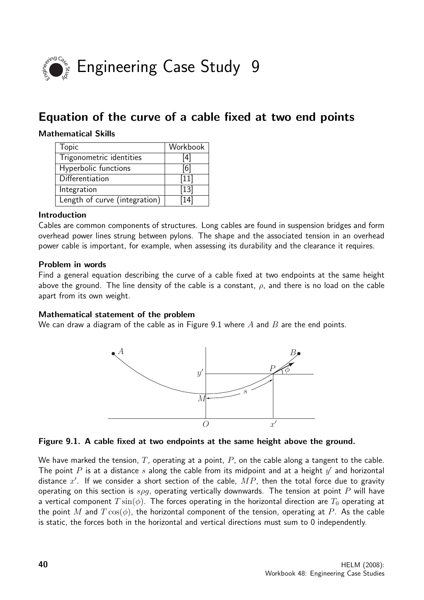

# Equation of the curve of a cable fixed at two end points

## Mathematical Skills

| <b>Topic</b>                  | Workbook |
|-------------------------------|----------|
| Trigonometric identities      | [4]      |
| Hyperbolic functions          | [6]      |
| Differentiation               | $[11]$   |
| Integration                   | $[13]$   |
| Length of curve (integration) | 141      |

## Introduction

Cables are common components of structures. Long cables are found in suspension bridges and form overhead power lines strung between pylons. The shape and the associated tension in an overhead power cable is important, for example, when assessing its durability and the clearance it requires.

## Problem in words

Find a general equation describing the curve of a cable fixed at two endpoints at the same height above the ground. The line density of the cable is a constant,  $\rho$ , and there is no load on the cable apart from its own weight.

#### Mathematical statement of the problem

We can draw a diagram of the cable as in Figure 9.1 where  $A$  and  $B$  are the end points.





We have marked the tension,  $T$ , operating at a point,  $P$ , on the cable along a tangent to the cable. The point  $P$  is at a distance  $s$  along the cable from its midpoint and at a height  $y'$  and horizontal distance  $x'$ . If we consider a short section of the cable,  $MP$ , then the total force due to gravity operating on this section is  $s\rho q$ , operating vertically downwards. The tension at point P will have a vertical component  $T \sin(\phi)$ . The forces operating in the horizontal direction are  $T_0$  operating at the point M and  $T \cos(\phi)$ , the horizontal component of the tension, operating at P. As the cable is static, the forces both in the horizontal and vertical directions must sum to 0 independently.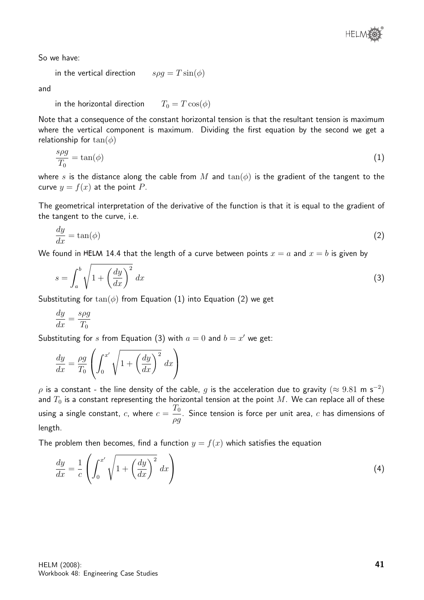So we have:

in the vertical direction 
$$
s\rho g = T \sin(\phi)
$$

and

in the horizontal direction 
$$
T_0 = T \cos(\phi)
$$

Note that a consequence of the constant horizontal tension is that the resultant tension is maximum where the vertical component is maximum. Dividing the first equation by the second we get a relationship for  $tan(\phi)$ 

$$
\frac{s\rho g}{T_0} = \tan(\phi) \tag{1}
$$

where s is the distance along the cable from M and  $tan(\phi)$  is the gradient of the tangent to the curve  $y = f(x)$  at the point P.

The geometrical interpretation of the derivative of the function is that it is equal to the gradient of the tangent to the curve, i.e.

$$
\frac{dy}{dx} = \tan(\phi) \tag{2}
$$

We found in HELM 14.4 that the length of a curve between points  $x = a$  and  $x = b$  is given by

$$
s = \int_{a}^{b} \sqrt{1 + \left(\frac{dy}{dx}\right)^2} dx
$$
 (3)

Substituting for  $tan(\phi)$  from Equation (1) into Equation (2) we get

$$
\frac{dy}{dx} = \frac{s\rho g}{T_0}
$$

Substituting for s from Equation (3) with  $a = 0$  and  $b = x'$  we get:

$$
\frac{dy}{dx} = \frac{\rho g}{T_0} \left( \int_0^{x'} \sqrt{1 + \left(\frac{dy}{dx}\right)^2} dx \right)
$$

 $\rho$  is a constant - the line density of the cable,  $g$  is the acceleration due to gravity  $(\approx 9.81\,$  m s $^{-2})$ and  $T_0$  is a constant representing the horizontal tension at the point M. We can replace all of these using a single constant,  $c$ , where  $c=\frac{T_0}{T_0}$ ρg . Since tension is force per unit area,  $c$  has dimensions of length.

The problem then becomes, find a function  $y = f(x)$  which satisfies the equation

$$
\frac{dy}{dx} = \frac{1}{c} \left( \int_0^{x'} \sqrt{1 + \left( \frac{dy}{dx} \right)^2} dx \right) \tag{4}
$$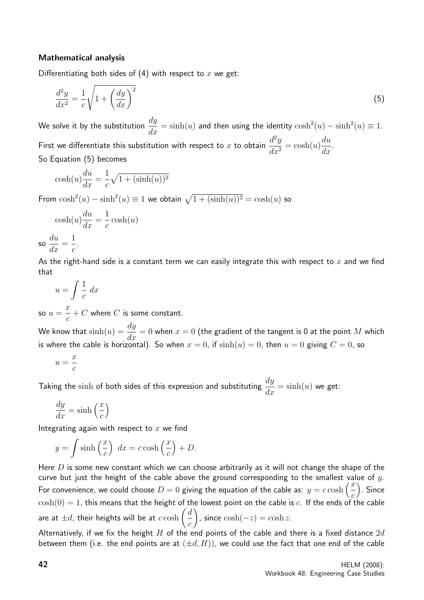## Mathematical analysis

Differentiating both sides of  $(4)$  with respect to x we get:

$$
\frac{d^2y}{dx^2} = \frac{1}{c}\sqrt{1 + \left(\frac{dy}{dx}\right)^2} \tag{5}
$$

We solve it by the substitution  $\frac{dy}{dx} = \sinh(u)$  and then using the identity  $\cosh^2(u) - \sinh^2(u) \equiv 1.$ First we differentiate this substitution with respect to x to obtain  $\frac{d^2y}{dx^2}$  $\frac{d^{2}y}{dx^{2}} = \cosh(u)$ du  $\frac{d}{dx}$ So Equation (5) becomes

$$
\cosh(u)\frac{du}{dx} = \frac{1}{c}\sqrt{1 + (\sinh(u))^2}
$$

From  $\cosh^2(u) - \sinh^2(u) \equiv 1$  we obtain  $\sqrt{1 + (\sinh(u))^2} = \cosh(u)$  so

$$
\cosh(u)\frac{du}{dx} = \frac{1}{c}\cosh(u)
$$

$$
\frac{du}{dx} = \frac{1}{c}.
$$

$$
\text{so } \frac{dx}{dx} = \frac{1}{c}
$$

As the right-hand side is a constant term we can easily integrate this with respect to x and we find that

$$
u = \int \frac{1}{c} \, dx
$$

so  $u =$  $\overline{x}$ c  $+$   $C$  where  $C$  is some constant.

We know that  $\sinh(u) = \frac{dy}{dx}$  $\frac{dy}{dx} = 0$  when  $x = 0$  (the gradient of the tangent is 0 at the point M which is where the cable is horizontal). So when  $x=0$ , if  $\sinh(u)=0,$  then  $u=0$  giving  $C=0$ , so

$$
u = \frac{x}{c}
$$

Taking the  $\sinh$  of both sides of this expression and substituting  $\frac{dy}{dt}$  $\frac{dy}{dx} = \sinh(u)$  we get:

$$
\frac{dy}{dx} = \sinh\left(\frac{x}{c}\right)
$$

Integrating again with respect to  $x$  we find

$$
y = \int \sinh\left(\frac{x}{c}\right) dx = c \cosh\left(\frac{x}{c}\right) + D.
$$

Here  $D$  is some new constant which we can choose arbitrarily as it will not change the shape of the curve but just the height of the cable above the ground corresponding to the smallest value of  $y$ . For convenience, we could choose  $D = 0$  giving the equation of the cable as:  $y = c \cosh \left( \frac{x}{c} \right)$ c . Since  $\cosh(0) = 1$ , this means that the height of the lowest point on the cable is c. If the ends of the cable are at  $\pm d$ , their heights will be at  $c\cosh\left( \frac{d\cosh\theta}{dt}\right)$ c  $\setminus$ , since  $\cosh(-z) = \cosh z$ .

Alternatively, if we fix the height  $H$  of the end points of the cable and there is a fixed distance  $2d$ between them (i.e. the end points are at  $(\pm d, H)$ ), we could use the fact that one end of the cable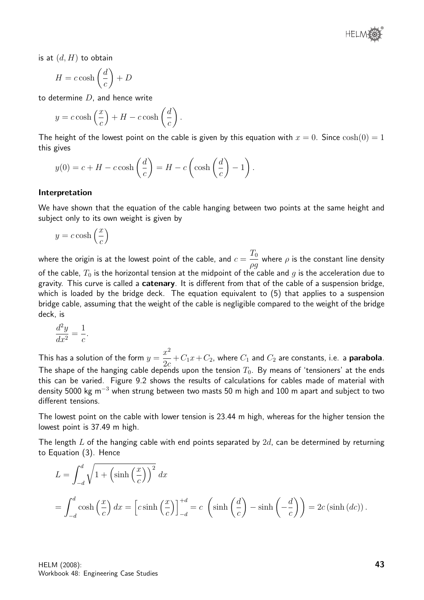

is at  $(d, H)$  to obtain

$$
H = c \cosh\left(\frac{d}{c}\right) + D
$$

to determine  $D$ , and hence write

$$
y = c \cosh\left(\frac{x}{c}\right) + H - c \cosh\left(\frac{d}{c}\right).
$$

The height of the lowest point on the cable is given by this equation with  $x = 0$ . Since  $\cosh(0) = 1$ this gives

$$
y(0) = c + H - c \cosh\left(\frac{d}{c}\right) = H - c \left(\cosh\left(\frac{d}{c}\right) - 1\right).
$$

#### Interpretation

We have shown that the equation of the cable hanging between two points at the same height and subject only to its own weight is given by

$$
y = c \cosh\left(\frac{x}{c}\right)
$$

where the origin is at the lowest point of the cable, and  $c=\frac{T_0}{T_0}$ ρg where  $\rho$  is the constant line density of the cable,  $T_0$  is the horizontal tension at the midpoint of the cable and g is the acceleration due to gravity. This curve is called a **catenary**. It is different from that of the cable of a suspension bridge, which is loaded by the bridge deck. The equation equivalent to (5) that applies to a suspension bridge cable, assuming that the weight of the cable is negligible compared to the weight of the bridge deck, is

$$
\frac{d^2y}{dx^2} = \frac{1}{c}.
$$

This has a solution of the form  $y =$  $x^2$  $\frac{x}{2c} + C_1x + C_2$ , where  $C_1$  and  $C_2$  are constants, i.e. a **parabola**. The shape of the hanging cable depends upon the tension  $T_0$ . By means of 'tensioners' at the ends this can be varied. Figure 9.2 shows the results of calculations for cables made of material with density 5000 kg m<sup>-3</sup> when strung between two masts 50 m high and 100 m apart and subject to two different tensions.

The lowest point on the cable with lower tension is 23.44 m high, whereas for the higher tension the lowest point is 37.49 m high.

The length  $L$  of the hanging cable with end points separated by  $2d$ , can be determined by returning to Equation (3). Hence

$$
L = \int_{-d}^{d} \sqrt{1 + \left(\sinh\left(\frac{x}{c}\right)\right)^2} dx
$$
  
= 
$$
\int_{-d}^{d} \cosh\left(\frac{x}{c}\right) dx = \left[c \sinh\left(\frac{x}{c}\right)\right]_{-d}^{+d} = c \left(\sinh\left(\frac{d}{c}\right) - \sinh\left(-\frac{d}{c}\right)\right) = 2c \left(\sinh\left(dc\right)\right).
$$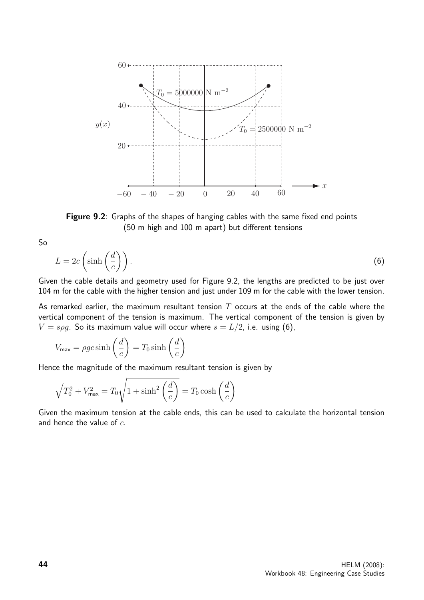

Figure 9.2: Graphs of the shapes of hanging cables with the same fixed end points (50 m high and 100 m apart) but different tensions

So

$$
L = 2c\left(\sinh\left(\frac{d}{c}\right)\right). \tag{6}
$$

Given the cable details and geometry used for Figure 9.2, the lengths are predicted to be just over 104 m for the cable with the higher tension and just under 109 m for the cable with the lower tension.

As remarked earlier, the maximum resultant tension  $T$  occurs at the ends of the cable where the vertical component of the tension is maximum. The vertical component of the tension is given by  $V = s\rho g$ . So its maximum value will occur where  $s = L/2$ , i.e. using (6),

$$
V_{\text{max}} = \rho g c \sinh\left(\frac{d}{c}\right) = T_0 \sinh\left(\frac{d}{c}\right)
$$

Hence the magnitude of the maximum resultant tension is given by

$$
\sqrt{T_0^2 + V_{\text{max}}^2} = T_0 \sqrt{1 + \sinh^2\left(\frac{d}{c}\right)} = T_0 \cosh\left(\frac{d}{c}\right)
$$

Given the maximum tension at the cable ends, this can be used to calculate the horizontal tension and hence the value of  $c$ .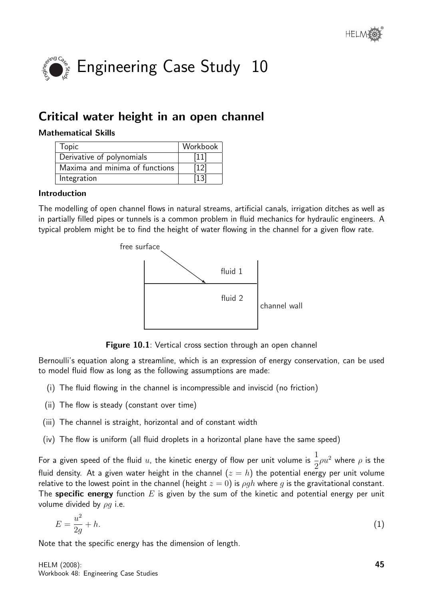

# Critical water height in an open channel

## Mathematical Skills

| <b>Topic</b>                   | Workbook |
|--------------------------------|----------|
| Derivative of polynomials      | $[11]$   |
| Maxima and minima of functions | 12       |
| Integration                    |          |

## Introduction

The modelling of open channel flows in natural streams, artificial canals, irrigation ditches as well as in partially filled pipes or tunnels is a common problem in fluid mechanics for hydraulic engineers. A typical problem might be to find the height of water flowing in the channel for a given flow rate.



Figure 10.1: Vertical cross section through an open channel

Bernoulli's equation along a streamline, which is an expression of energy conservation, can be used to model fluid flow as long as the following assumptions are made:

- (i) The fluid flowing in the channel is incompressible and inviscid (no friction)
- (ii) The flow is steady (constant over time)
- (iii) The channel is straight, horizontal and of constant width
- (iv) The flow is uniform (all fluid droplets in a horizontal plane have the same speed)

For a given speed of the fluid  $u$ , the kinetic energy of flow per unit volume is  $\frac{1}{2}$ 2  $\rho u^2$  where  $\rho$  is the fluid density. At a given water height in the channel  $(z = h)$  the potential energy per unit volume relative to the lowest point in the channel (height  $z = 0$ ) is  $\rho gh$  where q is the gravitational constant. The specific energy function  $E$  is given by the sum of the kinetic and potential energy per unit volume divided by  $\rho g$  i.e.

$$
E = \frac{u^2}{2g} + h.\tag{1}
$$

Note that the specific energy has the dimension of length.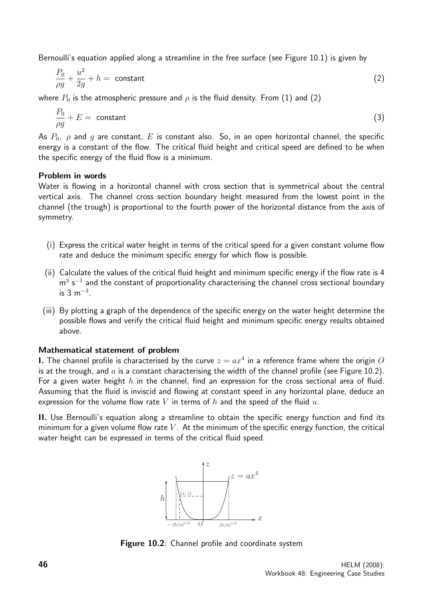Bernoulli's equation applied along a streamline in the free surface (see Figure 10.1) is given by

$$
\frac{P_0}{\rho g} + \frac{u^2}{2g} + h = \text{ constant} \tag{2}
$$

where  $P_0$  is the atmospheric pressure and  $\rho$  is the fluid density. From (1) and (2)

$$
\frac{P_0}{\rho g} + E = \text{ constant} \tag{3}
$$

As  $P_0$ ,  $\rho$  and  $q$  are constant,  $E$  is constant also. So, in an open horizontal channel, the specific energy is a constant of the flow. The critical fluid height and critical speed are defined to be when the specific energy of the fluid flow is a minimum.

#### Problem in words

Water is flowing in a horizontal channel with cross section that is symmetrical about the central vertical axis. The channel cross section boundary height measured from the lowest point in the channel (the trough) is proportional to the fourth power of the horizontal distance from the axis of symmetry.

- (i) Express the critical water height in terms of the critical speed for a given constant volume flow rate and deduce the minimum specific energy for which flow is possible.
- (ii) Calculate the values of the critical fluid height and minimum specific energy if the flow rate is 4  $m^3$  s<sup>-1</sup> and the constant of proportionality characterising the channel cross sectional boundary is 3 m<sup> $-3$ </sup>.
- (iii) By plotting a graph of the dependence of the specific energy on the water height determine the possible flows and verify the critical fluid height and minimum specific energy results obtained above.

#### Mathematical statement of problem

**I.** The channel profile is characterised by the curve  $z = ax^4$  in a reference frame where the origin  $O$ is at the trough, and  $a$  is a constant characterising the width of the channel profile (see Figure 10.2). For a given water height h in the channel, find an expression for the cross sectional area of fluid. Assuming that the fluid is inviscid and flowing at constant speed in any horizontal plane, deduce an expression for the volume flow rate V in terms of  $h$  and the speed of the fluid  $u$ .

II. Use Bernoulli's equation along a streamline to obtain the specific energy function and find its minimum for a given volume flow rate  $V$ . At the minimum of the specific energy function, the critical water height can be expressed in terms of the critical fluid speed.



Figure 10.2: Channel profile and coordinate system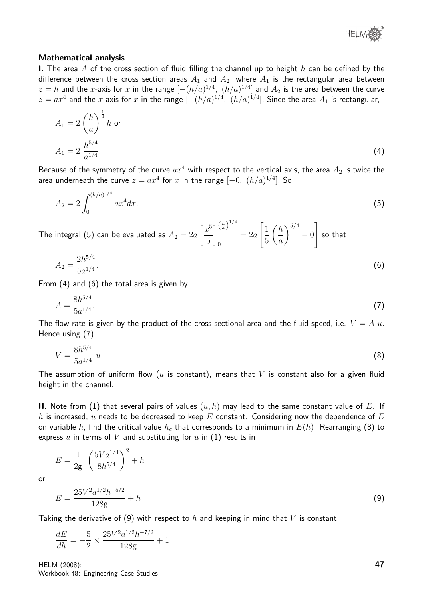

#### Mathematical analysis

I. The area A of the cross section of fluid filling the channel up to height  $h$  can be defined by the difference between the cross section areas  $A_1$  and  $A_2$ , where  $A_1$  is the rectangular area between  $z=h$  and the  $x$ -axis for  $x$  in the range  $[-(h/a)^{1/4},\ (h/a)^{1/4}]$  and  $A_2$  is the area between the curve  $z=ax^4$  and the  $x$ -axis for  $x$  in the range  $[-(h/a)^{1/4},\ (h/a)^{1/4}].$  Since the area  $A_1$  is rectangular,

$$
A_1 = 2\left(\frac{h}{a}\right)^{\frac{1}{4}} h \text{ or}
$$
  

$$
A_1 = 2\frac{h^{5/4}}{a^{1/4}}.
$$
 (4)

Because of the symmetry of the curve  $ax^4$  with respect to the vertical axis, the area  $A_2$  is twice the area underneath the curve  $z=ax^4$  for  $x$  in the range  $[-0,\;(h/a)^{1/4}].$  So

$$
A_2 = 2 \int_0^{(h/a)^{1/4}} ax^4 dx.
$$
 (5)

The integral (5) can be evaluated as  $A_2=2a$  $\lceil x^5$ 5  $\left(\frac{h}{a}\right)^{1/4}$ 0  $= 2a$  $\lceil 1 \rceil$ 5  $\bigwedge h$ a  $\bigwedge^{5/4}$ − 0 1 so that

$$
A_2 = \frac{2h^{5/4}}{5a^{1/4}}.\tag{6}
$$

From (4) and (6) the total area is given by

$$
A = \frac{8h^{5/4}}{5a^{1/4}}.\tag{7}
$$

The flow rate is given by the product of the cross sectional area and the fluid speed, i.e.  $V = A u$ . Hence using (7)

$$
V = \frac{8h^{5/4}}{5a^{1/4}} u
$$
 (8)

The assumption of uniform flow ( $u$  is constant), means that  $V$  is constant also for a given fluid height in the channel.

**II.** Note from (1) that several pairs of values  $(u, h)$  may lead to the same constant value of E. If h is increased, u needs to be decreased to keep  $E$  constant. Considering now the dependence of  $E$ on variable h, find the critical value  $h_c$  that corresponds to a minimum in  $E(h)$ . Rearranging (8) to express  $u$  in terms of  $V$  and substituting for  $u$  in  $(1)$  results in

 $E =$ 1 2g  $\sqrt{5}Va^{1/4}$  $8h^{5/4}$  $\setminus^2$  $+h$ 

or

$$
E = \frac{25V^2a^{1/2}h^{-5/2}}{128g} + h
$$
\n(9)

Taking the derivative of (9) with respect to h and keeping in mind that V is constant

$$
\frac{dE}{dh} = -\frac{5}{2} \times \frac{25V^2 a^{1/2} h^{-7/2}}{128 \mathsf{g}} + 1
$$

HELM (2008): Workbook 48: Engineering Case Studies 47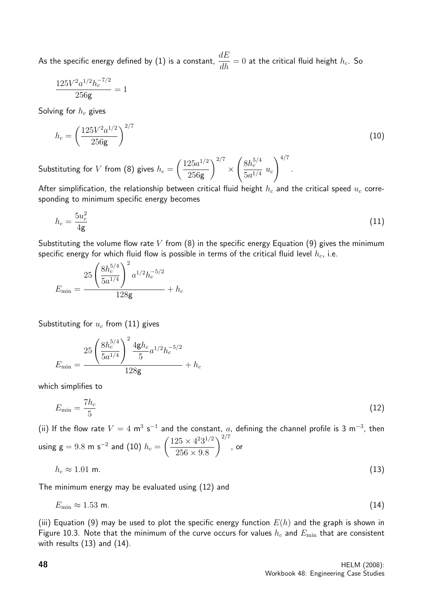As the specific energy defined by (1) is a constant,  $\frac{dE}{dt}$  $\frac{dE}{dh} = 0$  at the critical fluid height  $h_c$ . So

$$
\frac{125 V^2 a^{1/2} h_c^{-7/2}}{256 \text{g}} = 1
$$

Solving for  $h_c$  gives

$$
h_c = \left(\frac{125V^2a^{1/2}}{256g}\right)^{2/7}
$$
 (10)

.

Substituting for  $V$  from (8) gives  $h_c =$  $(125a^{1/2})$ 256g  $\bigwedge^{2/7}$ ×  $\int 8h_c^{5/4}$  $rac{5a^{1/4}}{5a^{1/4}}$   $u_c$  $\bigwedge^{4/7}$ 

After simplification, the relationship between critical fluid height  $h_c$  and the critical speed  $u_c$  corresponding to minimum specific energy becomes

$$
h_c = \frac{5u_c^2}{4g} \tag{11}
$$

Substituting the volume flow rate V from  $(8)$  in the specific energy Equation  $(9)$  gives the minimum specific energy for which fluid flow is possible in terms of the critical fluid level  $h_c$ , i.e.

$$
E_{\min} = \frac{25 \left( \frac{8h_c^{5/4}}{5a^{1/4}} \right)^2 a^{1/2} h_c^{-5/2}}{128 \mathsf{g}} + h_c
$$

Substituting for  $u_c$  from (11) gives

$$
E_{\min} = \frac{25 \left( \frac{8 h_c^{5/4}}{5 a^{1/4}} \right)^2 \frac{4 \mathrm{g} h_c}{5} a^{1/2} h_c^{-5/2}}{128 \mathrm{g}} + h_c
$$

which simplifies to

$$
E_{\min} = \frac{7h_c}{5} \tag{12}
$$

(ii) If the flow rate  $V = 4$  m<sup>3</sup> s<sup>-1</sup> and the constant, a, defining the channel profile is 3 m<sup>-3</sup>, then using  $g = 9.8$  m s<sup>-2</sup> and (10)  $h_c =$  $(125 \times 4^2 3^{1/2})$  $256 \times 9.8$  $\bigwedge^{2/7}$ , or

$$
h_c \approx 1.01 \text{ m.} \tag{13}
$$

The minimum energy may be evaluated using (12) and

$$
E_{\min} \approx 1.53 \text{ m.} \tag{14}
$$

(iii) Equation (9) may be used to plot the specific energy function  $E(h)$  and the graph is shown in Figure 10.3. Note that the minimum of the curve occurs for values  $h_c$  and  $E_{\text{min}}$  that are consistent with results (13) and (14).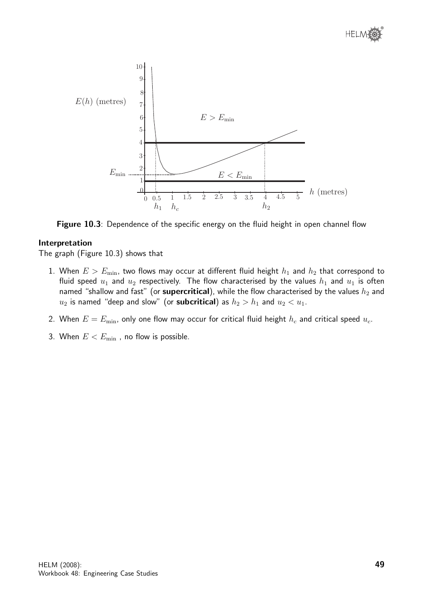



Figure 10.3: Dependence of the specific energy on the fluid height in open channel flow

#### Interpretation

The graph (Figure 10.3) shows that

- 1. When  $E > E_{\text{min}}$ , two flows may occur at different fluid height  $h_1$  and  $h_2$  that correspond to fluid speed  $u_1$  and  $u_2$  respectively. The flow characterised by the values  $h_1$  and  $u_1$  is often named "shallow and fast" (or supercritical), while the flow characterised by the values  $h_2$  and  $u_2$  is named "deep and slow" (or **subcritical**) as  $h_2 > h_1$  and  $u_2 < u_1$ .
- 2. When  $E = E_{\text{min}}$ , only one flow may occur for critical fluid height  $h_c$  and critical speed  $u_c$ .
- 3. When  $E < E_{\text{min}}$ , no flow is possible.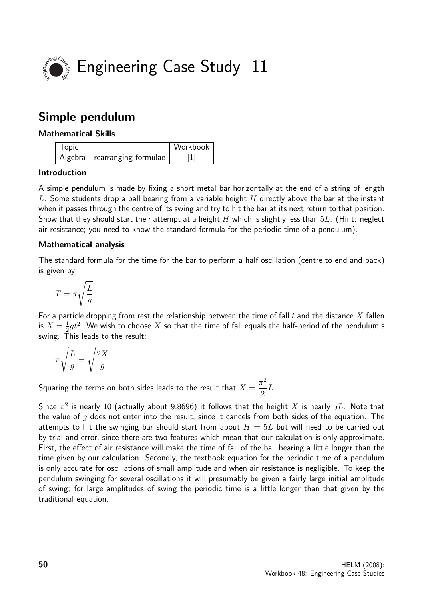

# Simple pendulum

## Mathematical Skills

| <b>Topic</b>                   | Workbook |
|--------------------------------|----------|
| Algebra - rearranging formulae |          |

## Introduction

A simple pendulum is made by fixing a short metal bar horizontally at the end of a string of length L. Some students drop a ball bearing from a variable height  $H$  directly above the bar at the instant when it passes through the centre of its swing and try to hit the bar at its next return to that position. Show that they should start their attempt at a height H which is slightly less than  $5L$ . (Hint: neglect air resistance; you need to know the standard formula for the periodic time of a pendulum).

## Mathematical analysis

The standard formula for the time for the bar to perform a half oscillation (centre to end and back) is given by

$$
T=\pi\sqrt{\frac{L}{g}}.
$$

For a particle dropping from rest the relationship between the time of fall  $t$  and the distance  $X$  fallen is  $X=\frac{1}{2}$  $\frac{1}{2} g t^2$ . We wish to choose  $X$  so that the time of fall equals the half-period of the pendulum's swing. This leads to the result:

$$
\pi \sqrt{\frac{L}{g}} = \sqrt{\frac{2X}{g}}
$$

Squaring the terms on both sides leads to the result that  $X=\emptyset$  $\pi^2$ 2 L.

Since  $\pi^2$  is nearly 10 (actually about 9.8696) it follows that the height  $X$  is nearly  $5L$ . Note that the value of  $q$  does not enter into the result, since it cancels from both sides of the equation. The attempts to hit the swinging bar should start from about  $H = 5L$  but will need to be carried out by trial and error, since there are two features which mean that our calculation is only approximate. First, the effect of air resistance will make the time of fall of the ball bearing a little longer than the time given by our calculation. Secondly, the textbook equation for the periodic time of a pendulum is only accurate for oscillations of small amplitude and when air resistance is negligible. To keep the pendulum swinging for several oscillations it will presumably be given a fairly large initial amplitude of swing; for large amplitudes of swing the periodic time is a little longer than that given by the traditional equation.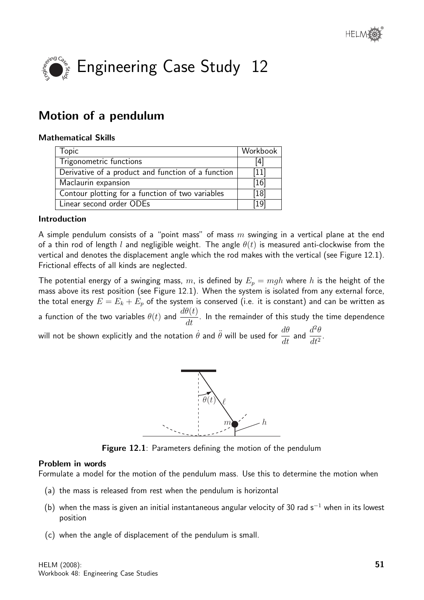

# Motion of a pendulum

#### Mathematical Skills

| Topic                                              | Workbook |
|----------------------------------------------------|----------|
| Trigonometric functions                            | 14 I     |
| Derivative of a product and function of a function | $[11]$   |
| Maclaurin expansion                                | 16       |
| Contour plotting for a function of two variables   | [18]     |
| Linear second order ODEs                           | 19       |

## Introduction

A simple pendulum consists of a "point mass" of mass  $m$  swinging in a vertical plane at the end of a thin rod of length l and negligible weight. The angle  $\theta(t)$  is measured anti-clockwise from the vertical and denotes the displacement angle which the rod makes with the vertical (see Figure 12.1). Frictional effects of all kinds are neglected.

The potential energy of a swinging mass, m, is defined by  $E_p = mgh$  where h is the height of the mass above its rest position (see Figure 12.1). When the system is isolated from any external force, the total energy  $E = E_k + E_p$  of the system is conserved (i.e. it is constant) and can be written as a function of the two variables  $\theta(t)$  and  $\frac{d\theta(t)}{dt}$  $\frac{d\sigma(v)}{dt}$ . In the remainder of this study the time dependence will not be shown explicitly and the notation  $\dot{\theta}$  and  $\ddot{\theta}$  will be used for  $\dfrac{d\theta}{dt}$  and  $\dfrac{d^2\theta}{dt^2}$  $\frac{d}{dt^2}$ 



Figure 12.1: Parameters defining the motion of the pendulum

#### Problem in words

Formulate a model for the motion of the pendulum mass. Use this to determine the motion when

- (a) the mass is released from rest when the pendulum is horizontal
- (b) when the mass is given an initial instantaneous angular velocity of 30 rad s<sup>-1</sup> when in its lowest position
- (c) when the angle of displacement of the pendulum is small.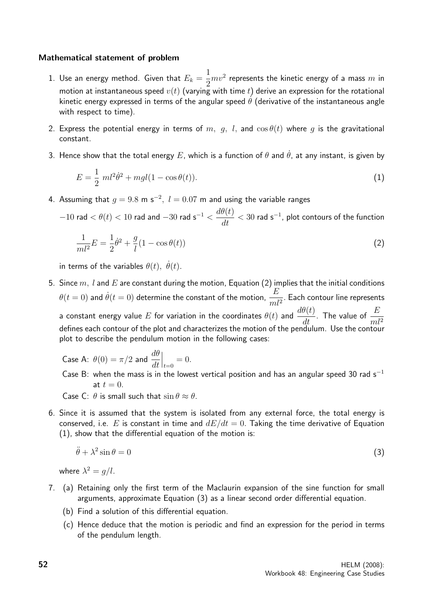#### Mathematical statement of problem

- 1. Use an energy method. Given that  $E_k =$ 1 2  $mv^2$  represents the kinetic energy of a mass  $m$  in motion at instantaneous speed  $v(t)$  (varying with time t) derive an expression for the rotational kinetic energy expressed in terms of the angular speed  $\theta$  (derivative of the instantaneous angle with respect to time).
- 2. Express the potential energy in terms of m, g, l, and  $\cos \theta(t)$  where g is the gravitational constant.
- 3. Hence show that the total energy E, which is a function of  $\theta$  and  $\dot{\theta}$ , at any instant, is given by

$$
E = \frac{1}{2} ml^2 \dot{\theta}^2 + mgl(1 - \cos \theta(t)).
$$
\n(1)

4. Assuming that  $g = 9.8$  m s<sup>-2</sup>,  $l = 0.07$  m and using the variable ranges

 $-10$  rad  $<\theta(t)< 10$  rad and  $-30$  rad  ${\rm s}^{-1}<\dfrac{d\theta(t)}{dt}< 30$  rad  ${\rm s}^{-1}$ , plot contours of the function

$$
\frac{1}{ml^2}E = \frac{1}{2}\dot{\theta}^2 + \frac{g}{l}(1 - \cos\theta(t))
$$
\n(2)

in terms of the variables  $\theta(t)$ ,  $\dot{\theta}(t)$ .

- 5. Since  $m, l$  and  $E$  are constant during the motion, Equation (2) implies that the initial conditions  $\theta(t=0)$  and  $\dot{\theta}(t=0)$  determine the constant of the motion,  $\frac{E}{\tau_{\text{max}}}$  $\frac{E}{m l^2}$ . Each contour line represents a constant energy value  $E$  for variation in the coordinates  $\theta(t)$  and  $\frac{d\theta(t)}{dt}$ . The value of  $\frac{E}{ml^2}$ defines each contour of the plot and characterizes the motion of the pendulum. Use the contour plot to describe the pendulum motion in the following cases:
	- Case A:  $\theta(0) = \pi/2$  and  $\frac{d\theta}{dt}$ dt  $\Big|_{t=0} = 0.$ Case B: when the mass is in the lowest vertical position and has an angular speed 30 rad s<sup>-1</sup> at  $t = 0$ .

Case C:  $\theta$  is small such that  $\sin \theta \approx \theta$ .

6. Since it is assumed that the system is isolated from any external force, the total energy is conserved, i.e. E is constant in time and  $dE/dt = 0$ . Taking the time derivative of Equation (1), show that the differential equation of the motion is:

$$
\ddot{\theta} + \lambda^2 \sin \theta = 0 \tag{3}
$$

where  $\lambda^2 = g/l$ .

- 7. (a) Retaining only the first term of the Maclaurin expansion of the sine function for small arguments, approximate Equation (3) as a linear second order differential equation.
	- (b) Find a solution of this differential equation.
	- (c) Hence deduce that the motion is periodic and find an expression for the period in terms of the pendulum length.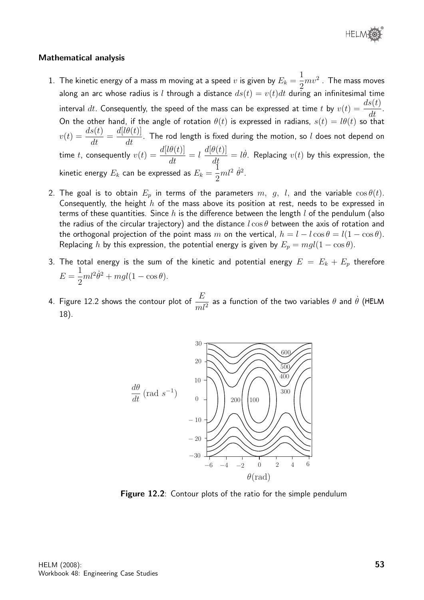

#### Mathematical analysis

- 1. The kinetic energy of a mass m moving at a speed  $v$  is given by  $E_k = \mathbb{E}[E]$ 1 2  $mv^2$  . The mass moves along an arc whose radius is l through a distance  $ds(t) = v(t)dt$  during an infinitesimal time interval  $dt.$  Consequently, the speed of the mass can be expressed at time  $t$  by  $v(t) = \frac{ds(t)}{dt}$  $\frac{\partial (v)}{\partial t}$ . On the other hand, if the angle of rotation  $\theta(t)$  is expressed in radians,  $s(t) = l\theta(t)$  so that  $v(t) = \frac{ds(t)}{dt}$  $\frac{d}{dt} =$  $d[l\theta(t)]$  $\frac{d}{dt}$ . The rod length is fixed during the motion, so l does not depend on  $dt$ time t, consequently  $v(t) = \frac{d[l\theta(t)]}{dt}$  $\frac{\partial (c)}{\partial t} = l$  $d[\theta(t)]$  $\frac{d\bar{\theta}(t)}{dt}=l\dot{\theta}.$  Replacing  $v(t)$  by this expression, the kinetic energy  $E_k$  can be expressed as  $E_k = \frac{1}{2}$  $\tilde{1}$ 2  $ml^2 \dot{\theta}^2$ .
- 2. The goal is to obtain  $E_p$  in terms of the parameters  $m, g, l$ , and the variable  $\cos \theta(t)$ . Consequently, the height  $h$  of the mass above its position at rest, needs to be expressed in terms of these quantities. Since h is the difference between the length  $l$  of the pendulum (also the radius of the circular trajectory) and the distance  $l\cos\theta$  between the axis of rotation and the orthogonal projection of the point mass m on the vertical,  $h = l - l \cos \theta = l(1 - \cos \theta)$ . Replacing h by this expression, the potential energy is given by  $E_p = mgl(1 - \cos \theta)$ .
- 3. The total energy is the sum of the kinetic and potential energy  $E = E_k + E_p$  therefore  $E =$ 1 2  $ml^2\dot{\theta}^2 + mgl(1 - \cos\theta).$
- 4. Figure 12.2 shows the contour plot of  $\frac{E}{\Box}$  $ml^2$ as a function of the two variables  $\theta$  and  $\dot{\theta}$  ( 18).



Figure 12.2: Contour plots of the ratio for the simple pendulum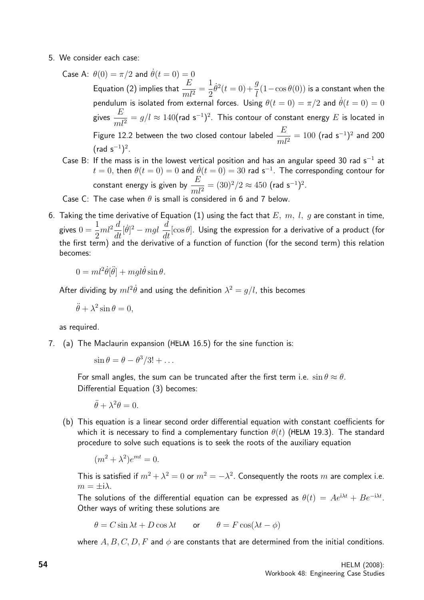- 5. We consider each case:
	- Case A:  $\theta(0) = \pi/2$  and  $\dot{\theta}(t = 0) = 0$ Equation (2) implies that  $\frac{E}{A}$  $\frac{E}{ml^2}$  = 1 2  $\dot{\theta}^2(t=0) + \frac{g}{l}$ l  $(1-\cos\theta(0))$  is a constant when the pendulum is isolated from external forces. Using  $\theta(t=0) = \pi/2$  and  $\dot{\theta}(t=0) = 0$ gives  $\frac{E}{\sqrt{2}}$  $ml^2$  $\lambda = g/l \approx 140$ (rad s $^{-1})^2$ . This contour of constant energy  $E$  is located in Figure 12.2 between the two closed contour labeled  $\frac{E}{\sqrt{2}}$  $ml^2$  $= 100$  (rad s<sup>-1</sup>)<sup>2</sup> and 200  $(\text{rad } s^{-1})^2$ .
	- Case B: If the mass is in the lowest vertical position and has an angular speed 30 rad  $s^{-1}$  at  $t = 0$ , then  $\theta(t = 0) = 0$  and  $\dot{\theta}(t = 0) = 30$  rad s<sup>-1</sup>. The corresponding contour for constant energy is given by  $\frac{E}{\sqrt{2}}$  $ml^2$  $= (30)^2/2 \approx 450$  (rad s<sup>-1</sup>)<sup>2</sup>.

Case C: The case when  $\theta$  is small is considered in 6 and 7 below.

6. Taking the time derivative of Equation (1) using the fact that  $E, m, l, q$  are constant in time, gives  $0 =$ 1 2  $ml^2\frac{d}{l}$  $\frac{d}{dt}[\dot{\theta}]^2 - mgl \ \frac{d}{dt}$  $\frac{d}{dt}[\cos \theta]$ . Using the expression for a derivative of a product (for the first term) and the derivative of a function of function (for the second term) this relation becomes:

 $0 = ml^2\dot{\theta}[\ddot{\theta}] + mgl\dot{\theta}\sin\theta.$ 

After dividing by  $ml^2\dot{\theta}$  and using the definition  $\lambda^2=g/l$ , this becomes

$$
\ddot{\theta} + \lambda^2 \sin \theta = 0,
$$

as required.

7. (a) The Maclaurin expansion (HELM 16.5) for the sine function is:

 $\sin \theta = \theta - \theta^3/3! + \dots$ 

For small angles, the sum can be truncated after the first term i.e.  $\sin \theta \approx \theta$ . Differential Equation (3) becomes:

 $\ddot{\theta} + \lambda^2 \theta = 0.$ 

(b) This equation is a linear second order differential equation with constant coefficients for which it is necessary to find a complementary function  $\theta(t)$  (HELM 19.3). The standard procedure to solve such equations is to seek the roots of the auxiliary equation

$$
(m^2 + \lambda^2)e^{mt} = 0.
$$

This is satisfied if  $m^2 + \lambda^2 = 0$  or  $m^2 = -\lambda^2$ . Consequently the roots  $m$  are complex i.e.  $m = \pm i\lambda$ .

The solutions of the differential equation can be expressed as  $\theta(t) = A e^{i\lambda t} + B e^{-i\lambda t}$ . Other ways of writing these solutions are

 $\theta = C \sin \lambda t + D \cos \lambda t$  or  $\theta = F \cos(\lambda t - \phi)$ 

where A, B, C, D, F and  $\phi$  are constants that are determined from the initial conditions.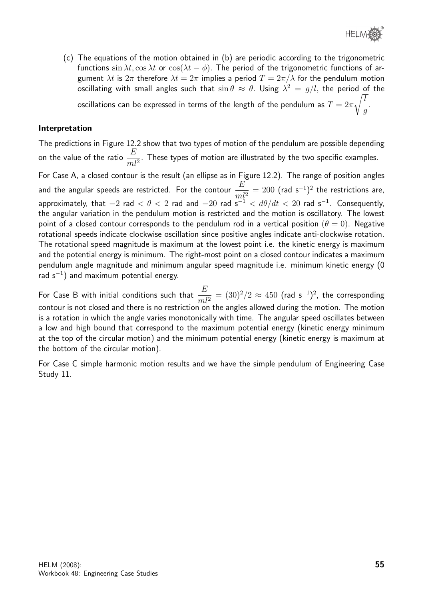

(c) The equations of the motion obtained in (b) are periodic according to the trigonometric functions  $\sin \lambda t$ ,  $\cos \lambda t$  or  $\cos(\lambda t - \phi)$ . The period of the trigonometric functions of argument  $\lambda t$  is  $2\pi$  therefore  $\lambda t = 2\pi$  implies a period  $T = 2\pi/\lambda$  for the pendulum motion oscillating with small angles such that  $\sin\theta \, \approx \, \theta.$  Using  $\lambda^2 \, = \, g/l,$  the period of the oscillations can be expressed in terms of the length of the pendulum as  $T=2\pi$  $\sqrt{l}$ g .

#### Interpretation

The predictions in Figure 12.2 show that two types of motion of the pendulum are possible depending on the value of the ratio  $\frac{E}{\sqrt{2}}$  $\frac{2}{m l^2}$ . These types of motion are illustrated by the two specific examples. For Case A, a closed contour is the result (an ellipse as in Figure 12.2). The range of position angles and the angular speeds are restricted. For the contour  $\frac{E}{\tau}$  $ml^2$  $= 200$  (rad s<sup>-1</sup>)<sup>2</sup> the restrictions are, approximately, that  $-2$  rad  $<\theta< 2$  rad and  $-20$  rad  $\mathrm{s}^{-1}<\,d\theta/dt\,<\,20$  rad  $\mathrm{s}^{-1}.$  Consequently, the angular variation in the pendulum motion is restricted and the motion is oscillatory. The lowest point of a closed contour corresponds to the pendulum rod in a vertical position  $(\theta = 0)$ . Negative rotational speeds indicate clockwise oscillation since positive angles indicate anti-clockwise rotation. The rotational speed magnitude is maximum at the lowest point i.e. the kinetic energy is maximum and the potential energy is minimum. The right-most point on a closed contour indicates a maximum pendulum angle magnitude and minimum angular speed magnitude i.e. minimum kinetic energy (0 rad s<sup>-1</sup>) and maximum potential energy.

For Case B with initial conditions such that  $\frac{E}{\sqrt{2}}$  $ml^2$  $= (30)^2/2 \approx 450$  (rad s<sup>-1</sup>)<sup>2</sup>, the corresponding contour is not closed and there is no restriction on the angles allowed during the motion. The motion is a rotation in which the angle varies monotonically with time. The angular speed oscillates between a low and high bound that correspond to the maximum potential energy (kinetic energy minimum at the top of the circular motion) and the minimum potential energy (kinetic energy is maximum at the bottom of the circular motion).

For Case C simple harmonic motion results and we have the simple pendulum of Engineering Case Study 11.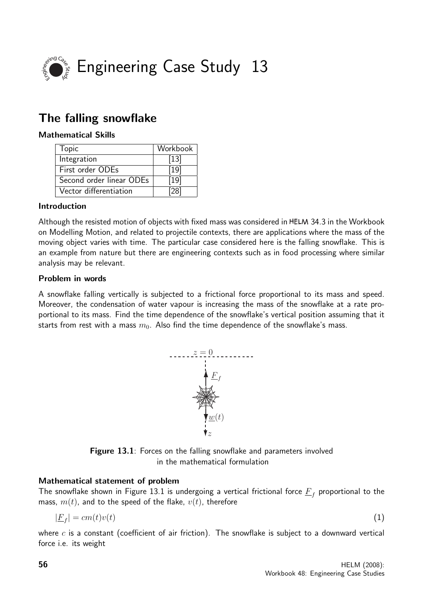

# The falling snowflake

## Mathematical Skills

| Topic                    | Workbook |
|--------------------------|----------|
| Integration              | $[13]$   |
| First order ODEs         | [19]     |
| Second order linear ODEs | $[19]$   |
| Vector differentiation   |          |

## Introduction

Although the resisted motion of objects with fixed mass was considered in HELM 34.3 in the Workbook on Modelling Motion, and related to projectile contexts, there are applications where the mass of the moving object varies with time. The particular case considered here is the falling snowflake. This is an example from nature but there are engineering contexts such as in food processing where similar analysis may be relevant.

## Problem in words

A snowflake falling vertically is subjected to a frictional force proportional to its mass and speed. Moreover, the condensation of water vapour is increasing the mass of the snowflake at a rate proportional to its mass. Find the time dependence of the snowflake's vertical position assuming that it starts from rest with a mass  $m_0$ . Also find the time dependence of the snowflake's mass.



Figure 13.1: Forces on the falling snowflake and parameters involved in the mathematical formulation

## Mathematical statement of problem

The snowflake shown in Figure 13.1 is undergoing a vertical frictional force  $\underline{F}_f$  proportional to the mass,  $m(t)$ , and to the speed of the flake,  $v(t)$ , therefore

$$
|\underline{F}_f| = cm(t)v(t) \tag{1}
$$

where  $c$  is a constant (coefficient of air friction). The snowflake is subject to a downward vertical force i.e. its weight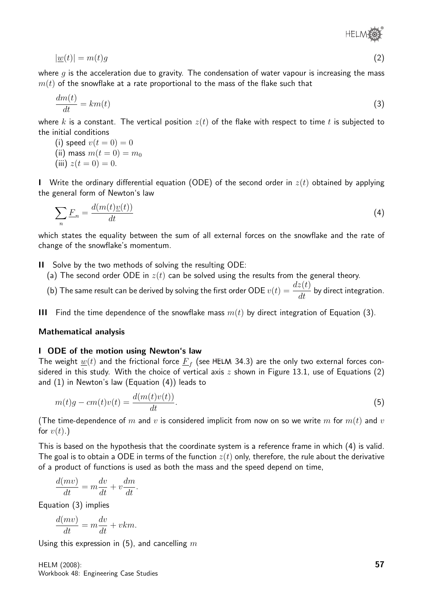®

$$
|\underline{w}(t)| = m(t)g\tag{2}
$$

where  $g$  is the acceleration due to gravity. The condensation of water vapour is increasing the mass  $m(t)$  of the snowflake at a rate proportional to the mass of the flake such that

$$
\frac{dm(t)}{dt} = km(t) \tag{3}
$$

where k is a constant. The vertical position  $z(t)$  of the flake with respect to time t is subjected to the initial conditions

- (i) speed  $v(t=0) = 0$
- (ii) mass  $m(t = 0) = m_0$
- (iii)  $z(t = 0) = 0$ .

I Write the ordinary differential equation (ODE) of the second order in  $z(t)$  obtained by applying the general form of Newton's law

$$
\sum_{n} \underline{F}_{n} = \frac{d(m(t)\underline{v}(t))}{dt} \tag{4}
$$

which states the equality between the sum of all external forces on the snowflake and the rate of change of the snowflake's momentum.

II Solve by the two methods of solving the resulting ODE:

(a) The second order ODE in  $z(t)$  can be solved using the results from the general theory.

(b) The same result can be derived by solving the first order ODE  $v(t) = \frac{dz(t)}{dt}$  $\frac{\partial u(t)}{\partial t}$  by direct integration.

III Find the time dependence of the snowflake mass  $m(t)$  by direct integration of Equation (3).

#### Mathematical analysis

#### I ODE of the motion using Newton's law

The weight  $\underline{w}(t)$  and the frictional force  $\underline{F}_f$  (see HELM 34.3) are the only two external forces considered in this study. With the choice of vertical axis  $z$  shown in Figure 13.1, use of Equations (2) and (1) in Newton's law (Equation (4)) leads to

$$
m(t)g - cm(t)v(t) = \frac{d(m(t)v(t))}{dt}.
$$
\n
$$
(5)
$$

(The time-dependence of m and v is considered implicit from now on so we write m for  $m(t)$  and v for  $v(t)$ .)

This is based on the hypothesis that the coordinate system is a reference frame in which (4) is valid. The goal is to obtain a ODE in terms of the function  $z(t)$  only, therefore, the rule about the derivative of a product of functions is used as both the mass and the speed depend on time,

$$
\frac{d(mv)}{dt} = m\frac{dv}{dt} + v\frac{dm}{dt}.
$$

Equation (3) implies

$$
\frac{d(mv)}{dt} = m\frac{dv}{dt} + vkm.
$$

Using this expression in (5), and cancelling  $m$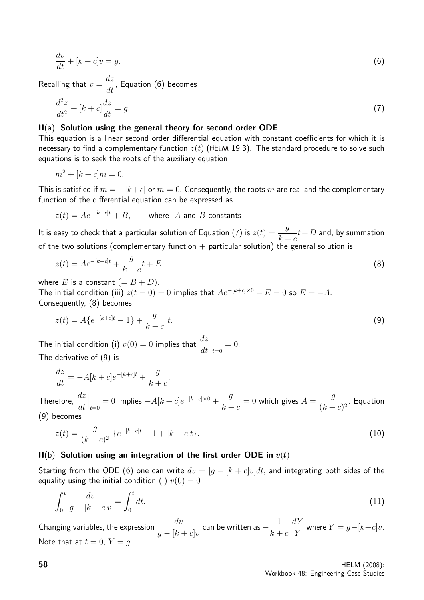$$
\frac{dv}{dt} + [k+c]v = g.
$$
\n(6)

Recalling that  $v =$ dz  $\frac{dS}{dt}$ , Equation (6) becomes

$$
\frac{d^2z}{dt^2} + [k+c]\frac{dz}{dt} = g.\tag{7}
$$

#### II(a) Solution using the general theory for second order ODE

This equation is a linear second order differential equation with constant coefficients for which it is necessary to find a complementary function  $z(t)$  (HELM 19.3). The standard procedure to solve such equations is to seek the roots of the auxiliary equation

$$
m^2 + [k+c]m = 0.
$$

This is satisfied if  $m = -[k+c]$  or  $m = 0$ . Consequently, the roots m are real and the complementary function of the differential equation can be expressed as

 $z(t) = Ae^{-[k+c]t} + B$ , where A and B constants

It is easy to check that a particular solution of Equation (7) is  $z(t) = \frac{g}{dt}$  $k + c$  $t+D$  and, by summation of the two solutions (complementary function  $+$  particular solution) the general solution is

$$
z(t) = Ae^{-[k+c]t} + \frac{g}{k+c}t + E
$$
\n(8)

where E is a constant  $(= B + D)$ . The initial condition (iii)  $z(t=0) = 0$  implies that  $Ae^{-[k+c] \times 0} + E = 0$  so  $E = -A$ . Consequently, (8) becomes

$$
z(t) = A\{e^{-[k+c]t} - 1\} + \frac{g}{k+c} t.
$$
\n(9)

The initial condition (i)  $v(0) = 0$  implies that  $\frac{dz}{dt}$ dt  $\Big|_{t=0} = 0.$ The derivative of (9) is

$$
\frac{dz}{dt} = -A[k+c]e^{-[k+c]t} + \frac{g}{k+c}.
$$

Therefore,  $\frac{dz}{dt}$ dt  $\Big|_{t=0} = 0$  implies  $-A[k+c]e^{-[k+c]\times 0} + \frac{g}{k+c}$  $k + c$  $= 0$  which gives  $A =$ g  $\frac{9}{(k+c)^2}$ . Equation (9) becomes

$$
z(t) = \frac{g}{(k+c)^2} \left\{ e^{-[k+c]t} - 1 + [k+c]t \right\}.
$$
 (10)

#### $II(b)$  Solution using an integration of the first order ODE in  $v(t)$

Starting from the ODE (6) one can write  $dv = [g - [k + c]v]dt$ , and integrating both sides of the equality using the initial condition (i)  $v(0) = 0$ 

$$
\int_0^v \frac{dv}{g - [k + c]v} = \int_0^t dt.
$$
\n(11)

Changing variables, the expression  $\frac{dv}{dt}$  $g-[k+c]v$ can be written as  $-\frac{1}{1}$  $k + c$  $dY$ Y where  $Y = g-[k+c]v$ . Note that at  $t = 0$ ,  $Y = q$ .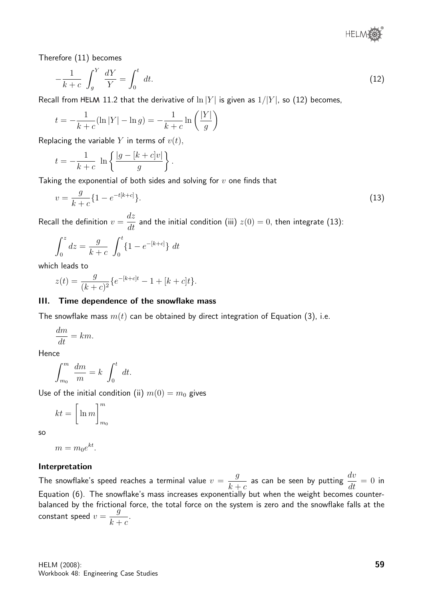® **HELM®** 

Therefore (11) becomes

$$
-\frac{1}{k+c} \int_{g}^{Y} \frac{dY}{Y} = \int_{0}^{t} dt.
$$
\n(12)

Recall from HELM 11.2 that the derivative of  $\ln |Y|$  is given as  $1/|Y|$ , so (12) becomes,

$$
t = -\frac{1}{k+c}(\ln|Y| - \ln g) = -\frac{1}{k+c}\ln\left(\frac{|Y|}{g}\right)
$$

Replacing the variable Y in terms of  $v(t)$ ,

$$
t = -\frac{1}{k+c} \ln \left\{ \frac{|g - [k+c]v|}{g} \right\}.
$$

Taking the exponential of both sides and solving for  $v$  one finds that

$$
v = \frac{g}{k+c} \{ 1 - e^{-t[k+c]} \}.
$$
\n(13)

Recall the definition  $v =$ dz  $\frac{dz}{dt}$  and the initial condition (iii)  $z(0) = 0$ , then integrate (13):

$$
\int_0^z dz = \frac{g}{k+c} \int_0^t \{1 - e^{-[k+c]}\} dt
$$

which leads to

$$
z(t) = \frac{g}{(k+c)^2} \{ e^{-[k+c]t} - 1 + [k+c]t \}.
$$

#### III. Time dependence of the snowflake mass

The snowflake mass  $m(t)$  can be obtained by direct integration of Equation (3), i.e.

$$
\frac{dm}{dt} = km.
$$

Hence

$$
\int_{m_0}^m \frac{dm}{m} = k \int_0^t dt.
$$

Use of the initial condition (ii)  $m(0) = m_0$  gives

$$
kt = \left[\ln m\right]_{m_0}^m
$$

so

$$
m = m_0 e^{kt}.
$$

#### Interpretation

The snowflake's speed reaches a terminal value  $v =$ g  $k + c$ as can be seen by putting  $\frac{dv}{dt}$  $\frac{dv}{dt} = 0$  in Equation (6). The snowflake's mass increases exponentially but when the weight becomes counterbalanced by the frictional force, the total force on the system is zero and the snowflake falls at the constant speed  $v =$ g  $k + c$ .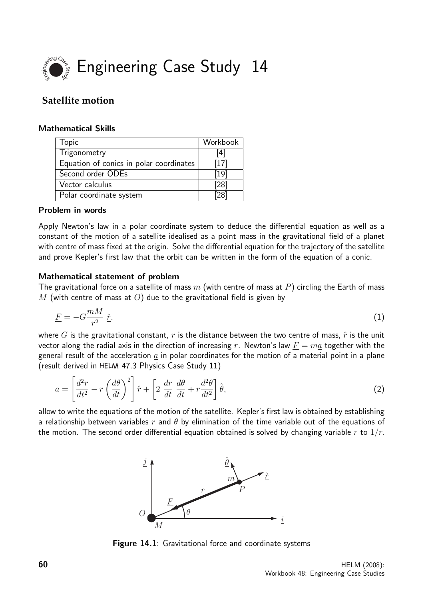

## **Satellite motion**

#### Mathematical Skills

| <b>Topic</b>                            | Workbook         |
|-----------------------------------------|------------------|
| Trigonometry                            | [4]              |
| Equation of conics in polar coordinates | 1171             |
| Second order ODEs                       | [19]             |
| Vector calculus                         | $^{\prime}28$    |
| Polar coordinate system                 | '28 <sub>1</sub> |

#### Problem in words

Apply Newton's law in a polar coordinate system to deduce the differential equation as well as a constant of the motion of a satellite idealised as a point mass in the gravitational field of a planet with centre of mass fixed at the origin. Solve the differential equation for the trajectory of the satellite and prove Kepler's first law that the orbit can be written in the form of the equation of a conic.

## Mathematical statement of problem

The gravitational force on a satellite of mass  $m$  (with centre of mass at P) circling the Earth of mass M (with centre of mass at O) due to the gravitational field is given by

$$
\underline{F} = -G\frac{mM}{r^2}\,\hat{\underline{r}},\tag{1}
$$

where G is the gravitational constant, r is the distance between the two centre of mass,  $\hat{r}$  is the unit vector along the radial axis in the direction of increasing r. Newton's law  $F = ma$  together with the general result of the acceleration  $a$  in polar coordinates for the motion of a material point in a plane (result derived in 47.3 Physics Case Study 11)

$$
\underline{a} = \left[\frac{d^2r}{dt^2} - r\left(\frac{d\theta}{dt}\right)^2\right]\hat{r} + \left[2\frac{dr}{dt}\frac{d\theta}{dt} + r\frac{d^2\theta}{dt^2}\right]\hat{\theta},\tag{2}
$$

allow to write the equations of the motion of the satellite. Kepler's first law is obtained by establishing a relationship between variables r and  $\theta$  by elimination of the time variable out of the equations of the motion. The second order differential equation obtained is solved by changing variable r to  $1/r$ .



Figure 14.1: Gravitational force and coordinate systems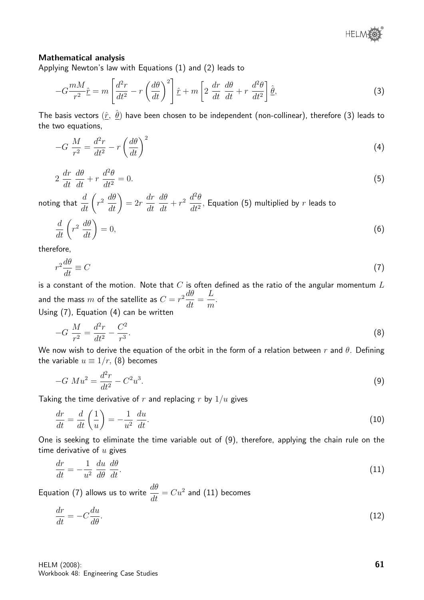#### Mathematical analysis

Applying Newton's law with Equations (1) and (2) leads to

$$
-G\frac{mM}{r^2}\hat{\underline{r}} = m\left[\frac{d^2r}{dt^2} - r\left(\frac{d\theta}{dt}\right)^2\right]\hat{\underline{r}} + m\left[2\frac{dr}{dt}\frac{d\theta}{dt} + r\frac{d^2\theta}{dt^2}\right]\hat{\underline{\theta}},\tag{3}
$$

The basis vectors  $(\hat r,\ \hat\theta)$  have been chosen to be independent (non-collinear), therefore (3) leads to the two equations,

$$
-G\ \frac{M}{r^2} = \frac{d^2r}{dt^2} - r\left(\frac{d\theta}{dt}\right)^2\tag{4}
$$

$$
2\,\frac{dr}{dt}\,\frac{d\theta}{dt} + r\,\frac{d^2\theta}{dt^2} = 0.\tag{5}
$$

noting that  $\displaystyle{\frac{d}{dt}\bigg(}$  $r^2 \frac{d\theta}{dt}$  $= 2r$ dr dt  $d\theta$  $\frac{d\theta}{dt} + r^2 \frac{d^2\theta}{dt^2}$  $\frac{d^{2}}{dt^{2}}$ , Equation (5) multiplied by  $r$  leads to

$$
\frac{d}{dt}\left(r^2\,\frac{d\theta}{dt}\right) = 0,\tag{6}
$$

therefore,

$$
r^2 \frac{d\theta}{dt} \equiv C \tag{7}
$$

is a constant of the motion. Note that  $C$  is often defined as the ratio of the angular momentum  $L$ and the mass  $m$  of the satellite as  $C = r^2 \frac{d\theta}{dt}$  $\frac{dv}{dt} =$ L m . Using (7), Equation (4) can be written

$$
-G\ \frac{M}{r^2} = \frac{d^2r}{dt^2} - \frac{C^2}{r^3}.\tag{8}
$$

We now wish to derive the equation of the orbit in the form of a relation between r and  $\theta$ . Defining the variable  $u \equiv 1/r$ , (8) becomes

$$
-G\ M u^2 = \frac{d^2 r}{dt^2} - C^2 u^3. \tag{9}
$$

Taking the time derivative of r and replacing r by  $1/u$  gives

$$
\frac{dr}{dt} = \frac{d}{dt}\left(\frac{1}{u}\right) = -\frac{1}{u^2}\frac{du}{dt}.\tag{10}
$$

One is seeking to eliminate the time variable out of (9), therefore, applying the chain rule on the time derivative of  $u$  gives

$$
\frac{dr}{dt} = -\frac{1}{u^2} \frac{du}{d\theta} \frac{d\theta}{dt}.
$$
\n(11)

Equation (7) allows us to write  $\displaystyle{\frac{d\theta}{dt}=Cu^2}$  and (11) becomes

$$
\frac{dr}{dt} = -C\frac{du}{d\theta}.\tag{12}
$$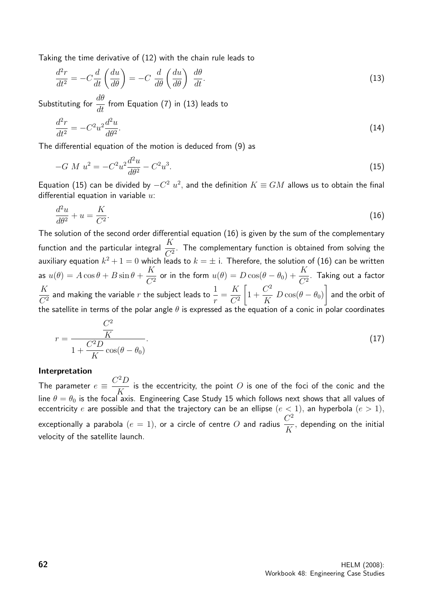Taking the time derivative of (12) with the chain rule leads to

$$
\frac{d^2r}{dt^2} = -C\frac{d}{dt}\left(\frac{du}{d\theta}\right) = -C\frac{d}{d\theta}\left(\frac{du}{d\theta}\right)\frac{d\theta}{dt}.
$$
\n(13)

Substituting for  $\frac{d\theta}{dt}$  $\frac{du}{dt}$  from Equation (7) in (13) leads to

$$
\frac{d^2r}{dt^2} = -C^2u^2\frac{d^2u}{d\theta^2}.\tag{14}
$$

The differential equation of the motion is deduced from (9) as

$$
-G M u2 = -C2 u2 \frac{d2 u}{d\theta2} - C2 u3.
$$
 (15)

Equation (15) can be divided by  $-C^2$   $u^2$ , and the definition  $K \equiv GM$  allows us to obtain the final differential equation in variable  $u$ :

$$
\frac{d^2u}{d\theta^2} + u = \frac{K}{C^2}.\tag{16}
$$

The solution of the second order differential equation (16) is given by the sum of the complementary function and the particular integral  $\frac{K}{C^2}$  $\frac{1}{C^2}$ . The complementary function is obtained from solving the auxiliary equation  $k^2+1=0$  which leads to  $k=\pm$  i. Therefore, the solution of (16) can be written as  $u(\theta) = A \cos \theta + B \sin \theta +$ K  $\frac{K}{C^2}$  or in the form  $u(\theta)=D\cos(\theta-\theta_0)+\frac{K}{C^2}$ . Taking out a factor K  $C^2$ and making the variable  $r$  the subject leads to  $\frac{1}{r}$ r = K  $C^2$  $\sqrt{ }$ 1 +  $C^2$  $\frac{\infty}{K} D \cos(\theta - \theta_0)$ 1 and the orbit of the satellite in terms of the polar angle  $\theta$  is expressed as the equation of a conic in polar coordinates

$$
r = \frac{\frac{C^2}{K}}{1 + \frac{C^2 D}{K} \cos(\theta - \theta_0)}.
$$
\n(17)

#### Interpretation

The parameter  $e \equiv \frac{C^2 D}{V}$ K is the eccentricity, the point  $O$  is one of the foci of the conic and the line  $\theta = \theta_0$  is the focal axis. Engineering Case Study 15 which follows next shows that all values of eccentricity e are possible and that the trajectory can be an ellipse  $(e < 1)$ , an hyperbola  $(e > 1)$ , exceptionally a parabola  $(e = 1)$ , or a circle of centre  $O$  and radius  $\frac{C^2}{C}$ K , depending on the initial velocity of the satellite launch.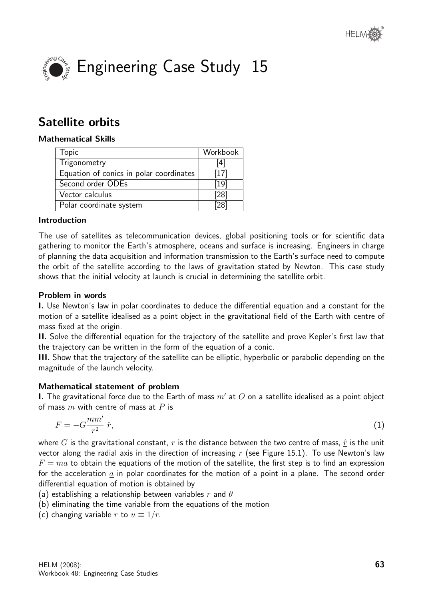



# Satellite orbits

## Mathematical Skills

| <b>Topic</b>                            | Workbook |
|-----------------------------------------|----------|
| Trigonometry                            | [4]      |
| Equation of conics in polar coordinates | $[17]$   |
| Second order ODEs                       | [19]     |
| Vector calculus                         | [28]     |
| Polar coordinate system                 | ັ?8ເ     |

#### Introduction

The use of satellites as telecommunication devices, global positioning tools or for scientific data gathering to monitor the Earth's atmosphere, oceans and surface is increasing. Engineers in charge of planning the data acquisition and information transmission to the Earth's surface need to compute the orbit of the satellite according to the laws of gravitation stated by Newton. This case study shows that the initial velocity at launch is crucial in determining the satellite orbit.

#### Problem in words

I. Use Newton's law in polar coordinates to deduce the differential equation and a constant for the motion of a satellite idealised as a point object in the gravitational field of the Earth with centre of mass fixed at the origin.

II. Solve the differential equation for the trajectory of the satellite and prove Kepler's first law that the trajectory can be written in the form of the equation of a conic.

III. Show that the trajectory of the satellite can be elliptic, hyperbolic or parabolic depending on the magnitude of the launch velocity.

## Mathematical statement of problem

**I.** The gravitational force due to the Earth of mass  $m'$  at  $O$  on a satellite idealised as a point object of mass  $m$  with centre of mass at  $P$  is

$$
\underline{F} = -G\frac{mm'}{r^2}\hat{r},\tag{1}
$$

where G is the gravitational constant, r is the distance between the two centre of mass,  $\hat{r}$  is the unit vector along the radial axis in the direction of increasing  $r$  (see Figure 15.1). To use Newton's law  $F = ma$  to obtain the equations of the motion of the satellite, the first step is to find an expression for the acceleration  $\alpha$  in polar coordinates for the motion of a point in a plane. The second order differential equation of motion is obtained by

(a) establishing a relationship between variables r and  $\theta$ 

- (b) eliminating the time variable from the equations of the motion
- (c) changing variable r to  $u \equiv 1/r$ .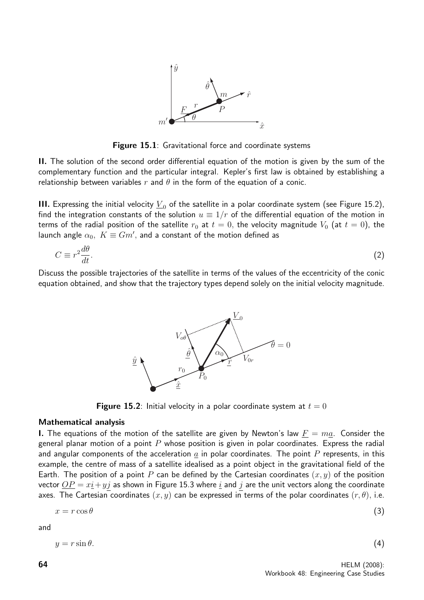

**Figure 15.1:** Gravitational force and coordinate systems

II. The solution of the second order differential equation of the motion is given by the sum of the complementary function and the particular integral. Kepler's first law is obtained by establishing a relationship between variables r and  $\theta$  in the form of the equation of a conic.

III. Expressing the initial velocity  $\underline{V}_0$  of the satellite in a polar coordinate system (see Figure 15.2), find the integration constants of the solution  $u \equiv 1/r$  of the differential equation of the motion in terms of the radial position of the satellite  $r_0$  at  $t = 0$ , the velocity magnitude  $V_0$  (at  $t = 0$ ), the launch angle  $\alpha_0, \; K \equiv G m',$  and a constant of the motion defined as

$$
C \equiv r^2 \frac{d\theta}{dt}.\tag{2}
$$

Discuss the possible trajectories of the satellite in terms of the values of the eccentricity of the conic equation obtained, and show that the trajectory types depend solely on the initial velocity magnitude.



**Figure 15.2:** Initial velocity in a polar coordinate system at  $t = 0$ 

#### Mathematical analysis

I. The equations of the motion of the satellite are given by Newton's law  $F = ma$ . Consider the general planar motion of a point  $P$  whose position is given in polar coordinates. Express the radial and angular components of the acceleration  $a$  in polar coordinates. The point P represents, in this example, the centre of mass of a satellite idealised as a point object in the gravitational field of the Earth. The position of a point P can be defined by the Cartesian coordinates  $(x, y)$  of the position vector  $\overline{OP} = x\overline{i} + y\overline{j}$  as shown in Figure 15.3 where  $\underline{i}$  and  $\overline{j}$  are the unit vectors along the coordinate axes. The Cartesian coordinates  $(x, y)$  can be expressed in terms of the polar coordinates  $(r, \theta)$ , i.e.

$$
x = r \cos \theta \tag{3}
$$

and

$$
y = r\sin\theta.\tag{4}
$$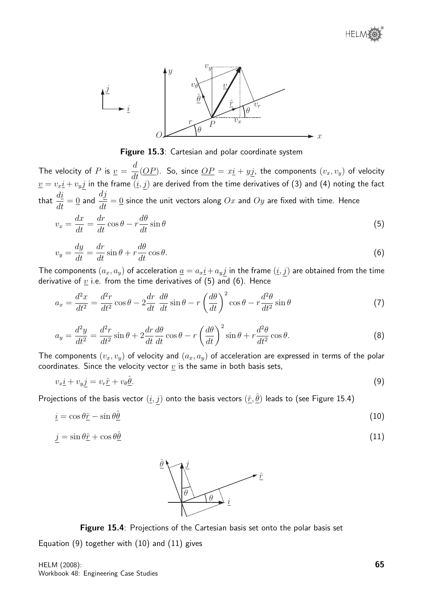

Figure 15.3: Cartesian and polar coordinate system

The velocity of  $P$  is  $\underline{v} =$ d  $\frac{d}{dt}(\underbrace{OP})$ . So, since  $\underline{OP} = x\underline{i} + y\underline{j}$ , the components  $(v_x, v_y)$  of velocity  $\underline{v}=v_x\underline{i}+v_yj$  in the frame  $(\underline{i},\underline{j})$  are derived from the time derivatives of (3) and (4) noting the fact that  $\frac{di}{dt}$  $\frac{du}{dt} = 0$  and dj  $\frac{d\mathcal{L}}{dt} = 0$  since the unit vectors along  $Ox$  and  $Oy$  are fixed with time. Hence

$$
v_x = \frac{dx}{dt} = \frac{dr}{dt}\cos\theta - r\frac{d\theta}{dt}\sin\theta\tag{5}
$$

$$
v_y = \frac{dy}{dt} = \frac{dr}{dt}\sin\theta + r\frac{d\theta}{dt}\cos\theta.
$$
\n(6)

The components  $(a_x, a_y)$  of acceleration  $\underline{a} = a_x \underline{i} + a_y \underline{j}$  in the frame  $(\underline{i}, \underline{j})$  are obtained from the time derivative of  $\underline{v}$  i.e. from the time derivatives of (5) and (6). Hence

$$
a_x = \frac{d^2x}{dt^2} = \frac{d^2r}{dt^2}\cos\theta - 2\frac{dr}{dt}\frac{d\theta}{dt}\sin\theta - r\left(\frac{d\theta}{dt}\right)^2\cos\theta - r\frac{d^2\theta}{dt^2}\sin\theta\tag{7}
$$

$$
a_y = \frac{d^2y}{dt^2} = \frac{d^2r}{dt^2}\sin\theta + 2\frac{dr}{dt}\frac{d\theta}{dt}\cos\theta - r\left(\frac{d\theta}{dt}\right)^2\sin\theta + r\frac{d^2\theta}{dt^2}\cos\theta.
$$
 (8)

The components  $(v_x, v_y)$  of velocity and  $(a_x, a_y)$  of acceleration are expressed in terms of the polar coordinates. Since the velocity vector  $\underline{v}$  is the same in both basis sets,

$$
v_x \underline{i} + v_y \underline{j} = v_r \hat{\underline{r}} + v_\theta \underline{\hat{\theta}}.\tag{9}
$$

Projections of the basis vector  $(\underline{i},j)$  onto the basis vectors  $(\hat{r},\hat{\theta})$  leads to (see Figure 15.4)

$$
\underline{i} = \cos \theta \hat{r} - \sin \theta \hat{\theta} \tag{10}
$$

$$
j = \sin \theta \hat{\underline{r}} + \cos \theta \hat{\underline{\theta}} \tag{11}
$$



Figure 15.4: Projections of the Cartesian basis set onto the polar basis set

Equation (9) together with (10) and (11) gives

HELM (2008): Workbook 48: Engineering Case Studies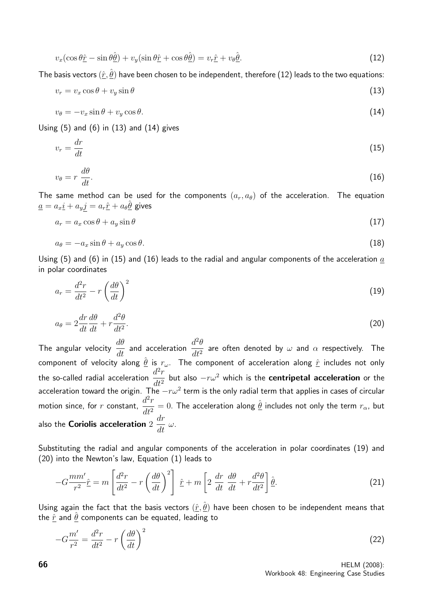$$
v_x(\cos\theta \hat{\underline{r}} - \sin\theta \hat{\underline{\theta}}) + v_y(\sin\theta \hat{\underline{r}} + \cos\theta \hat{\underline{\theta}}) = v_r \hat{\underline{r}} + v_\theta \hat{\underline{\theta}}.
$$
\n(12)

The basis vectors  $(\hat r,\hat\theta)$  have been chosen to be independent, therefore (12) leads to the two equations:

$$
v_r = v_x \cos \theta + v_y \sin \theta \tag{13}
$$

$$
v_{\theta} = -v_x \sin \theta + v_y \cos \theta. \tag{14}
$$

Using  $(5)$  and  $(6)$  in  $(13)$  and  $(14)$  gives

$$
v_r = \frac{dr}{dt} \tag{15}
$$

$$
v_{\theta} = r \, \frac{d\theta}{dt}.\tag{16}
$$

The same method can be used for the components  $(a_r, a_\theta)$  of the acceleration. The equation  $\underline{a}=a_x \underline{i}+a_y j=a_r \hat{\underline{r}}+a_\theta \hat{\underline{\theta}}$  gives

$$
a_r = a_x \cos \theta + a_y \sin \theta \tag{17}
$$

$$
a_{\theta} = -a_x \sin \theta + a_y \cos \theta. \tag{18}
$$

Using (5) and (6) in (15) and (16) leads to the radial and angular components of the acceleration  $a$ in polar coordinates

$$
a_r = \frac{d^2r}{dt^2} - r\left(\frac{d\theta}{dt}\right)^2\tag{19}
$$

$$
a_{\theta} = 2\frac{dr}{dt}\frac{d\theta}{dt} + r\frac{d^2\theta}{dt^2}.
$$
\n(20)

The angular velocity  $\frac{d\theta}{dt}$  and acceleration  $\frac{d^2\theta}{dt^2}$  $\frac{d^{2} \sigma}{dt^{2}}$  are often denoted by  $\omega$  and  $\alpha$  respectively. The component of velocity along  $\hat{\theta}$  is  $r_{\omega}$ . The component of acceleration along  $\hat{r}$  includes not only the so-called radial acceleration  $\frac{d^2r}{dt^2}$  $dt^2$ but also  $-r\omega^2$  which is the centripetal acceleration or the acceleration toward the origin. The  $-r\omega^2$  term is the only radial term that applies in cases of circular motion since, for  $r$  constant,  $d^2r$  $\frac{d^2 T}{dt^2}=0.$  The acceleration along  $\hat{\theta}$  includes not only the term  $r_{\alpha}$ , but also the Coriolis acceleration  $2$ dr  $\frac{d}{dt} \omega$ .

Substituting the radial and angular components of the acceleration in polar coordinates (19) and (20) into the Newton's law, Equation (1) leads to

$$
-G\frac{mm'}{r^2}\hat{r} = m\left[\frac{d^2r}{dt^2} - r\left(\frac{d\theta}{dt}\right)^2\right]\hat{r} + m\left[2\frac{dr}{dt}\frac{d\theta}{dt} + r\frac{d^2\theta}{dt^2}\right]\hat{\theta}.
$$
 (21)

Using again the fact that the basis vectors  $(\hat{r}, \hat{\theta})$  have been chosen to be independent means that the  $\hat{r}$  and  $\hat{\theta}$  components can be equated, leading to

$$
-G\frac{m'}{r^2} = \frac{d^2r}{dt^2} - r\left(\frac{d\theta}{dt}\right)^2\tag{22}
$$

**66** HELM (2008): Workbook 48: Engineering Case Studies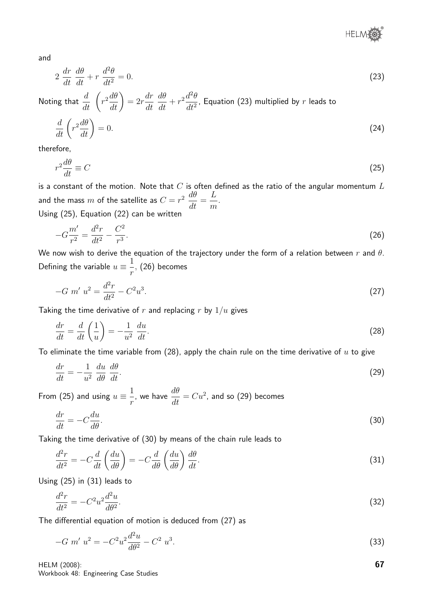® **HELM** 

and

$$
2\,\frac{dr}{dt}\,\frac{d\theta}{dt} + r\,\frac{d^2\theta}{dt^2} = 0.\tag{23}
$$

Noting that  $\displaystyle{\frac{d}{dt}\;\left(\right)}$  $r^2\frac{d\theta}{dt}$  $= 2r$ dr dt dθ  $\frac{d\theta}{dt} + r^2 \frac{d^2\theta}{dt^2}$  $\frac{d^{2}}{dt^{2}}$ , Equation (23) multiplied by  $r$  leads to

$$
\frac{d}{dt}\left(r^2\frac{d\theta}{dt}\right) = 0.\tag{24}
$$

therefore,

$$
r^2 \frac{d\theta}{dt} \equiv C \tag{25}
$$

is a constant of the motion. Note that  $C$  is often defined as the ratio of the angular momentum  $L$ and the mass  $m$  of the satellite as  $C = r^2 \frac{d\theta}{dt}$  $\frac{dv}{dt} =$ L m . Using (25), Equation (22) can be written

$$
-G\frac{m'}{r^2} = \frac{d^2r}{dt^2} - \frac{C^2}{r^3}.
$$
\n(26)

We now wish to derive the equation of the trajectory under the form of a relation between  $r$  and  $\theta$ . Defining the variable  $u\equiv\frac{1}{2}$ r , (26) becomes

$$
-G m' u^2 = \frac{d^2r}{dt^2} - C^2 u^3.
$$
 (27)

Taking the time derivative of r and replacing r by  $1/u$  gives

$$
\frac{dr}{dt} = \frac{d}{dt}\left(\frac{1}{u}\right) = -\frac{1}{u^2}\frac{du}{dt}.\tag{28}
$$

To eliminate the time variable from (28), apply the chain rule on the time derivative of  $u$  to give

$$
\frac{dr}{dt} = -\frac{1}{u^2} \frac{du}{d\theta} \frac{d\theta}{dt}.
$$
\n(29)

From (25) and using  $u\equiv\frac{1}{\tau}$ r , we have  $\displaystyle{\frac{d\theta}{dt}=Cu^{2}}$ , and so (29) becomes

$$
\frac{dr}{dt} = -C\frac{du}{d\theta}.\tag{30}
$$

Taking the time derivative of (30) by means of the chain rule leads to

$$
\frac{d^2r}{dt^2} = -C\frac{d}{dt}\left(\frac{du}{d\theta}\right) = -C\frac{d}{d\theta}\left(\frac{du}{d\theta}\right)\frac{d\theta}{dt}.
$$
\n(31)

Using (25) in (31) leads to

$$
\frac{d^2r}{dt^2} = -C^2u^2\frac{d^2u}{d\theta^2}.\tag{32}
$$

The differential equation of motion is deduced from (27) as

$$
-G m' u^2 = -C^2 u^2 \frac{d^2 u}{d\theta^2} - C^2 u^3. \tag{33}
$$

HELM (2008): Workbook 48: Engineering Case Studies 67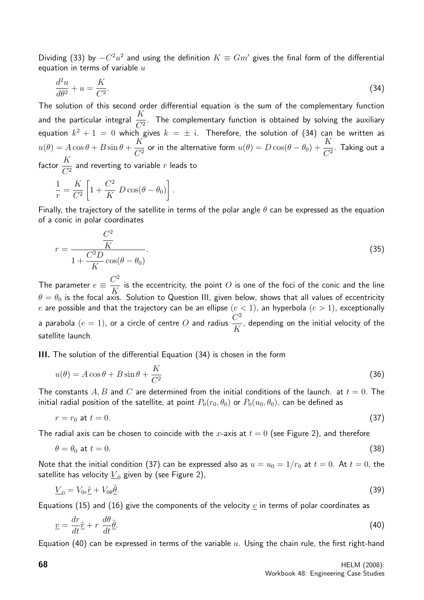Dividing (33) by  $-C^2u^2$  and using the definition  $K \equiv Gm'$  gives the final form of the differential equation in terms of variable  $u$ 

$$
\frac{d^2u}{d\theta^2} + u = \frac{K}{C^2}.\tag{34}
$$

The solution of this second order differential equation is the sum of the complementary function and the particular integral  $\frac{K}{C}$  $\frac{1}{C^2}$ . The complementary function is obtained by solving the auxiliary equation  $k^2+1\,=\,0$  which gives  $k\,=\,\pm\,$  i. Therefore, the solution of (34) can be written as  $u(\theta) = A \cos \theta + B \sin \theta +$ K  $\frac{K}{C^2}$  or in the alternative form  $u(\theta)=D\cos(\theta-\theta_0)+\frac{K}{C^2}.$  Taking out a factor  $\frac{K}{\sigma^2}$  $\frac{1}{C^2}$  and reverting to variable  $r$  leads to

$$
\frac{1}{r} = \frac{K}{C^2} \left[ 1 + \frac{C^2}{K} D \cos(\theta - \theta_0) \right].
$$

Finally, the trajectory of the satellite in terms of the polar angle  $\theta$  can be expressed as the equation of a conic in polar coordinates

$$
r = \frac{\frac{C^2}{K}}{1 + \frac{C^2 D}{K} \cos(\theta - \theta_0)}.
$$
\n(35)

The parameter  $e \equiv \frac{C^2}{V}$ K is the eccentricity, the point  $O$  is one of the foci of the conic and the line  $\theta = \theta_0$  is the focal axis. Solution to Question III, given below, shows that all values of eccentricity e are possible and that the trajectory can be an ellipse  $(e < 1)$ , an hyperbola  $(e > 1)$ , exceptionally a parabola  $(e = 1)$ , or a circle of centre  $O$  and radius  $\frac{C^2}{C}$ K , depending on the initial velocity of the satellite launch.

III. The solution of the differential Equation (34) is chosen in the form

$$
u(\theta) = A\cos\theta + B\sin\theta + \frac{K}{C^2}
$$
\n(36)

The constants A, B and C are determined from the initial conditions of the launch. at  $t = 0$ . The initial radial position of the satellite, at point  $P_0(r_0, \theta_0)$  or  $P_0(u_0, \theta_0)$ , can be defined as

$$
r = r_0 \text{ at } t = 0. \tag{37}
$$

The radial axis can be chosen to coincide with the x-axis at  $t = 0$  (see Figure 2), and therefore

$$
\theta = \theta_0 \text{ at } t = 0. \tag{38}
$$

Note that the initial condition (37) can be expressed also as  $u = u_0 = 1/r_0$  at  $t = 0$ . At  $t = 0$ , the satellite has velocity  $\underline{V}_0$  given by (see Figure 2),

$$
\underline{V}_0 = V_{0r}\hat{\underline{r}} + V_{0\theta}\hat{\underline{\theta}}.\tag{39}
$$

Equations (15) and (16) give the components of the velocity v in terms of polar coordinates as

$$
\underline{v} = \frac{dr}{dt}\hat{r} + r\,\frac{d\theta}{dt}\hat{\theta}.\tag{40}
$$

Equation (40) can be expressed in terms of the variable  $u$ . Using the chain rule, the first right-hand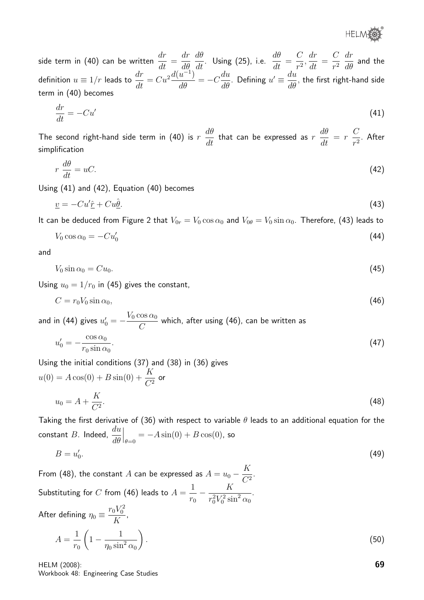**HELMOS** 

side term in (40) can be written  $\frac{dr}{dt}$  $\frac{d}{dt} =$ dr dθ  $\frac{d\theta}{dt}$ . Using (25), i.e.  $\frac{d\theta}{dt} =$  $\mathcal{C}$  $\frac{6}{r^2}$ dr  $\frac{d\mathbf{r}}{dt} =$  $\mathcal{C}$  $r^2$ dr  $\frac{d\theta}{d\theta}$  and the definition  $u \equiv 1/r$  leads to  $\frac{dr}{dt} = Cu^2 \frac{d(u^{-1})}{d\theta} = -C \frac{du}{d\theta}$  $\frac{du}{d\theta}$ . Defining  $u' \equiv \frac{du}{d\theta}$  $\frac{d\mathbf{a}}{d\theta}$ , the first right-hand side term in (40) becomes

$$
\frac{dr}{dt} = -Cu'\tag{41}
$$

The second right-hand side term in (40) is  $r$  $d\theta$  $\frac{dv}{dt}$  that can be expressed as  $r$  $d\theta$  $\frac{dv}{dt} = r$  $\mathcal{C}$  $\frac{c}{r^2}$ . After simplification

$$
r\,\frac{d\theta}{dt} = uC.\tag{42}
$$

Using (41) and (42), Equation (40) becomes

$$
\underline{v} = -Cu'\hat{\underline{r}} + Cu\hat{\underline{\theta}}.\tag{43}
$$

It can be deduced from Figure 2 that  $V_{0r} = V_0 \cos \alpha_0$  and  $V_{0\theta} = V_0 \sin \alpha_0$ . Therefore, (43) leads to

$$
V_0 \cos \alpha_0 = -C u'_0 \tag{44}
$$

and

$$
V_0 \sin \alpha_0 = C u_0. \tag{45}
$$

Using  $u_0 = 1/r_0$  in (45) gives the constant,

$$
C = r_0 V_0 \sin \alpha_0,\tag{46}
$$

and in (44) gives 
$$
u'_0 = -\frac{V_0 \cos \alpha_0}{C}
$$
 which, after using (46), can be written as  

$$
\cos \alpha_0
$$
 (47)

$$
u_0' = -\frac{\cos \alpha_0}{r_0 \sin \alpha_0}.\tag{47}
$$

Using the initial conditions (37) and (38) in (36) gives  $u(0) = A\cos(0) + B\sin(0) + \frac{K}{C'}$  $rac{1}{C^2}$  or

$$
u_0 = A + \frac{K}{C^2}.\tag{48}
$$

Taking the first derivative of (36) with respect to variable  $\theta$  leads to an additional equation for the constant  $B$ . Indeed,  $\frac{du}{d\theta}$ dθ  $\Big|_{\theta=0} = -A \sin(0) + B \cos(0)$ , so

$$
B = u_0'.\tag{49}
$$

From (48), the constant  $A$  can be expressed as  $A = u_0 - \frac{K}{C^2}$  $\frac{1}{C^2}$ . Substituting for  $C$  from (46) leads to  $A=$ 1  $r_0$  $-\frac{K}{2\pi r^2}$  $\frac{1}{r_0^2 V_0^2 \sin^2 \alpha_0}$ . After defining  $\eta_0 \equiv \frac{r_0 V_0^2}{V}$ K ,

$$
A = \frac{1}{r_0} \left( 1 - \frac{1}{\eta_0 \sin^2 \alpha_0} \right). \tag{50}
$$

HELM (2008): Workbook 48: Engineering Case Studies 69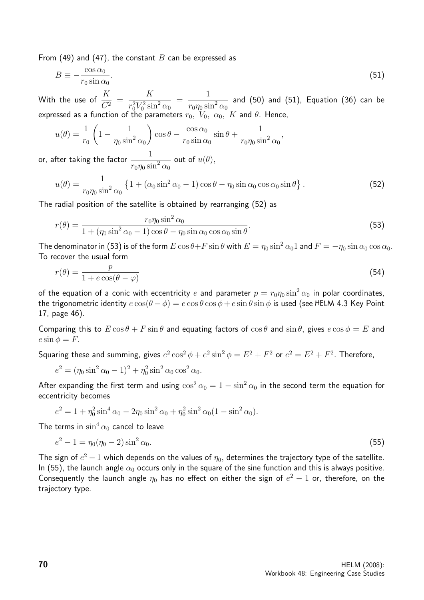From (49) and (47), the constant B can be expressed as

$$
B \equiv -\frac{\cos \alpha_0}{r_0 \sin \alpha_0}.\tag{51}
$$

With the use of  $\frac{K}{C}$  $\frac{1}{C^2} =$ K  $\frac{1}{r_0^2 V_0^2 \sin^2 \alpha_0}$  = 1  $\frac{1}{r_0\eta_0\sin^2\alpha_0}$  and (50) and (51), Equation (36) can be expressed as a function of the parameters  $r_0,~V_0,~\alpha_0,~K$  and  $\theta.$  Hence,

$$
u(\theta) = \frac{1}{r_0} \left( 1 - \frac{1}{\eta_0 \sin^2 \alpha_0} \right) \cos \theta - \frac{\cos \alpha_0}{r_0 \sin \alpha_0} \sin \theta + \frac{1}{r_0 \eta_0 \sin^2 \alpha_0},
$$

or, after taking the factor  $\frac{1}{\sqrt{1-\frac{1}{\cdot^2}}}$  $\frac{1}{r_0\eta_0\sin^2\alpha_0}$  out of  $u(\theta)$ ,

$$
u(\theta) = \frac{1}{r_0 \eta_0 \sin^2 \alpha_0} \left\{ 1 + (\alpha_0 \sin^2 \alpha_0 - 1) \cos \theta - \eta_0 \sin \alpha_0 \cos \alpha_0 \sin \theta \right\}.
$$
 (52)

The radial position of the satellite is obtained by rearranging (52) as

$$
r(\theta) = \frac{r_0 \eta_0 \sin^2 \alpha_0}{1 + (\eta_0 \sin^2 \alpha_0 - 1) \cos \theta - \eta_0 \sin \alpha_0 \cos \alpha_0 \sin \theta}.
$$
\n(53)

The denominator in (53) is of the form  $E \cos \theta + F \sin \theta$  with  $E = \eta_0 \sin^2 \alpha_0 1$  and  $F = -\eta_0 \sin \alpha_0 \cos \alpha_0$ . To recover the usual form

$$
r(\theta) = \frac{p}{1 + e \cos(\theta - \varphi)}
$$
\n(54)

of the equation of a conic with eccentricity e and parameter  $p = r_0 \eta_0 \sin^2 \alpha_0$  in polar coordinates, the trigonometric identity  $e \cos(\theta - \phi) = e \cos \theta \cos \phi + e \sin \theta \sin \phi$  is used (see HELM 4.3 Key Point 17, page 46).

Comparing this to  $E \cos \theta + F \sin \theta$  and equating factors of  $\cos \theta$  and  $\sin \theta$ , gives  $e \cos \phi = E$  and  $e \sin \phi = F$ .

Squaring these and summing, gives  $e^2\cos^2\phi + e^2\sin^2\phi = E^2 + F^2$  or  $e^2 = E^2 + F^2$ . Therefore,

$$
e^{2} = (\eta_{0} \sin^{2} \alpha_{0} - 1)^{2} + \eta_{0}^{2} \sin^{2} \alpha_{0} \cos^{2} \alpha_{0}.
$$

After expanding the first term and using  $\cos^2 \alpha_0 = 1 - \sin^2 \alpha_0$  in the second term the equation for eccentricity becomes

$$
e^{2} = 1 + \eta_{0}^{2} \sin^{4} \alpha_{0} - 2\eta_{0} \sin^{2} \alpha_{0} + \eta_{0}^{2} \sin^{2} \alpha_{0} (1 - \sin^{2} \alpha_{0}).
$$

The terms in  $\sin^4 \alpha_0$  cancel to leave

$$
e^2 - 1 = \eta_0(\eta_0 - 2)\sin^2 \alpha_0. \tag{55}
$$

The sign of  $e^2-1$  which depends on the values of  $\eta_0,$  determines the trajectory type of the satellite. In (55), the launch angle  $\alpha_0$  occurs only in the square of the sine function and this is always positive. Consequently the launch angle  $\eta_0$  has no effect on either the sign of  $e^2-1$  or, therefore, on the trajectory type.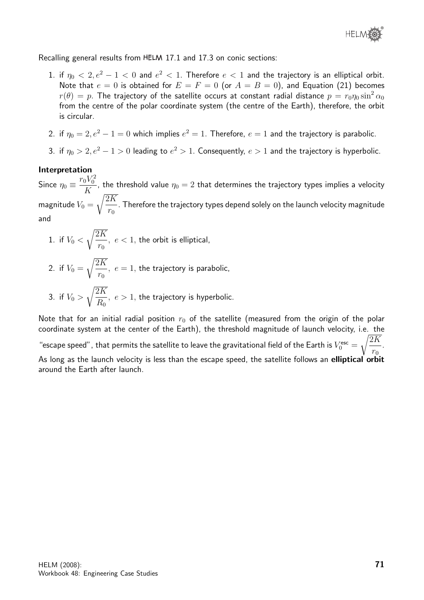Recalling general results from HELM 17.1 and 17.3 on conic sections:

- 1. if  $\eta_0 < 2, e^2 1 < 0$  and  $e^2 < 1$ . Therefore  $e < 1$  and the trajectory is an elliptical orbit. Note that  $e = 0$  is obtained for  $E = F = 0$  (or  $A = B = 0$ ), and Equation (21) becomes  $r(\theta) = p$ . The trajectory of the satellite occurs at constant radial distance  $p = r_0 \eta_0 \sin^2 \alpha_0$ from the centre of the polar coordinate system (the centre of the Earth), therefore, the orbit is circular.
- 2. if  $\eta_0=2,e^2-1=0$  which implies  $e^2=1.$  Therefore,  $e=1$  and the trajectory is parabolic.
- 3. if  $\eta_0 > 2, e^2 1 > 0$  leading to  $e^2 > 1$ . Consequently,  $e > 1$  and the trajectory is hyperbolic.

## Interpretation

Since  $\eta_0 \equiv \frac{r_0 V_0^2}{V}$  $\frac{K}{K}$ , the threshold value  $\eta_0 = 2$  that determines the trajectory types implies a velocity magnitude  $V_0 =$  $\sqrt{2K}$  $r_0$ . Therefore the trajectory types depend solely on the launch velocity magnitude and

- 1. if  $V_0 <$  $\sqrt{2K}$  $r_0$  $, e < 1$ , the orbit is elliptical,
- 2. if  $V_0 =$  $\sqrt{2K}$  $r_0$  $, e = 1$ , the trajectory is parabolic,
- 3. if  $V_0 >$  $\sqrt{2K}$  $R_0$  $, e > 1$ , the trajectory is hyperbolic.

Note that for an initial radial position  $r_0$  of the satellite (measured from the origin of the polar coordinate system at the center of the Earth), the threshold magnitude of launch velocity, i.e. the "escape speed" , that permits the satellite to leave the gravitational field of the Earth is  $V^{\rm esc}_0 =$  $\sqrt{2K}$  $r_0$ . As long as the launch velocity is less than the escape speed, the satellite follows an elliptical orbit around the Earth after launch.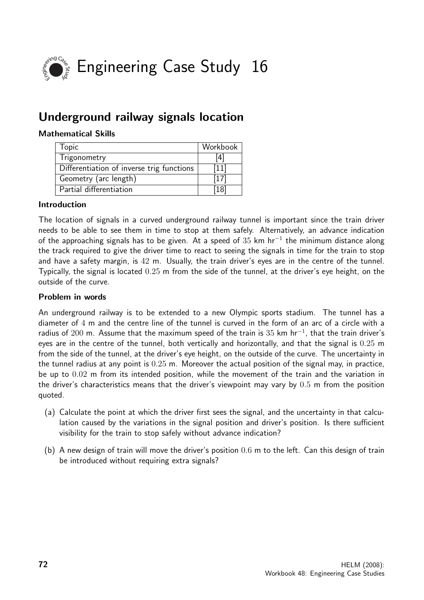

# Underground railway signals location

## Mathematical Skills

| Topic                                     | Workbook |
|-------------------------------------------|----------|
| Trigonometry                              | 4        |
| Differentiation of inverse trig functions | l 11 I   |
| Geometry (arc length)                     | (17)     |
| Partial differentiation                   | 18       |

## Introduction

The location of signals in a curved underground railway tunnel is important since the train driver needs to be able to see them in time to stop at them safely. Alternatively, an advance indication of the approaching signals has to be given. At a speed of  $35$  km hr<sup>-1</sup> the minimum distance along the track required to give the driver time to react to seeing the signals in time for the train to stop and have a safety margin, is 42 m. Usually, the train driver's eyes are in the centre of the tunnel. Typically, the signal is located 0.25 m from the side of the tunnel, at the driver's eye height, on the outside of the curve.

#### Problem in words

An underground railway is to be extended to a new Olympic sports stadium. The tunnel has a diameter of 4 m and the centre line of the tunnel is curved in the form of an arc of a circle with a radius of 200 m. Assume that the maximum speed of the train is 35 km hr<sup>-1</sup>, that the train driver's eyes are in the centre of the tunnel, both vertically and horizontally, and that the signal is 0.25 m from the side of the tunnel, at the driver's eye height, on the outside of the curve. The uncertainty in the tunnel radius at any point is 0.25 m. Moreover the actual position of the signal may, in practice, be up to 0.02 m from its intended position, while the movement of the train and the variation in the driver's characteristics means that the driver's viewpoint may vary by 0.5 m from the position quoted.

- (a) Calculate the point at which the driver first sees the signal, and the uncertainty in that calculation caused by the variations in the signal position and driver's position. Is there sufficient visibility for the train to stop safely without advance indication?
- (b) A new design of train will move the driver's position 0.6 m to the left. Can this design of train be introduced without requiring extra signals?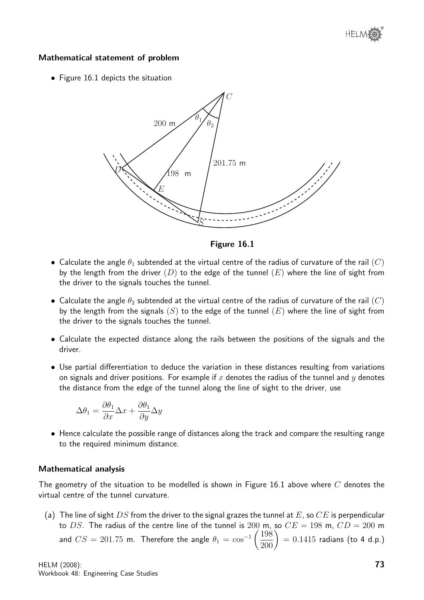# Mathematical statement of problem

• Figure 16.1 depicts the situation



Figure 16.1

- Calculate the angle  $\theta_1$  subtended at the virtual centre of the radius of curvature of the rail  $(C)$ by the length from the driver  $(D)$  to the edge of the tunnel  $(E)$  where the line of sight from the driver to the signals touches the tunnel.
- Calculate the angle  $\theta_2$  subtended at the virtual centre of the radius of curvature of the rail  $(C)$ by the length from the signals  $(S)$  to the edge of the tunnel  $(E)$  where the line of sight from the driver to the signals touches the tunnel.
- Calculate the expected distance along the rails between the positions of the signals and the driver.
- Use partial differentiation to deduce the variation in these distances resulting from variations on signals and driver positions. For example if x denotes the radius of the tunnel and y denotes the distance from the edge of the tunnel along the line of sight to the driver, use

$$
\Delta \theta_1 = \frac{\partial \theta_1}{\partial x} \Delta x + \frac{\partial \theta_1}{\partial y} \Delta y
$$

• Hence calculate the possible range of distances along the track and compare the resulting range to the required minimum distance.

### Mathematical analysis

The geometry of the situation to be modelled is shown in Figure 16.1 above where  $C$  denotes the virtual centre of the tunnel curvature.

(a) The line of sight DS from the driver to the signal grazes the tunnel at E, so CE is perpendicular to DS. The radius of the centre line of the tunnel is 200 m, so  $CE = 198$  m,  $CD = 200$  m and  $CS = 201.75$  m. Therefore the angle  $\theta_1 = \cos^{-1}\left(\frac{198}{200}\right)$  $= 0.1415$  radians (to 4 d.p.)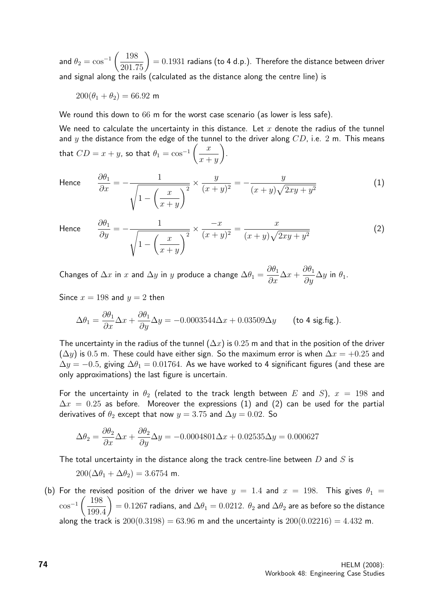and  $\theta_2=\cos^{-1}\left(\frac{198}{201.75}\right)$  $= 0.1931$  radians (to 4 d.p.). Therefore the distance between driver and signal along the rails (calculated as the distance along the centre line) is

 $200(\theta_1 + \theta_2) = 66.92$  m

We round this down to 66 m for the worst case scenario (as lower is less safe).

We need to calculate the uncertainty in this distance. Let  $x$  denote the radius of the tunnel and y the distance from the edge of the tunnel to the driver along  $CD$ , i.e. 2 m. This means that  $CD = x + y$ , so that  $\theta_1 = \cos^{-1}\left(\frac{x}{x+1}\right)$  $x + y$  $\setminus$ .

Hence  $\frac{\partial}{\partial t}$ 

$$
\frac{\partial \theta_1}{\partial x} = -\frac{1}{\sqrt{1 - \left(\frac{x}{x+y}\right)^2}} \times \frac{y}{(x+y)^2} = -\frac{y}{(x+y)\sqrt{2xy + y^2}}
$$
(1)

Hence

$$
\frac{\partial \theta_1}{\partial y} = -\frac{1}{\sqrt{1 - \left(\frac{x}{x+y}\right)^2}} \times \frac{-x}{(x+y)^2} = \frac{x}{(x+y)\sqrt{2xy + y^2}}
$$
(2)

Changes of  $\Delta x$  in  $x$  and  $\Delta y$  in  $y$  produce a change  $\Delta \theta_1 =$  $\partial\theta_1$  $\frac{\partial^2 u}{\partial x} \Delta x +$  $\partial\theta_1$  $\frac{\partial^{\sigma_1}}{\partial y} \Delta y$  in  $\theta_1$ .

Since  $x = 198$  and  $y = 2$  then

$$
\Delta\theta_1 = \frac{\partial \theta_1}{\partial x} \Delta x + \frac{\partial \theta_1}{\partial y} \Delta y = -0.0003544 \Delta x + 0.03509 \Delta y \qquad \text{(to 4 sig. fig.)}.
$$

The uncertainty in the radius of the tunnel  $(\Delta x)$  is 0.25 m and that in the position of the driver  $(\Delta y)$  is 0.5 m. These could have either sign. So the maximum error is when  $\Delta x = +0.25$  and  $\Delta y = -0.5$ , giving  $\Delta \theta_1 = 0.01764$ . As we have worked to 4 significant figures (and these are only approximations) the last figure is uncertain.

For the uncertainty in  $\theta_2$  (related to the track length between E and S),  $x = 198$  and  $\Delta x = 0.25$  as before. Moreover the expressions (1) and (2) can be used for the partial derivatives of  $\theta_2$  except that now  $y = 3.75$  and  $\Delta y = 0.02$ . So

$$
\Delta\theta_2 = \frac{\partial \theta_2}{\partial x} \Delta x + \frac{\partial \theta_2}{\partial y} \Delta y = -0.0004801 \Delta x + 0.02535 \Delta y = 0.000627
$$

The total uncertainty in the distance along the track centre-line between  $D$  and  $S$  is

$$
200(\Delta\theta_1 + \Delta\theta_2) = 3.6754 \text{ m}.
$$

(b) For the revised position of the driver we have  $y = 1.4$  and  $x = 198$ . This gives  $\theta_1 =$  $\cos^{-1}\left(\frac{198}{100}\right)$ 199.4  $\setminus$  $= 0.1267$  radians, and  $\Delta \theta_1 = 0.0212$ .  $\theta_2$  and  $\Delta \theta_2$  are as before so the distance along the track is  $200(0.3198) = 63.96$  m and the uncertainty is  $200(0.02216) = 4.432$  m.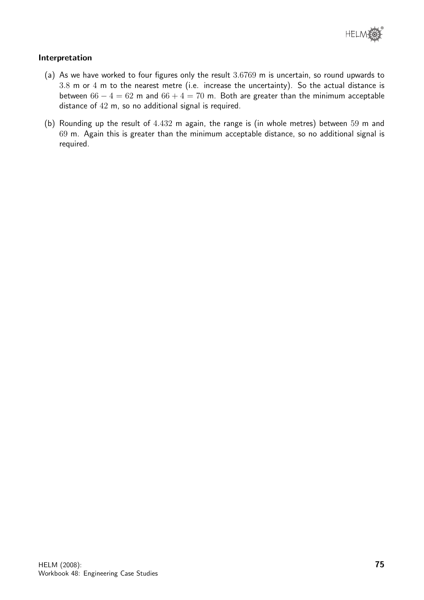

# Interpretation

- (a) As we have worked to four figures only the result 3.6769 m is uncertain, so round upwards to 3.8 m or 4 m to the nearest metre (i.e. increase the uncertainty). So the actual distance is between  $66 - 4 = 62$  m and  $66 + 4 = 70$  m. Both are greater than the minimum acceptable distance of 42 m, so no additional signal is required.
- (b) Rounding up the result of 4.432 m again, the range is (in whole metres) between 59 m and 69 m. Again this is greater than the minimum acceptable distance, so no additional signal is required.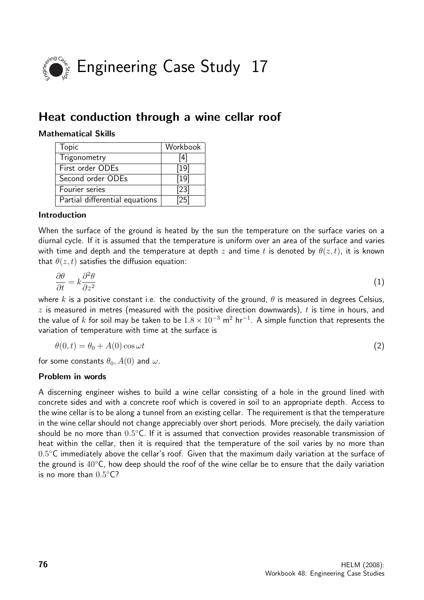

# Heat conduction through a wine cellar roof

# Mathematical Skills

| Topic                          | Workbook |
|--------------------------------|----------|
| Trigonometry                   | [4]      |
| First order ODEs               | $[19]$   |
| Second order ODEs              | [19]     |
| Fourier series                 | $[23]$   |
| Partial differential equations | 25       |

# Introduction

When the surface of the ground is heated by the sun the temperature on the surface varies on a diurnal cycle. If it is assumed that the temperature is uniform over an area of the surface and varies with time and depth and the temperature at depth z and time t is denoted by  $\theta(z,t)$ , it is known that  $\theta(z, t)$  satisfies the diffusion equation:

$$
\frac{\partial \theta}{\partial t} = k \frac{\partial^2 \theta}{\partial z^2} \tag{1}
$$

where k is a positive constant i.e. the conductivity of the ground,  $\theta$  is measured in degrees Celsius,  $z$  is measured in metres (measured with the positive direction downwards),  $t$  is time in hours, and the value of  $k$  for soil may be taken to be  $1.8\times10^{-3}$  m $^2$  hr $^{-1}$ . A simple function that represents the variation of temperature with time at the surface is

$$
\theta(0,t) = \theta_0 + A(0) \cos \omega t \tag{2}
$$

for some constants  $\theta_0$ ,  $A(0)$  and  $\omega$ .

### Problem in words

A discerning engineer wishes to build a wine cellar consisting of a hole in the ground lined with concrete sides and with a concrete roof which is covered in soil to an appropriate depth. Access to the wine cellar is to be along a tunnel from an existing cellar. The requirement is that the temperature in the wine cellar should not change appreciably over short periods. More precisely, the daily variation should be no more than  $0.5^{\circ}$ C. If it is assumed that convection provides reasonable transmission of heat within the cellar, then it is required that the temperature of the soil varies by no more than  $0.5^{\circ}$ C immediately above the cellar's roof. Given that the maximum daily variation at the surface of the ground is  $40^{\circ}$ C, how deep should the roof of the wine cellar be to ensure that the daily variation is no more than  $0.5^{\circ}$ C?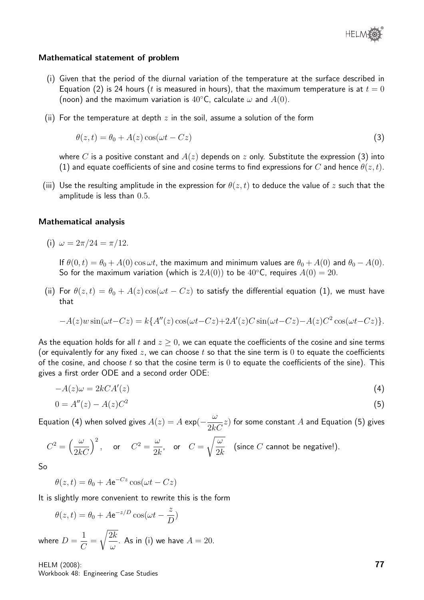

### Mathematical statement of problem

- (i) Given that the period of the diurnal variation of the temperature at the surface described in Equation (2) is 24 hours (t is measured in hours), that the maximum temperature is at  $t = 0$ (noon) and the maximum variation is  $40^{\circ}$ C, calculate  $\omega$  and  $A(0)$ .
- (ii) For the temperature at depth  $z$  in the soil, assume a solution of the form

$$
\theta(z,t) = \theta_0 + A(z) \cos(\omega t - Cz) \tag{3}
$$

where C is a positive constant and  $A(z)$  depends on z only. Substitute the expression (3) into (1) and equate coefficients of sine and cosine terms to find expressions for C and hence  $\theta(z,t)$ .

(iii) Use the resulting amplitude in the expression for  $\theta(z,t)$  to deduce the value of z such that the amplitude is less than 0.5.

### Mathematical analysis

(i)  $\omega = 2\pi/24 = \pi/12$ .

If  $\theta(0, t) = \theta_0 + A(0) \cos \omega t$ , the maximum and minimum values are  $\theta_0 + A(0)$  and  $\theta_0 - A(0)$ . So for the maximum variation (which is  $2A(0)$ ) to be  $40^{\circ}$ C, requires  $A(0) = 20$ .

(ii) For  $\theta(z,t) = \theta_0 + A(z) \cos(\omega t - Cz)$  to satisfy the differential equation (1), we must have that

$$
-A(z)w\sin(\omega t - Cz) = k\{A''(z)\cos(\omega t - Cz) + 2A'(z)C\sin(\omega t - Cz) - A(z)C^2\cos(\omega t - Cz)\}.
$$

As the equation holds for all t and  $z \geq 0$ , we can equate the coefficients of the cosine and sine terms (or equivalently for any fixed  $z$ , we can choose t so that the sine term is 0 to equate the coefficients of the cosine, and choose  $t$  so that the cosine term is  $0$  to equate the coefficients of the sine). This gives a first order ODE and a second order ODE:

$$
-A(z)\omega = 2kCA'(z)
$$
\n<sup>(4)</sup>

$$
0 = A''(z) - A(z)C^2
$$
\n(5)

Equation (4) when solved gives  $A(z) = A \exp(-\frac{\omega}{2l})$  $\frac{2}{2k}$  for some constant  $A$  and Equation (5) gives

$$
C^2 = \left(\frac{\omega}{2kC}\right)^2
$$
, or  $C^2 = \frac{\omega}{2k}$ , or  $C = \sqrt{\frac{\omega}{2k}}$  (since C cannot be negative!).

So

 $\theta(z,t) = \theta_0 + A e^{-Cz} \cos(\omega t - Cz)$ 

It is slightly more convenient to rewrite this is the form

$$
\theta(z, t) = \theta_0 + A e^{-z/D} \cos(\omega t - \frac{z}{D})
$$
  
where  $D = \frac{1}{C} = \sqrt{\frac{2k}{\omega}}$ . As in (i) we have  $A = 20$ .

HELM (2008): Workbook 48: Engineering Case Studies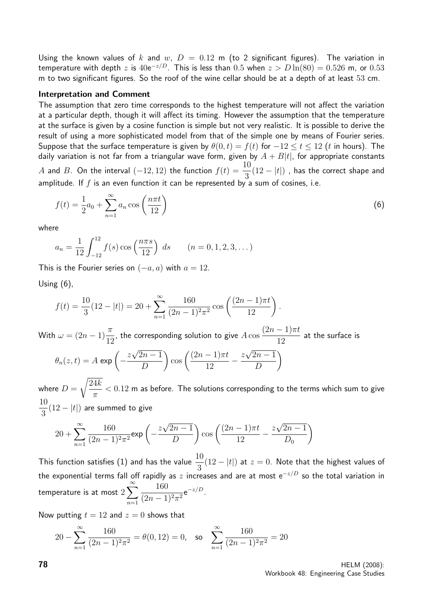Using the known values of k and w,  $D = 0.12$  m (to 2 significant figures). The variation in temperature with depth  $z$  is  $40 \mathrm{e}^{-z/D}$ . This is less than  $0.5$  when  $z > D \ln(80) = 0.526$  m, or  $0.53$ m to two significant figures. So the roof of the wine cellar should be at a depth of at least 53 cm.

### Interpretation and Comment

The assumption that zero time corresponds to the highest temperature will not affect the variation at a particular depth, though it will affect its timing. However the assumption that the temperature at the surface is given by a cosine function is simple but not very realistic. It is possible to derive the result of using a more sophisticated model from that of the simple one by means of Fourier series. Suppose that the surface temperature is given by  $\theta(0,t) = f(t)$  for  $-12 \le t \le 12$  (t in hours). The daily variation is not far from a triangular wave form, given by  $A + B|t|$ , for appropriate constants A and B. On the interval  $(-12, 12)$  the function  $f(t) = \frac{10}{2}$ 3  $(12 - |t|)$ , has the correct shape and amplitude. If  $f$  is an even function it can be represented by a sum of cosines, i.e.

$$
f(t) = \frac{1}{2}a_0 + \sum_{n=1}^{\infty} a_n \cos\left(\frac{n\pi t}{12}\right)
$$
\n
$$
\tag{6}
$$

where

$$
a_n = \frac{1}{12} \int_{-12}^{12} f(s) \cos\left(\frac{n\pi s}{12}\right) ds \qquad (n = 0, 1, 2, 3, ...)
$$

This is the Fourier series on  $(-a, a)$  with  $a = 12$ .

Using (6),

$$
f(t) = \frac{10}{3}(12 - |t|) = 20 + \sum_{n=1}^{\infty} \frac{160}{(2n-1)^2 \pi^2} \cos\left(\frac{(2n-1)\pi t}{12}\right).
$$

With  $\omega = (2n - 1)\frac{\pi}{16}$ 12 , the corresponding solution to give  $A\cos$  $(2n-1)\pi t$ 12 at the surface is  $\theta_n(z,t) = A \, \exp \left( - \frac{z}{\tau} \right)$ √  $2n-1$ D  $\cos\left(\frac{(2n-1)\pi t}{12}\right)$ 12 − z √  $2n-1$ D  $\setminus$ 

where  $D=$  $\sqrt{24k}$  $\pi$  $< 0.12$  m as before. The solutions corresponding to the terms which sum to give 10 3  $(12 - |t|)$  are summed to give

$$
20 + \sum_{n=1}^{\infty} \frac{160}{(2n-1)^2 \pi^2} \exp\left(-\frac{z\sqrt{2n-1}}{D}\right) \cos\left(\frac{(2n-1)\pi t}{12} - \frac{z\sqrt{2n-1}}{D_0}\right)
$$

This function satisfies (1) and has the value  $\frac{10}{2}$ 3  $(12 - |t|)$  at  $z = 0$ . Note that the highest values of the exponential terms fall off rapidly as z increases and are at most  $e^{-z/D}$  so the total variation in temperature is at most  $2\sum_{n=1}^{\infty}$  $n=1$ 160  $\frac{100}{(2n-1)^2 \pi^2} e^{-z/D}.$ 

Now putting  $t = 12$  and  $z = 0$  shows that

$$
20 - \sum_{n=1}^{\infty} \frac{160}{(2n-1)^2 \pi^2} = \theta(0, 12) = 0, \text{ so } \sum_{n=1}^{\infty} \frac{160}{(2n-1)^2 \pi^2} = 20
$$

**78** HELM (2008): Workbook 48: Engineering Case Studies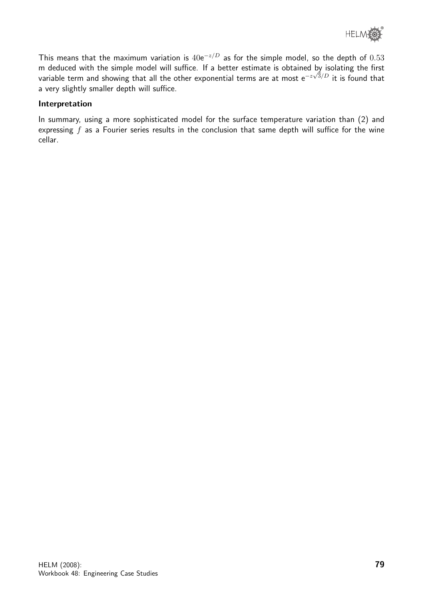

This means that the maximum variation is  $40e^{-z/D}$  as for the simple model, so the depth of  $0.53$ m deduced with the simple model will suffice. If a better estimate is obtained by isolating the first variable term and showing that all the other exponential terms are at most e $^{-z\sqrt{3}/D}$  it is found that a very slightly smaller depth will suffice.

# Interpretation

In summary, using a more sophisticated model for the surface temperature variation than (2) and expressing  $f$  as a Fourier series results in the conclusion that same depth will suffice for the wine cellar.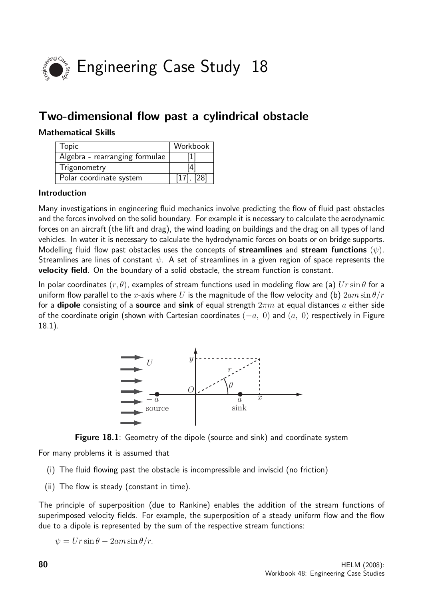

# Two-dimensional flow past a cylindrical obstacle

# Mathematical Skills

| <b>Topic</b>                   | Workbook                                                                                                                                                                                                                  |
|--------------------------------|---------------------------------------------------------------------------------------------------------------------------------------------------------------------------------------------------------------------------|
| Algebra - rearranging formulae | $[1] % \includegraphics[width=0.9\columnwidth]{figures/fig_10.pdf} \caption{The figure shows the number of times on the right panel. The left panel shows the number of times on the right panel.} \label{fig:fig_11}} %$ |
| Trigonometry                   | [4]                                                                                                                                                                                                                       |
| Polar coordinate system        | $[17]$ , $[28]$                                                                                                                                                                                                           |

### Introduction

Many investigations in engineering fluid mechanics involve predicting the flow of fluid past obstacles and the forces involved on the solid boundary. For example it is necessary to calculate the aerodynamic forces on an aircraft (the lift and drag), the wind loading on buildings and the drag on all types of land vehicles. In water it is necessary to calculate the hydrodynamic forces on boats or on bridge supports. Modelling fluid flow past obstacles uses the concepts of **streamlines** and **stream functions**  $(\psi)$ . Streamlines are lines of constant  $\psi$ . A set of streamlines in a given region of space represents the velocity field. On the boundary of a solid obstacle, the stream function is constant.

In polar coordinates  $(r, \theta)$ , examples of stream functions used in modeling flow are (a)  $Ur \sin \theta$  for a uniform flow parallel to the x-axis where U is the magnitude of the flow velocity and (b)  $2am\sin\theta/r$ for a **dipole** consisting of a **source** and sink of equal strength  $2\pi m$  at equal distances a either side of the coordinate origin (shown with Cartesian coordinates  $(-a, 0)$  and  $(a, 0)$  respectively in Figure 18.1).





For many problems it is assumed that

- (i) The fluid flowing past the obstacle is incompressible and inviscid (no friction)
- (ii) The flow is steady (constant in time).

The principle of superposition (due to Rankine) enables the addition of the stream functions of superimposed velocity fields. For example, the superposition of a steady uniform flow and the flow due to a dipole is represented by the sum of the respective stream functions:

 $\psi = Ur \sin \theta - 2am \sin \theta / r.$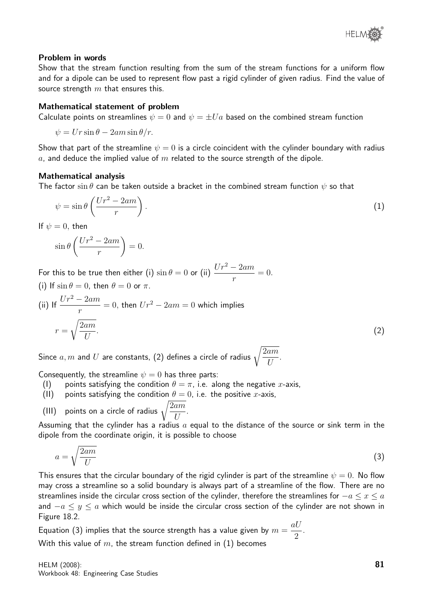

### Problem in words

Show that the stream function resulting from the sum of the stream functions for a uniform flow and for a dipole can be used to represent flow past a rigid cylinder of given radius. Find the value of source strength  $m$  that ensures this.

### Mathematical statement of problem

Calculate points on streamlines  $\psi = 0$  and  $\psi = \pm U a$  based on the combined stream function

$$
\psi = Ur \sin \theta - 2am \sin \theta / r.
$$

Show that part of the streamline  $\psi = 0$  is a circle coincident with the cylinder boundary with radius a, and deduce the implied value of m related to the source strength of the dipole.

#### Mathematical analysis

The factor  $\sin \theta$  can be taken outside a bracket in the combined stream function  $\psi$  so that

$$
\psi = \sin \theta \left( \frac{Ur^2 - 2am}{r} \right). \tag{1}
$$

If  $\psi = 0$ , then

$$
\sin \theta \left( \frac{Ur^2 - 2am}{r} \right) = 0.
$$

For this to be true then either (i)  $\sin \theta = 0$  or (ii)  $\frac{Ur^2 - 2am}{dr^2}$ r  $= 0.$ (i) If  $\sin \theta = 0$ , then  $\theta = 0$  or  $\pi$ .

(ii) If 
$$
\frac{Ur^2 - 2am}{r} = 0
$$
, then  $Ur^2 - 2am = 0$  which implies  

$$
r = \sqrt{\frac{2am}{U}}.
$$
 (2)

Since  $a,m$  and  $U$  are constants, (2) defines a circle of radius  $\sqrt{\frac{2am}{H}}$  $\boldsymbol{U}$ .

Consequently, the streamline  $\psi = 0$  has three parts:

- (I) points satisfying the condition  $\theta = \pi$ , i.e. along the negative x-axis,
- (II) points satisfying the condition  $\theta = 0$ , i.e. the positive *x*-axis,

(III) points on a circle of radius 
$$
\sqrt{\frac{2am}{U}}
$$
.

Assuming that the cylinder has a radius  $a$  equal to the distance of the source or sink term in the dipole from the coordinate origin, it is possible to choose

$$
a = \sqrt{\frac{2am}{U}}\tag{3}
$$

This ensures that the circular boundary of the rigid cylinder is part of the streamline  $\psi = 0$ . No flow may cross a streamline so a solid boundary is always part of a streamline of the flow. There are no streamlines inside the circular cross section of the cylinder, therefore the streamlines for  $-a \leq x \leq a$ and  $-a \leq y \leq a$  which would be inside the circular cross section of the cylinder are not shown in Figure 18.2.

Equation (3) implies that the source strength has a value given by  $m =$ aU 2 . With this value of  $m$ , the stream function defined in  $(1)$  becomes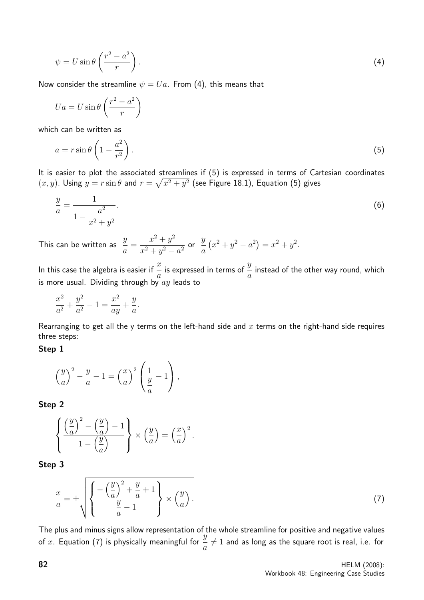$$
\psi = U \sin \theta \left( \frac{r^2 - a^2}{r} \right). \tag{4}
$$

Now consider the streamline  $\psi = Ua$ . From (4), this means that

$$
Ua = U \sin \theta \left(\frac{r^2 - a^2}{r}\right)
$$

which can be written as

$$
a = r \sin \theta \left( 1 - \frac{a^2}{r^2} \right). \tag{5}
$$

It is easier to plot the associated streamlines if (5) is expressed in terms of Cartesian coordinates  $(x, y)$ . Using  $y = r \sin \theta$  and  $r = \sqrt{x^2 + y^2}$  (see Figure 18.1), Equation (5) gives

$$
\frac{y}{a} = \frac{1}{1 - \frac{a^2}{x^2 + y^2}}.\tag{6}
$$

This can be written as  $\frac{y}{z}$ a =  $x^2 + y^2$  $\frac{x+y^2}{x^2+y^2-a^2}$  or  $\hat{y}$ a  $(x^{2} + y^{2} - a^{2}) = x^{2} + y^{2}.$ 

In this case the algebra is easier if  $\overset{x}{-}$ a is expressed in terms of  $\frac{y}{-}$ a instead of the other way round, which is more usual. Dividing through by  $ay$  leads to

$$
\frac{x^2}{a^2} + \frac{y^2}{a^2} - 1 = \frac{x^2}{ay} + \frac{y}{a}.
$$

Rearranging to get all the y terms on the left-hand side and  $x$  terms on the right-hand side requires three steps:

### Step 1

$$
\left(\frac{y}{a}\right)^2 - \frac{y}{a} - 1 = \left(\frac{x}{a}\right)^2 \left(\frac{1}{\frac{y}{a}} - 1\right),
$$

Step 2

$$
\left\{\frac{\left(\frac{y}{a}\right)^2 - \left(\frac{y}{a}\right) - 1}{1 - \left(\frac{y}{a}\right)}\right\} \times \left(\frac{y}{a}\right) = \left(\frac{x}{a}\right)^2.
$$

Step 3

$$
\frac{x}{a} = \pm \sqrt{\left\{ \frac{-\left(\frac{y}{a}\right)^2 + \frac{y}{a} + 1}{\frac{y}{a} - 1} \right\} \times \left(\frac{y}{a}\right)}.
$$
\n(7)

The plus and minus signs allow representation of the whole streamline for positive and negative values The plus and minus sight about representation or  $\frac{y}{z}$  of x. Equation (7) is physically meaningful for  $\frac{y}{z}$ a  $\neq 1$  and as long as the square root is real, i.e. for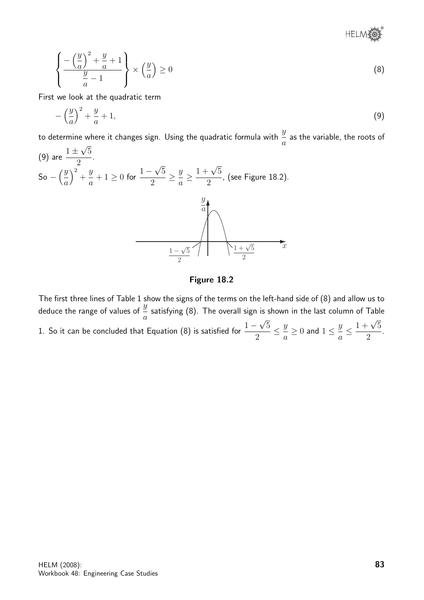

$$
\left\{ \frac{-\left(\frac{y}{a}\right)^2 + \frac{y}{a} + 1}{\frac{y}{a} - 1} \right\} \times \left(\frac{y}{a}\right) \ge 0
$$
\n(8)

First we look at the quadratic term

$$
-\left(\frac{y}{a}\right)^2 + \frac{y}{a} + 1,\tag{9}
$$

to determine where it changes sign. Using the quadratic formula with  $\frac{y}{\tau}$ a as the variable, the roots of √

(9) are 
$$
\frac{1 \pm \sqrt{5}}{2}
$$
.  
\nSo  $-\left(\frac{y}{a}\right)^2 + \frac{y}{a} + 1 \ge 0$  for  $\frac{1 - \sqrt{5}}{2} \ge \frac{y}{a} \ge \frac{1 + \sqrt{5}}{2}$ , (see Figure 18.2).

## Figure 18.2

The first three lines of Table 1 show the signs of the terms on the left-hand side of (8) and allow us to deduce the range of values of  $\frac{y}{x}$ a satisfying (8). The overall sign is shown in the last column of Table 1. So it can be concluded that Equation (8) is satisfied for  $\frac{1-\sqrt{5}}{2}$ √ 2  $\leq$   $\frac{y}{x}$ a  $\geq 0$  and  $1 \leq \frac{y}{y}$ a  $\leq \frac{1+\sqrt{5}}{2}$ 2 .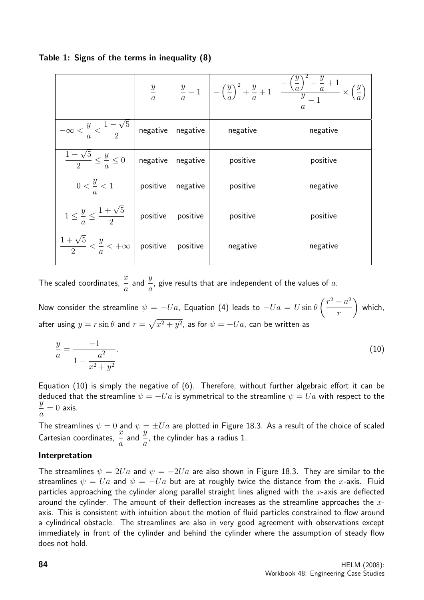|                                                                  |          |                          |          | $\frac{y}{a}$ $\left  \frac{y}{a} - 1 \right  - \left(\frac{y}{a}\right)^2 + \frac{y}{a} + 1 \left  \frac{-\left(\frac{y}{a}\right)^2 + \frac{y}{a} + 1}{\frac{y}{a} - 1} \times \left(\frac{y}{a}\right) \right $ |
|------------------------------------------------------------------|----------|--------------------------|----------|--------------------------------------------------------------------------------------------------------------------------------------------------------------------------------------------------------------------|
| $-\infty < \frac{y}{a} < \frac{1-\sqrt{5}}{2}$ negative negative |          |                          | negative | negative                                                                                                                                                                                                           |
| $\frac{1-\sqrt{5}}{2} \leq \frac{y}{a} \leq 0$                   |          | $negative \mid negative$ | positive | positive                                                                                                                                                                                                           |
| $0<\frac{y}{2}<1$                                                | positive | negative                 | positive | negative                                                                                                                                                                                                           |
| $1 \leq \frac{y}{s} \leq \frac{1+\sqrt{5}}{2}$ positive          |          | positive                 | positive | positive                                                                                                                                                                                                           |
| $\frac{1+\sqrt{5}}{2} < \frac{y}{a} < +\infty$ positive positive |          |                          | negative | negative                                                                                                                                                                                                           |

# Table 1: Signs of the terms in inequality (8)

The scaled coordinates,  $\frac{x}{x}$ a and  $\frac{y}{x}$ a , give results that are independent of the values of  $a$ .

Now consider the streamline  $\psi = -U a$ , Equation (4) leads to  $-U a = U \sin \theta$  $\int r^2 - a^2$ r  $\setminus$ which, after using  $y=r\sin\theta$  and  $r=\sqrt{x^2+y^2}$ , as for  $\psi=+U a$ , can be written as

$$
\frac{y}{a} = \frac{-1}{1 - \frac{a^2}{x^2 + y^2}}.\tag{10}
$$

Equation (10) is simply the negative of (6). Therefore, without further algebraic effort it can be deduced that the streamline  $\psi = -Ua$  is symmetrical to the streamline  $\psi = Ua$  with respect to the  $\tilde{y}$ a  $= 0$  axis.

The streamlines  $\psi = 0$  and  $\psi = \pm U a$  are plotted in Figure 18.3. As a result of the choice of scaled Cartesian coordinates,  $\frac{x}{x}$ a and  $\frac{y}{z}$ a , the cylinder has a radius 1.

### Interpretation

The streamlines  $\psi = 2Ua$  and  $\psi = -2Ua$  are also shown in Figure 18.3. They are similar to the streamlines  $\psi = Ua$  and  $\psi = -Ua$  but are at roughly twice the distance from the x-axis. Fluid particles approaching the cylinder along parallel straight lines aligned with the  $x$ -axis are deflected around the cylinder. The amount of their deflection increases as the streamline approaches the  $x$ axis. This is consistent with intuition about the motion of fluid particles constrained to flow around a cylindrical obstacle. The streamlines are also in very good agreement with observations except immediately in front of the cylinder and behind the cylinder where the assumption of steady flow does not hold.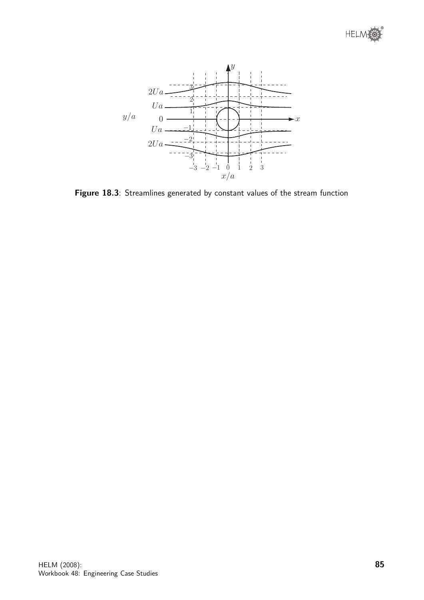



Figure 18.3: Streamlines generated by constant values of the stream function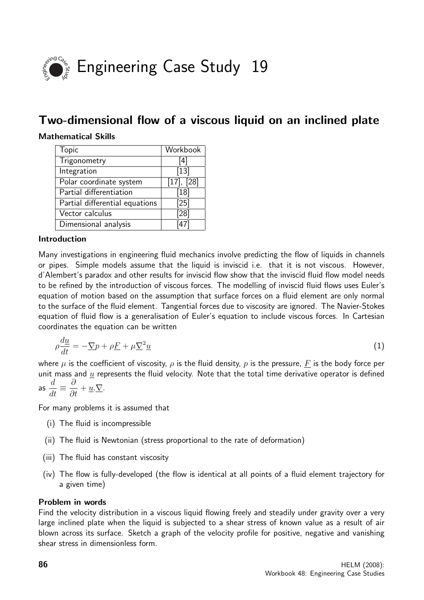

# Two-dimensional flow of a viscous liquid on an inclined plate

# Mathematical Skills

| <b>Topic</b>                   | Workbook          |
|--------------------------------|-------------------|
| Trigonometry                   | [4]               |
| Integration                    | $[13]$            |
| Polar coordinate system        | $[17]$ , $[28]$   |
| Partial differentiation        | [18]              |
| Partial differential equations | $[25]$            |
| Vector calculus                | [28]              |
| Dimensional analysis           | $\overline{1471}$ |

### Introduction

Many investigations in engineering fluid mechanics involve predicting the flow of liquids in channels or pipes. Simple models assume that the liquid is inviscid i.e. that it is not viscous. However, d'Alembert's paradox and other results for inviscid flow show that the inviscid fluid flow model needs to be refined by the introduction of viscous forces. The modelling of inviscid fluid flows uses Euler's equation of motion based on the assumption that surface forces on a fluid element are only normal to the surface of the fluid element. Tangential forces due to viscosity are ignored. The Navier-Stokes equation of fluid flow is a generalisation of Euler's equation to include viscous forces. In Cartesian coordinates the equation can be written

$$
\rho \frac{du}{dt} = -\underline{\nabla}p + \rho \underline{F} + \mu \underline{\nabla}^2 \underline{u}
$$
\n(1)

where u is the coefficient of viscosity,  $\rho$  is the fluid density, p is the pressure, F is the body force per unit mass and  $u$  represents the fluid velocity. Note that the total time derivative operator is defined  $\overline{d}$ ∂

as 
$$
\frac{d}{dt} \equiv \frac{\partial}{\partial t} + \underline{u} \cdot \nabla
$$
.

For many problems it is assumed that

- (i) The fluid is incompressible
- (ii) The fluid is Newtonian (stress proportional to the rate of deformation)
- (iii) The fluid has constant viscosity
- (iv) The flow is fully-developed (the flow is identical at all points of a fluid element trajectory for a given time)

### Problem in words

Find the velocity distribution in a viscous liquid flowing freely and steadily under gravity over a very large inclined plate when the liquid is subjected to a shear stress of known value as a result of air blown across its surface. Sketch a graph of the velocity profile for positive, negative and vanishing shear stress in dimensionless form.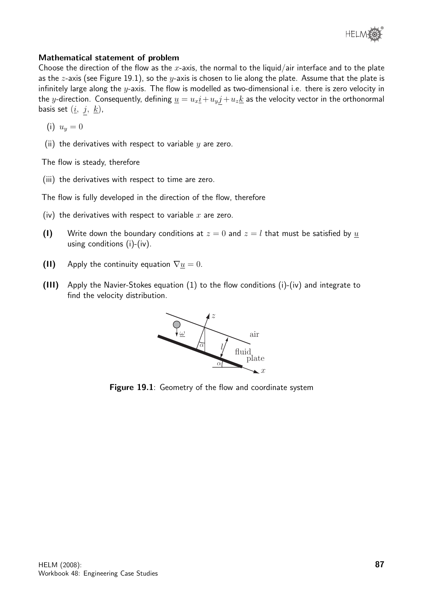

# Mathematical statement of problem

Choose the direction of the flow as the x-axis, the normal to the liquid/air interface and to the plate as the z-axis (see Figure 19.1), so the y-axis is chosen to lie along the plate. Assume that the plate is infinitely large along the  $y$ -axis. The flow is modelled as two-dimensional i.e. there is zero velocity in the y-direction. Consequently, defining  $\underline{u} = u_x \underline{i} + u_y \underline{j} + u_z \underline{k}$  as the velocity vector in the orthonormal basis set  $(i, j, k)$ ,

- (i)  $u_y = 0$
- (ii) the derivatives with respect to variable  $y$  are zero.

The flow is steady, therefore

(iii) the derivatives with respect to time are zero.

The flow is fully developed in the direction of the flow, therefore

- (iv) the derivatives with respect to variable  $x$  are zero.
- (I) Write down the boundary conditions at  $z = 0$  and  $z = l$  that must be satisfied by u using conditions (i)-(iv).
- (II) Apply the continuity equation  $\nabla \underline{u} = 0$ .
- (III) Apply the Navier-Stokes equation (1) to the flow conditions (i)-(iv) and integrate to find the velocity distribution.



Figure 19.1: Geometry of the flow and coordinate system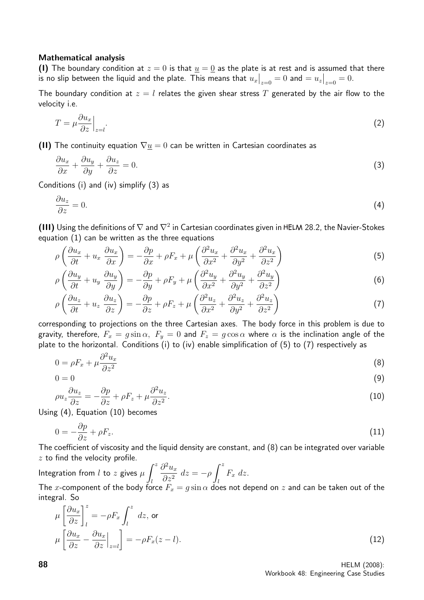### Mathematical analysis

(I) The boundary condition at  $z = 0$  is that  $u = 0$  as the plate is at rest and is assumed that there is no slip between the liquid and the plate. This means that  $u_x\big|_{z=0}=0$  and  $=u_z\big|_{z=0}=0.$ 

The boundary condition at  $z = l$  relates the given shear stress T generated by the air flow to the velocity i.e.

$$
T = \mu \frac{\partial u_x}{\partial z} \Big|_{z=l}.\tag{2}
$$

(II) The continuity equation  $\nabla \underline{u} = 0$  can be written in Cartesian coordinates as

$$
\frac{\partial u_x}{\partial x} + \frac{\partial u_y}{\partial y} + \frac{\partial u_z}{\partial z} = 0.
$$
\n(3)

Conditions (i) and (iv) simplify (3) as

$$
\frac{\partial u_z}{\partial z} = 0. \tag{4}
$$

(III) Using the definitions of  $\nabla$  and  $\nabla^2$  in Cartesian coordinates given in HELM 28.2, the Navier-Stokes equation (1) can be written as the three equations

$$
\rho \left( \frac{\partial u_x}{\partial t} + u_x \frac{\partial u_x}{\partial x} \right) = -\frac{\partial p}{\partial x} + \rho F_x + \mu \left( \frac{\partial^2 u_x}{\partial x^2} + \frac{\partial^2 u_x}{\partial y^2} + \frac{\partial^2 u_x}{\partial z^2} \right) \tag{5}
$$

$$
\rho \left( \frac{\partial u_y}{\partial t} + u_y \frac{\partial u_y}{\partial y} \right) = -\frac{\partial p}{\partial y} + \rho F_y + \mu \left( \frac{\partial^2 u_y}{\partial x^2} + \frac{\partial^2 u_y}{\partial y^2} + \frac{\partial^2 u_y}{\partial z^2} \right) \tag{6}
$$

$$
\rho \left( \frac{\partial u_z}{\partial t} + u_z \frac{\partial u_z}{\partial z} \right) = -\frac{\partial p}{\partial z} + \rho F_z + \mu \left( \frac{\partial^2 u_z}{\partial x^2} + \frac{\partial^2 u_z}{\partial y^2} + \frac{\partial^2 u_z}{\partial z^2} \right) \tag{7}
$$

corresponding to projections on the three Cartesian axes. The body force in this problem is due to gravity, therefore,  $F_x = g \sin \alpha$ ,  $F_y = 0$  and  $F_z = g \cos \alpha$  where  $\alpha$  is the inclination angle of the plate to the horizontal. Conditions (i) to (iv) enable simplification of (5) to (7) respectively as

$$
0 = \rho F_x + \mu \frac{\partial^2 u_x}{\partial z^2} \tag{8}
$$

$$
0 = 0 \tag{9}
$$

$$
\rho u_z \frac{\partial u_z}{\partial z} = -\frac{\partial p}{\partial z} + \rho F_z + \mu \frac{\partial^2 u_z}{\partial z^2}.
$$
\n(10)

Using (4), Equation (10) becomes

$$
0 = -\frac{\partial p}{\partial z} + \rho F_z. \tag{11}
$$

The coefficient of viscosity and the liquid density are constant, and (8) can be integrated over variable  $z$  to find the velocity profile.

Integration from *l* to *z* gives  $\mu$   $\int_0^z$ l  $\partial^2 u_x$  $\partial z^2$  $dz = -\rho \int^z$ l  $F_x$  dz. The x-component of the body force  $F_x = g \sin \alpha$  does not depend on z and can be taken out of the integral. So

$$
\mu \left[ \frac{\partial u_x}{\partial z} \right]_l^z = -\rho F_x \int_l^z dz, \text{ or}
$$

$$
\mu \left[ \frac{\partial u_x}{\partial z} - \frac{\partial u_x}{\partial z} \Big|_{z=l} \right] = -\rho F_x(z-l).
$$
(12)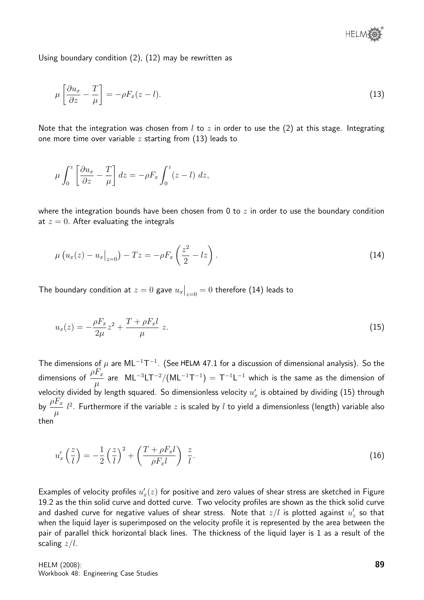

Using boundary condition (2), (12) may be rewritten as

$$
\mu \left[ \frac{\partial u_x}{\partial z} - \frac{T}{\mu} \right] = -\rho F_x(z - l). \tag{13}
$$

Note that the integration was chosen from  $l$  to  $z$  in order to use the (2) at this stage. Integrating one more time over variable  $z$  starting from (13) leads to

$$
\mu \int_0^z \left[ \frac{\partial u_x}{\partial z} - \frac{T}{\mu} \right] dz = -\rho F_x \int_0^z (z - l) dz,
$$

where the integration bounds have been chosen from 0 to  $z$  in order to use the boundary condition at  $z = 0$ . After evaluating the integrals

$$
\mu\left(u_x(z) - u_x\big|_{z=0}\right) - Tz = -\rho F_x\left(\frac{z^2}{2} - iz\right). \tag{14}
$$

The boundary condition at  $z=0$  gave  $u_x\big|_{z=0}=0$  therefore  $(14)$  leads to

$$
u_x(z) = -\frac{\rho F_x}{2\mu} z^2 + \frac{T + \rho F_x l}{\mu} z.
$$
 (15)

The dimensions of  $\mu$  are ML<sup>-1</sup>T<sup>-1</sup>. (See HELM 47.1 for a discussion of dimensional analysis). So the dimensions of  $\rho F_x$  $\mu$ are  $\rm ML^{-3}LT^{-2}/(ML^{-1}T^{-1}) = T^{-1}L^{-1}$  which is the same as the dimension of velocity divided by length squared. So dimensionless velocity  $u^\prime_x$  is obtained by dividing (15) through by  $\frac{\rho F_x}{\rho}$  $\mu$  $l^2$ . Furthermore if the variable  $z$  is scaled by  $l$  to yield a dimensionless (length) variable also then

$$
u'_x\left(\frac{z}{l}\right) = -\frac{1}{2}\left(\frac{z}{l}\right)^2 + \left(\frac{T + \rho F_x l}{\rho F_x l}\right) \frac{z}{l}.
$$
\n(16)

Examples of velocity profiles  $u_x'(z)$  for positive and zero values of shear stress are sketched in Figure 19.2 as the thin solid curve and dotted curve. Two velocity profiles are shown as the thick solid curve and dashed curve for negative values of shear stress. Note that  $z/l$  is plotted against  $u_z^\prime$  so that when the liquid layer is superimposed on the velocity profile it is represented by the area between the pair of parallel thick horizontal black lines. The thickness of the liquid layer is 1 as a result of the scaling  $z/l$ .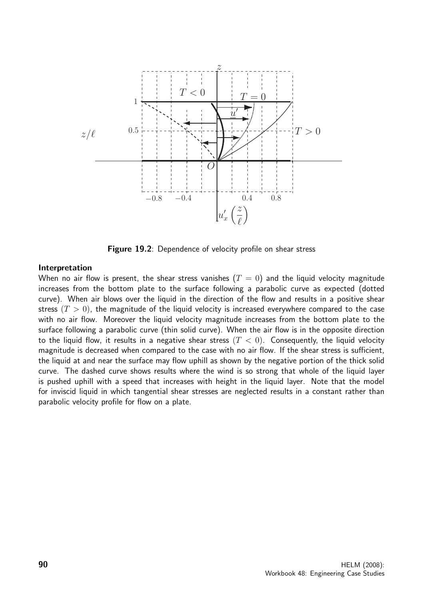

Figure 19.2: Dependence of velocity profile on shear stress

### Interpretation

When no air flow is present, the shear stress vanishes  $(T = 0)$  and the liquid velocity magnitude increases from the bottom plate to the surface following a parabolic curve as expected (dotted curve). When air blows over the liquid in the direction of the flow and results in a positive shear stress  $(T > 0)$ , the magnitude of the liquid velocity is increased everywhere compared to the case with no air flow. Moreover the liquid velocity magnitude increases from the bottom plate to the surface following a parabolic curve (thin solid curve). When the air flow is in the opposite direction to the liquid flow, it results in a negative shear stress  $(T < 0)$ . Consequently, the liquid velocity magnitude is decreased when compared to the case with no air flow. If the shear stress is sufficient, the liquid at and near the surface may flow uphill as shown by the negative portion of the thick solid curve. The dashed curve shows results where the wind is so strong that whole of the liquid layer is pushed uphill with a speed that increases with height in the liquid layer. Note that the model for inviscid liquid in which tangential shear stresses are neglected results in a constant rather than parabolic velocity profile for flow on a plate.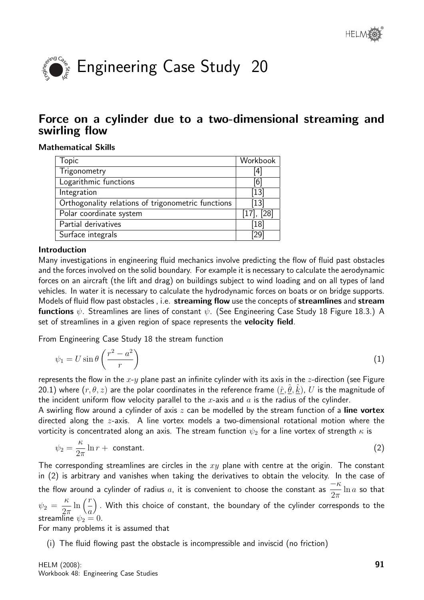

# Force on a cylinder due to a two-dimensional streaming and swirling flow

# Mathematical Skills

| <b>Topic</b>                                       | Workbook        |
|----------------------------------------------------|-----------------|
| Trigonometry                                       | 4               |
| Logarithmic functions                              | [6]             |
| Integration                                        | $[13]$          |
| Orthogonality relations of trigonometric functions | $[13]$          |
| Polar coordinate system                            | $[17]$ , $[28]$ |
| Partial derivatives                                | [18]            |
| Surface integrals                                  | 29              |
|                                                    |                 |

# Introduction

Many investigations in engineering fluid mechanics involve predicting the flow of fluid past obstacles and the forces involved on the solid boundary. For example it is necessary to calculate the aerodynamic forces on an aircraft (the lift and drag) on buildings subject to wind loading and on all types of land vehicles. In water it is necessary to calculate the hydrodynamic forces on boats or on bridge supports. Models of fluid flow past obstacles, i.e. streaming flow use the concepts of streamlines and stream **functions**  $\psi$ . Streamlines are lines of constant  $\psi$ . (See Engineering Case Study 18 Figure 18.3.) A set of streamlines in a given region of space represents the **velocity field**.

From Engineering Case Study 18 the stream function

$$
\psi_1 = U \sin \theta \left( \frac{r^2 - a^2}{r} \right) \tag{1}
$$

represents the flow in the  $x-y$  plane past an infinite cylinder with its axis in the z-direction (see Figure 20.1) where  $(r, \theta, z)$  are the polar coordinates in the reference frame  $(\hat{r}, \hat{\theta}, \hat{k})$ ,  $U$  is the magnitude of the incident uniform flow velocity parallel to the x-axis and  $a$  is the radius of the cylinder.

A swirling flow around a cylinder of axis  $z$  can be modelled by the stream function of a line vortex directed along the z-axis. A line vortex models a two-dimensional rotational motion where the vorticity is concentrated along an axis. The stream function  $\psi_2$  for a line vortex of strength  $\kappa$  is

$$
\psi_2 = \frac{\kappa}{2\pi} \ln r + \text{ constant.} \tag{2}
$$

The corresponding streamlines are circles in the  $xy$  plane with centre at the origin. The constant in (2) is arbitrary and vanishes when taking the derivatives to obtain the velocity. In the case of the flow around a cylinder of radius a, it is convenient to choose the constant as  $-\kappa$  $2\pi$  $ln a$  so that  $\psi_2 =$ κ  $2\pi$  $\ln\left(\frac{r}{r}\right)$ a . With this choice of constant, the boundary of the cylinder corresponds to the streamline  $\psi_2 = 0$ .

For many problems it is assumed that

(i) The fluid flowing past the obstacle is incompressible and inviscid (no friction)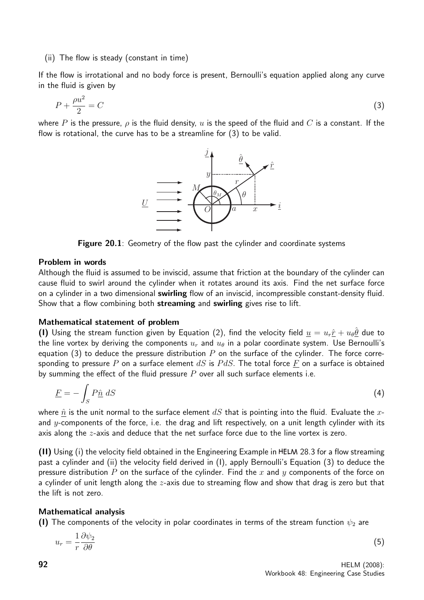### (ii) The flow is steady (constant in time)

If the flow is irrotational and no body force is present, Bernoulli's equation applied along any curve in the fluid is given by

$$
P + \frac{\rho u^2}{2} = C \tag{3}
$$

where P is the pressure,  $\rho$  is the fluid density,  $u$  is the speed of the fluid and  $C$  is a constant. If the flow is rotational, the curve has to be a streamline for (3) to be valid.



Figure 20.1: Geometry of the flow past the cylinder and coordinate systems

### Problem in words

Although the fluid is assumed to be inviscid, assume that friction at the boundary of the cylinder can cause fluid to swirl around the cylinder when it rotates around its axis. Find the net surface force on a cylinder in a two dimensional **swirling** flow of an inviscid, incompressible constant-density fluid. Show that a flow combining both streaming and swirling gives rise to lift.

### Mathematical statement of problem

(1) Using the stream function given by Equation (2), find the velocity field  $\underline{u} = u_r \hat{r} + u_\theta \hat{\theta}$  due to the line vortex by deriving the components  $u_r$  and  $u_\theta$  in a polar coordinate system. Use Bernoulli's equation (3) to deduce the pressure distribution  $P$  on the surface of the cylinder. The force corresponding to pressure P on a surface element dS is PdS. The total force F on a surface is obtained by summing the effect of the fluid pressure  $P$  over all such surface elements i.e.

$$
\underline{F} = -\int_{S} P \hat{\underline{n}} \ dS \tag{4}
$$

where  $\hat{n}$  is the unit normal to the surface element  $dS$  that is pointing into the fluid. Evaluate the xand y-components of the force, i.e. the drag and lift respectively, on a unit length cylinder with its axis along the  $z$ -axis and deduce that the net surface force due to the line vortex is zero.

(II) Using (i) the velocity field obtained in the Engineering Example in 28.3 for a flow streaming past a cylinder and (ii) the velocity field derived in (I), apply Bernoulli's Equation (3) to deduce the pressure distribution P on the surface of the cylinder. Find the x and y components of the force on a cylinder of unit length along the z-axis due to streaming flow and show that drag is zero but that the lift is not zero.

### Mathematical analysis

(I) The components of the velocity in polar coordinates in terms of the stream function  $\psi_2$  are

$$
u_r = \frac{1}{r} \frac{\partial \psi_2}{\partial \theta} \tag{5}
$$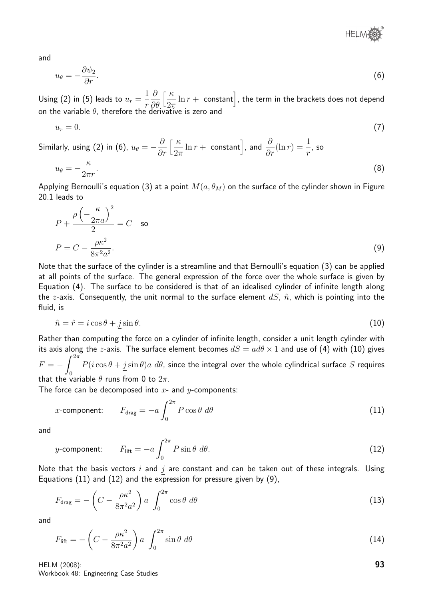

and

$$
u_{\theta} = -\frac{\partial \psi_2}{\partial r}.\tag{6}
$$

Using (2) in (5) leads to  $u_r =$ 1 r  $\partial$ ∂θ  $\lceil \frac{\kappa}{\kappa} \rceil$  $2\pi$  $\ln r + \,$  constant $\big]$ , the term in the brackets does not depend on the variable  $\theta$ , therefore the derivative is zero and

$$
u_r = 0.\t\t(7)
$$

Similarly, using (2) in (6),  $u_{\theta} = -\frac{\hat{\theta}}{2}$ ∂r  $\lceil \frac{\kappa}{\kappa} \rceil$  $2\pi$  $\ln r + \text{ constant}$ , and  $\frac{\partial}{\partial r}(\ln r) = \frac{1}{r}$ , so

$$
u_{\theta} = -\frac{\kappa}{2\pi r}.\tag{8}
$$

Applying Bernoulli's equation (3) at a point  $M(a, \theta_M)$  on the surface of the cylinder shown in Figure 20.1 leads to

$$
P + \frac{\rho \left(-\frac{\kappa}{2\pi a}\right)^2}{2} = C \quad \text{so}
$$
\n
$$
P = C - \frac{\rho \kappa^2}{8\pi^2 a^2}.
$$
\n(9)

Note that the surface of the cylinder is a streamline and that Bernoulli's equation (3) can be applied at all points of the surface. The general expression of the force over the whole surface is given by Equation (4). The surface to be considered is that of an idealised cylinder of infinite length along the z-axis. Consequently, the unit normal to the surface element  $dS$ ,  $\hat{n}$ , which is pointing into the fluid, is

$$
\hat{\underline{n}} = \hat{\underline{r}} = \underline{i}\cos\theta + j\sin\theta. \tag{10}
$$

Rather than computing the force on a cylinder of infinite length, consider a unit length cylinder with its axis along the z-axis. The surface element becomes  $dS = ad\theta \times 1$  and use of (4) with (10) gives  $\underline{F}=-\int^{2\pi}% 1_{\{\Theta_1\}}e^{i\{\Theta_2\}}\frac{d\Theta_3}{dx}~\Delta^2\varphi~\Delta^2\varphi~\Delta^2\varphi~\Delta^2\varphi~\Delta^2\varphi~\Delta^2\varphi~\Delta^2\varphi~\Delta^2\varphi~\Delta^2\varphi~\Delta^2\varphi~\Delta^2\varphi~\Delta^2\varphi~\Delta^2\varphi~\Delta^2\varphi~\Delta^2\varphi~\Delta^2\varphi~\Delta^2\varphi~\Delta^2\varphi~\Delta^2\varphi~\Delta^2\varphi~\Delta^2\varphi~\Delta^2\var$ 0  $P(\underline{i}\cos\theta + j\sin\theta)a\;d\theta$ , since the integral over the whole cylindrical surface  $S$  requires that the variable  $\theta$  runs from 0 to  $2\pi$ .

The force can be decomposed into  $x$ - and  $y$ -components:

x-component: 
$$
F_{\text{drag}} = -a \int_0^{2\pi} P \cos \theta \ d\theta
$$
 (11)

and

y-component: 
$$
F_{\text{lift}} = -a \int_0^{2\pi} P \sin \theta \ d\theta.
$$
 (12)

Note that the basis vectors  $\underline{i}$  and  $j$  are constant and can be taken out of these integrals. Using Equations (11) and (12) and the expression for pressure given by (9),

$$
F_{\text{drag}} = -\left(C - \frac{\rho \kappa^2}{8\pi^2 a^2}\right) a \int_0^{2\pi} \cos\theta \ d\theta \tag{13}
$$

and

$$
F_{\text{lift}} = -\left(C - \frac{\rho \kappa^2}{8\pi^2 a^2}\right) a \int_0^{2\pi} \sin\theta \ d\theta \tag{14}
$$

HELM (2008): Workbook 48: Engineering Case Studies 93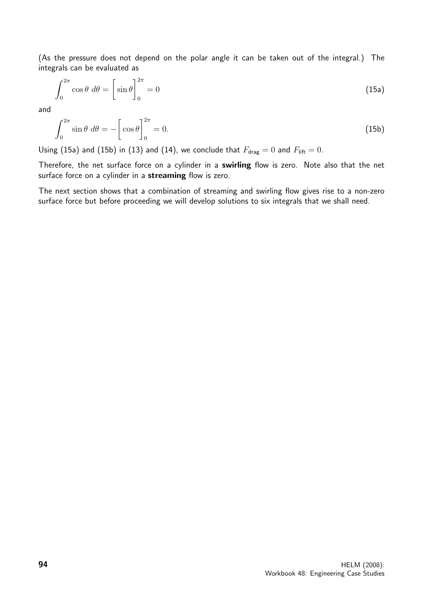(As the pressure does not depend on the polar angle it can be taken out of the integral.) The integrals can be evaluated as

$$
\int_0^{2\pi} \cos \theta \, d\theta = \left[ \sin \theta \right]_0^{2\pi} = 0 \tag{15a}
$$

and

$$
\int_0^{2\pi} \sin \theta \, d\theta = -\left[\cos \theta\right]_0^{2\pi} = 0. \tag{15b}
$$

Using (15a) and (15b) in (13) and (14), we conclude that  $F_{drag} = 0$  and  $F_{lift} = 0$ .

Therefore, the net surface force on a cylinder in a swirling flow is zero. Note also that the net surface force on a cylinder in a streaming flow is zero.

The next section shows that a combination of streaming and swirling flow gives rise to a non-zero surface force but before proceeding we will develop solutions to six integrals that we shall need.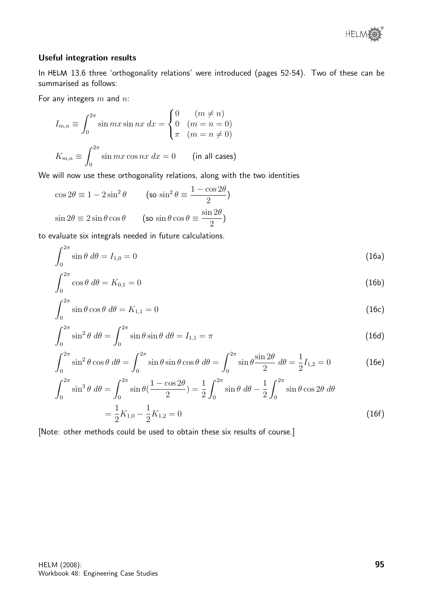

### Useful integration results

In HELM 13.6 three 'orthogonality relations' were introduced (pages 52-54). Two of these can be summarised as follows:

For any integers  $m$  and  $n$ :

$$
I_{m,n} \equiv \int_0^{2\pi} \sin mx \sin nx \, dx = \begin{cases} 0 & (m \neq n) \\ 0 & (m = n = 0) \\ \pi & (m = n \neq 0) \end{cases}
$$

$$
K_{m,n} \equiv \int_0^{2\pi} \sin mx \cos nx \, dx = 0 \qquad \text{(in all cases)}
$$

We will now use these orthogonality relations, along with the two identities

$$
\cos 2\theta \equiv 1 - 2\sin^2 \theta \qquad \text{(so } \sin^2 \theta \equiv \frac{1 - \cos 2\theta}{2}\text{)}
$$

$$
\sin 2\theta \equiv 2\sin \theta \cos \theta \qquad \text{(so } \sin \theta \cos \theta \equiv \frac{\sin 2\theta}{2}\text{)}
$$

to evaluate six integrals needed in future calculations.

$$
\int_0^{2\pi} \sin \theta \ d\theta = I_{1,0} = 0 \tag{16a}
$$

$$
\int_0^{2\pi} \cos \theta \ d\theta = K_{0,1} = 0 \tag{16b}
$$

$$
\int_0^{2\pi} \sin \theta \cos \theta \, d\theta = K_{1,1} = 0 \tag{16c}
$$

$$
\int_0^{2\pi} \sin^2 \theta \, d\theta = \int_0^{2\pi} \sin \theta \sin \theta \, d\theta = I_{1,1} = \pi \tag{16d}
$$

$$
\int_0^{2\pi} \sin^2 \theta \cos \theta \, d\theta = \int_0^{2\pi} \sin \theta \sin \theta \cos \theta \, d\theta = \int_0^{2\pi} \sin \theta \frac{\sin 2\theta}{2} \, d\theta = \frac{1}{2} I_{1,2} = 0 \tag{16e}
$$

$$
\int_0^{2\pi} \sin^3 \theta \, d\theta = \int_0^{2\pi} \sin \theta (\frac{1 - \cos 2\theta}{2}) = \frac{1}{2} \int_0^{2\pi} \sin \theta \, d\theta - \frac{1}{2} \int_0^{2\pi} \sin \theta \cos 2\theta \, d\theta
$$

$$
= \frac{1}{2} K_{1,0} - \frac{1}{2} K_{1,2} = 0 \tag{16f}
$$

[Note: other methods could be used to obtain these six results of course.]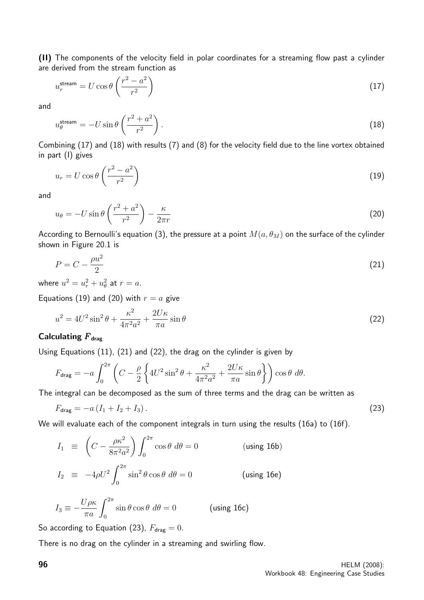(II) The components of the velocity field in polar coordinates for a streaming flow past a cylinder are derived from the stream function as

$$
u_r^{\text{stream}} = U \cos \theta \left(\frac{r^2 - a^2}{r^2}\right) \tag{17}
$$

and

$$
u_{\theta}^{\text{stream}} = -U\sin\theta \left(\frac{r^2 + a^2}{r^2}\right). \tag{18}
$$

Combining (17) and (18) with results (7) and (8) for the velocity field due to the line vortex obtained in part (I) gives

$$
u_r = U \cos \theta \left(\frac{r^2 - a^2}{r^2}\right) \tag{19}
$$

and

$$
u_{\theta} = -U\sin\theta \left(\frac{r^2 + a^2}{r^2}\right) - \frac{\kappa}{2\pi r}
$$
\n(20)

According to Bernoulli's equation (3), the pressure at a point  $M(a, \theta_M)$  on the surface of the cylinder shown in Figure 20.1 is

$$
P = C - \frac{\rho u^2}{2} \tag{21}
$$

where  $u^2 = u_r^2 + u_\theta^2$  at  $r = a$ .

Equations (19) and (20) with  $r = a$  give

$$
u^2 = 4U^2 \sin^2 \theta + \frac{\kappa^2}{4\pi^2 a^2} + \frac{2U\kappa}{\pi a} \sin \theta \tag{22}
$$

# Calculating  $F_{drag}$

Using Equations (11), (21) and (22), the drag on the cylinder is given by

$$
F_{\text{drag}} = -a \int_0^{2\pi} \left( C - \frac{\rho}{2} \left\{ 4U^2 \sin^2 \theta + \frac{\kappa^2}{4\pi^2 a^2} + \frac{2U\kappa}{\pi a} \sin \theta \right\} \right) \cos \theta \ d\theta.
$$

The integral can be decomposed as the sum of three terms and the drag can be written as

$$
F_{\text{drag}} = -a\left(I_1 + I_2 + I_3\right). \tag{23}
$$

We will evaluate each of the component integrals in turn using the results (16a) to (16f).

$$
I_1 \equiv \left( C - \frac{\rho \kappa^2}{8\pi^2 a^2} \right) \int_0^{2\pi} \cos \theta \, d\theta = 0 \qquad \qquad \text{(using 16b)}
$$
  

$$
I_2 \equiv -4\rho U^2 \int_0^{2\pi} \sin^2 \theta \cos \theta \, d\theta = 0 \qquad \qquad \text{(using 16e)}
$$

$$
I_3 \equiv -\frac{U\rho\kappa}{\pi a} \int_0^{2\pi} \sin\theta \cos\theta \, d\theta = 0 \qquad \qquad \text{(using 16c)}
$$

So according to Equation (23),  $F_{drag} = 0$ .

There is no drag on the cylinder in a streaming and swirling flow.